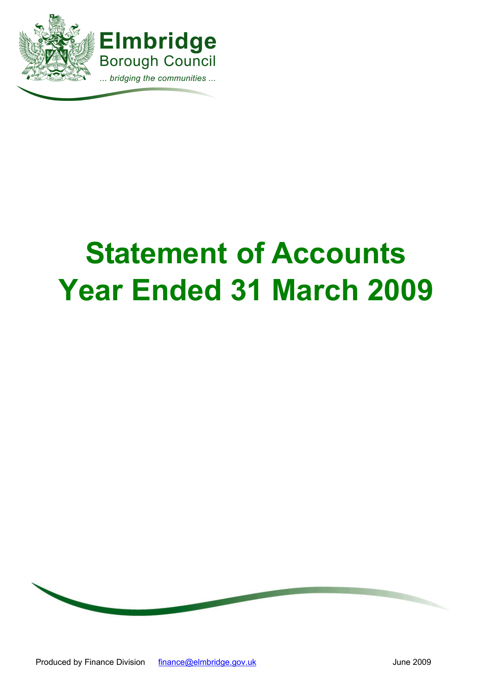

# **Statement of Accounts Year Ended 31 March 2009**

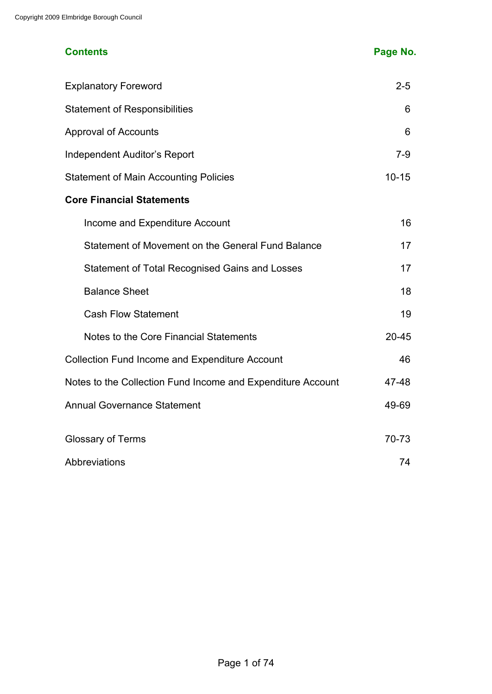# **Contents Page No.**

| <b>Explanatory Foreword</b>                                 | $2 - 5$   |
|-------------------------------------------------------------|-----------|
| <b>Statement of Responsibilities</b>                        | 6         |
| <b>Approval of Accounts</b>                                 | 6         |
| Independent Auditor's Report                                | $7-9$     |
| <b>Statement of Main Accounting Policies</b>                | $10 - 15$ |
| <b>Core Financial Statements</b>                            |           |
| Income and Expenditure Account                              | 16        |
| Statement of Movement on the General Fund Balance           | 17        |
| <b>Statement of Total Recognised Gains and Losses</b>       | 17        |
| <b>Balance Sheet</b>                                        | 18        |
| <b>Cash Flow Statement</b>                                  | 19        |
| Notes to the Core Financial Statements                      | $20 - 45$ |
| <b>Collection Fund Income and Expenditure Account</b>       | 46        |
| Notes to the Collection Fund Income and Expenditure Account | 47-48     |
| <b>Annual Governance Statement</b>                          | 49-69     |
| <b>Glossary of Terms</b>                                    | 70-73     |
| Abbreviations                                               | 74        |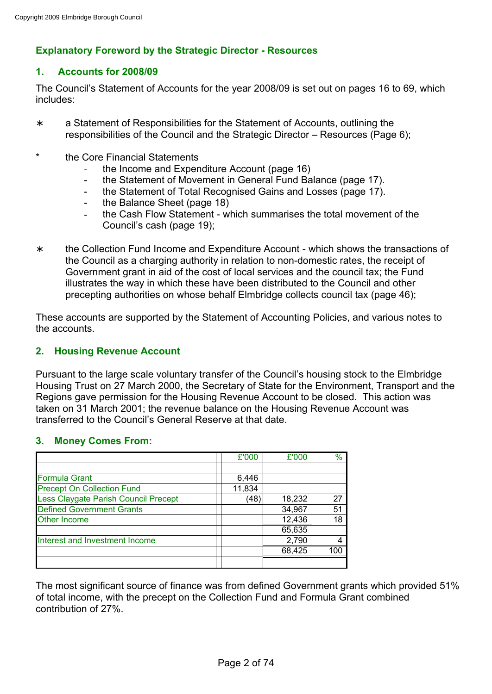# **Explanatory Foreword by the Strategic Director - Resources**

# **1. Accounts for 2008/09**

The Council's Statement of Accounts for the year 2008/09 is set out on pages 16 to 69, which includes:

- ∗ a Statement of Responsibilities for the Statement of Accounts, outlining the responsibilities of the Council and the Strategic Director – Resources (Page 6);
- \* the Core Financial Statements
	- the Income and Expenditure Account (page 16)
	- the Statement of Movement in General Fund Balance (page 17).
	- the Statement of Total Recognised Gains and Losses (page 17).
	- the Balance Sheet (page 18)
	- the Cash Flow Statement which summarises the total movement of the Council's cash (page 19);
- ∗ the Collection Fund Income and Expenditure Account which shows the transactions of the Council as a charging authority in relation to non-domestic rates, the receipt of Government grant in aid of the cost of local services and the council tax; the Fund illustrates the way in which these have been distributed to the Council and other precepting authorities on whose behalf Elmbridge collects council tax (page 46);

These accounts are supported by the Statement of Accounting Policies, and various notes to the accounts.

#### **2. Housing Revenue Account**

Pursuant to the large scale voluntary transfer of the Council's housing stock to the Elmbridge Housing Trust on 27 March 2000, the Secretary of State for the Environment, Transport and the Regions gave permission for the Housing Revenue Account to be closed. This action was taken on 31 March 2001; the revenue balance on the Housing Revenue Account was transferred to the Council's General Reserve at that date.

#### **3. Money Comes From:**

|                                      | £'000  | £'000  | $\frac{0}{0}$ |
|--------------------------------------|--------|--------|---------------|
|                                      |        |        |               |
| <b>Formula Grant</b>                 | 6,446  |        |               |
| <b>Precept On Collection Fund</b>    | 11,834 |        |               |
| Less Claygate Parish Council Precept | (48)   | 18,232 | 27            |
| <b>Defined Government Grants</b>     |        | 34,967 | 51            |
| <b>Other Income</b>                  |        | 12,436 | 18            |
|                                      |        | 65,635 |               |
| Interest and Investment Income       |        | 2,790  |               |
|                                      |        | 68,425 | 100           |
|                                      |        |        |               |

The most significant source of finance was from defined Government grants which provided 51% of total income, with the precept on the Collection Fund and Formula Grant combined contribution of 27%.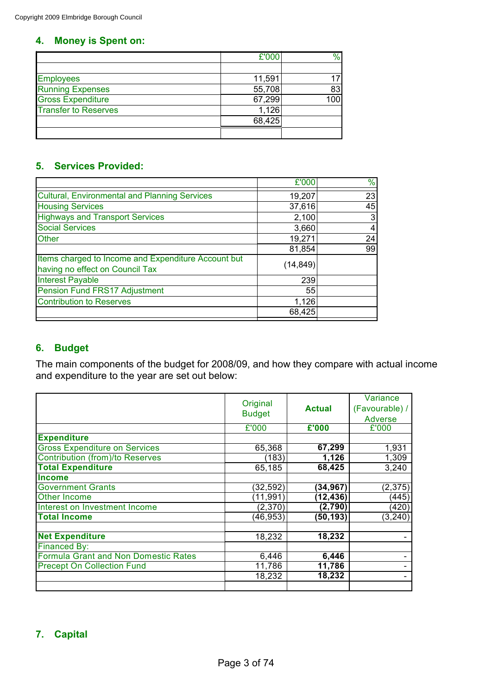# **4. Money is Spent on:**

|                             | £'000  | %   |
|-----------------------------|--------|-----|
|                             |        |     |
| <b>Employees</b>            | 11,591 |     |
| <b>Running Expenses</b>     | 55,708 | 83  |
| <b>Gross Expenditure</b>    | 67,299 | 100 |
| <b>Transfer to Reserves</b> | 1,126  |     |
|                             | 68,425 |     |
|                             |        |     |

# **5. Services Provided:**

|                                                                                        | £'000     | %  |
|----------------------------------------------------------------------------------------|-----------|----|
| <b>Cultural, Environmental and Planning Services</b>                                   | 19,207    | 23 |
| <b>Housing Services</b>                                                                | 37,616    | 45 |
| <b>Highways and Transport Services</b>                                                 | 2,100     |    |
| <b>Social Services</b>                                                                 | 3,660     | 4  |
| <b>Other</b>                                                                           | 19,271    | 24 |
|                                                                                        | 81,854    | 99 |
| Items charged to Income and Expenditure Account but<br>having no effect on Council Tax | (14, 849) |    |
| <b>Interest Payable</b>                                                                | 239       |    |
| Pension Fund FRS17 Adjustment                                                          | 55        |    |
| <b>Contribution to Reserves</b>                                                        | 1,126     |    |
|                                                                                        | 68,425    |    |
|                                                                                        |           |    |

# **6. Budget**

The main components of the budget for 2008/09, and how they compare with actual income and expenditure to the year are set out below:

|                                        | Original      |               | Variance       |
|----------------------------------------|---------------|---------------|----------------|
|                                        |               | <b>Actual</b> | (Favourable) / |
|                                        | <b>Budget</b> |               | Adverse        |
|                                        | £'000         | £'000         | £'000          |
| <b>Expenditure</b>                     |               |               |                |
| <b>Gross Expenditure on Services</b>   | 65,368        | 67,299        | 1,931          |
| <b>Contribution (from)/to Reserves</b> | (183)         | 1,126         | 1,309          |
| <b>Total Expenditure</b>               | 65,185        | 68,425        | 3,240          |
| <b>Income</b>                          |               |               |                |
| <b>Government Grants</b>               | (32, 592)     | (34, 967)     | (2, 375)       |
| Other Income                           | (11, 991)     | (12, 436)     | (445)          |
| Interest on Investment Income          | (2,370)       | (2,790)       | (420)          |
| <b>Total Income</b>                    | (46, 953)     | (50, 193)     | (3, 240)       |
|                                        |               |               |                |
| <b>Net Expenditure</b>                 | 18,232        | 18,232        |                |
| Financed By:                           |               |               |                |
| Formula Grant and Non Domestic Rates   | 6,446         | 6,446         |                |
| <b>Precept On Collection Fund</b>      | 11,786        | 11,786        |                |
|                                        | 18,232        | 18,232        |                |
|                                        |               |               |                |

# **7. Capital**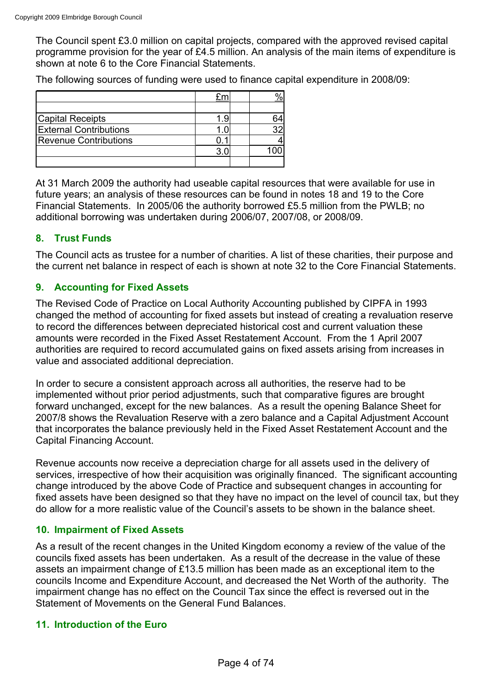The Council spent £3.0 million on capital projects, compared with the approved revised capital programme provision for the year of £4.5 million. An analysis of the main items of expenditure is shown at note 6 to the Core Financial Statements.

The following sources of funding were used to finance capital expenditure in 2008/09:

| <b>Capital Receipts</b>       | - 9 |  |
|-------------------------------|-----|--|
| <b>External Contributions</b> |     |  |
| <b>Revenue Contributions</b>  |     |  |
|                               |     |  |
|                               |     |  |

At 31 March 2009 the authority had useable capital resources that were available for use in future years; an analysis of these resources can be found in notes 18 and 19 to the Core Financial Statements. In 2005/06 the authority borrowed £5.5 million from the PWLB; no additional borrowing was undertaken during 2006/07, 2007/08, or 2008/09.

# **8. Trust Funds**

The Council acts as trustee for a number of charities. A list of these charities, their purpose and the current net balance in respect of each is shown at note 32 to the Core Financial Statements.

# **9. Accounting for Fixed Assets**

The Revised Code of Practice on Local Authority Accounting published by CIPFA in 1993 changed the method of accounting for fixed assets but instead of creating a revaluation reserve to record the differences between depreciated historical cost and current valuation these amounts were recorded in the Fixed Asset Restatement Account. From the 1 April 2007 authorities are required to record accumulated gains on fixed assets arising from increases in value and associated additional depreciation.

In order to secure a consistent approach across all authorities, the reserve had to be implemented without prior period adjustments, such that comparative figures are brought forward unchanged, except for the new balances. As a result the opening Balance Sheet for 2007/8 shows the Revaluation Reserve with a zero balance and a Capital Adjustment Account that incorporates the balance previously held in the Fixed Asset Restatement Account and the Capital Financing Account.

Revenue accounts now receive a depreciation charge for all assets used in the delivery of services, irrespective of how their acquisition was originally financed. The significant accounting change introduced by the above Code of Practice and subsequent changes in accounting for fixed assets have been designed so that they have no impact on the level of council tax, but they do allow for a more realistic value of the Council's assets to be shown in the balance sheet.

# **10. Impairment of Fixed Assets**

As a result of the recent changes in the United Kingdom economy a review of the value of the councils fixed assets has been undertaken. As a result of the decrease in the value of these assets an impairment change of £13.5 million has been made as an exceptional item to the councils Income and Expenditure Account, and decreased the Net Worth of the authority. The impairment change has no effect on the Council Tax since the effect is reversed out in the Statement of Movements on the General Fund Balances.

# **11. Introduction of the Euro**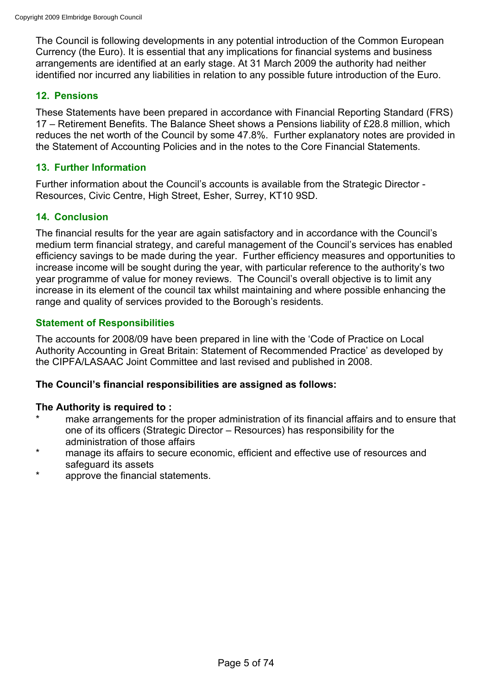The Council is following developments in any potential introduction of the Common European Currency (the Euro). It is essential that any implications for financial systems and business arrangements are identified at an early stage. At 31 March 2009 the authority had neither identified nor incurred any liabilities in relation to any possible future introduction of the Euro.

# **12. Pensions**

These Statements have been prepared in accordance with Financial Reporting Standard (FRS) 17 – Retirement Benefits. The Balance Sheet shows a Pensions liability of £28.8 million, which reduces the net worth of the Council by some 47.8%. Further explanatory notes are provided in the Statement of Accounting Policies and in the notes to the Core Financial Statements.

# **13. Further Information**

Further information about the Council's accounts is available from the Strategic Director - Resources, Civic Centre, High Street, Esher, Surrey, KT10 9SD.

# **14. Conclusion**

The financial results for the year are again satisfactory and in accordance with the Council's medium term financial strategy, and careful management of the Council's services has enabled efficiency savings to be made during the year. Further efficiency measures and opportunities to increase income will be sought during the year, with particular reference to the authority's two year programme of value for money reviews. The Council's overall objective is to limit any increase in its element of the council tax whilst maintaining and where possible enhancing the range and quality of services provided to the Borough's residents.

# **Statement of Responsibilities**

The accounts for 2008/09 have been prepared in line with the 'Code of Practice on Local Authority Accounting in Great Britain: Statement of Recommended Practice' as developed by the CIPFA/LASAAC Joint Committee and last revised and published in 2008.

#### **The Council's financial responsibilities are assigned as follows:**

# **The Authority is required to :**

- make arrangements for the proper administration of its financial affairs and to ensure that one of its officers (Strategic Director – Resources) has responsibility for the administration of those affairs
- \* manage its affairs to secure economic, efficient and effective use of resources and safeguard its assets
- approve the financial statements.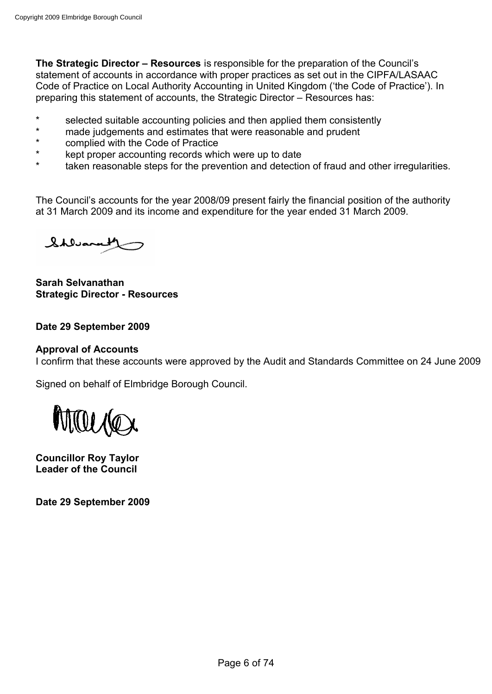**The Strategic Director – Resources** is responsible for the preparation of the Council's statement of accounts in accordance with proper practices as set out in the CIPFA/LASAAC Code of Practice on Local Authority Accounting in United Kingdom ('the Code of Practice'). In preparing this statement of accounts, the Strategic Director – Resources has:

- \* selected suitable accounting policies and then applied them consistently<br>\* made judgements and estimates that were reasonable and prudent
- \* made judgements and estimates that were reasonable and prudent<br>\* complied with the Code of Practice
- complied with the Code of Practice
- \* kept proper accounting records which were up to date
- taken reasonable steps for the prevention and detection of fraud and other irregularities.

The Council's accounts for the year 2008/09 present fairly the financial position of the authority at 31 March 2009 and its income and expenditure for the year ended 31 March 2009.

Shluanall

**Sarah Selvanathan Strategic Director - Resources**

#### **Date 29 September 2009**

#### **Approval of Accounts**

I confirm that these accounts were approved by the Audit and Standards Committee on 24 June 2009

Signed on behalf of Elmbridge Borough Council.



**Councillor Roy Taylor Leader of the Council**

**Date 29 September 2009**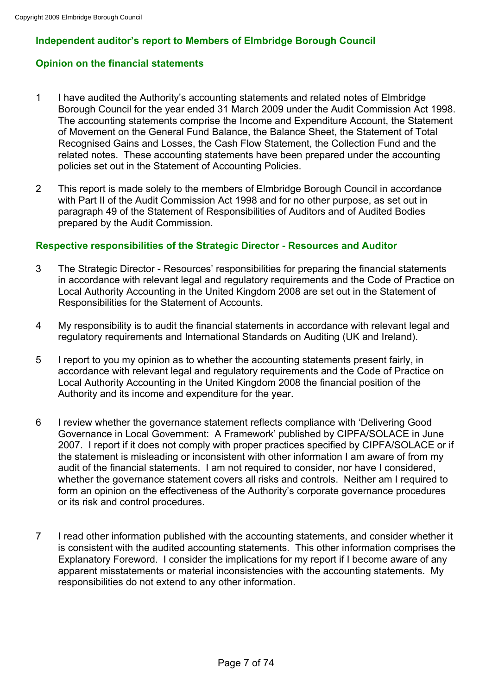# **Independent auditor's report to Members of Elmbridge Borough Council**

# **Opinion on the financial statements**

- 1 I have audited the Authority's accounting statements and related notes of Elmbridge Borough Council for the year ended 31 March 2009 under the Audit Commission Act 1998. The accounting statements comprise the Income and Expenditure Account, the Statement of Movement on the General Fund Balance, the Balance Sheet, the Statement of Total Recognised Gains and Losses, the Cash Flow Statement, the Collection Fund and the related notes. These accounting statements have been prepared under the accounting policies set out in the Statement of Accounting Policies.
- 2 This report is made solely to the members of Elmbridge Borough Council in accordance with Part II of the Audit Commission Act 1998 and for no other purpose, as set out in paragraph 49 of the Statement of Responsibilities of Auditors and of Audited Bodies prepared by the Audit Commission.

# **Respective responsibilities of the Strategic Director - Resources and Auditor**

- 3 The Strategic Director Resources' responsibilities for preparing the financial statements in accordance with relevant legal and regulatory requirements and the Code of Practice on Local Authority Accounting in the United Kingdom 2008 are set out in the Statement of Responsibilities for the Statement of Accounts.
- 4 My responsibility is to audit the financial statements in accordance with relevant legal and regulatory requirements and International Standards on Auditing (UK and Ireland).
- 5 I report to you my opinion as to whether the accounting statements present fairly, in accordance with relevant legal and regulatory requirements and the Code of Practice on Local Authority Accounting in the United Kingdom 2008 the financial position of the Authority and its income and expenditure for the year.
- 6 I review whether the governance statement reflects compliance with 'Delivering Good Governance in Local Government: A Framework' published by CIPFA/SOLACE in June 2007. I report if it does not comply with proper practices specified by CIPFA/SOLACE or if the statement is misleading or inconsistent with other information I am aware of from my audit of the financial statements. I am not required to consider, nor have I considered, whether the governance statement covers all risks and controls. Neither am I required to form an opinion on the effectiveness of the Authority's corporate governance procedures or its risk and control procedures.
- 7 I read other information published with the accounting statements, and consider whether it is consistent with the audited accounting statements. This other information comprises the Explanatory Foreword. I consider the implications for my report if I become aware of any apparent misstatements or material inconsistencies with the accounting statements. My responsibilities do not extend to any other information.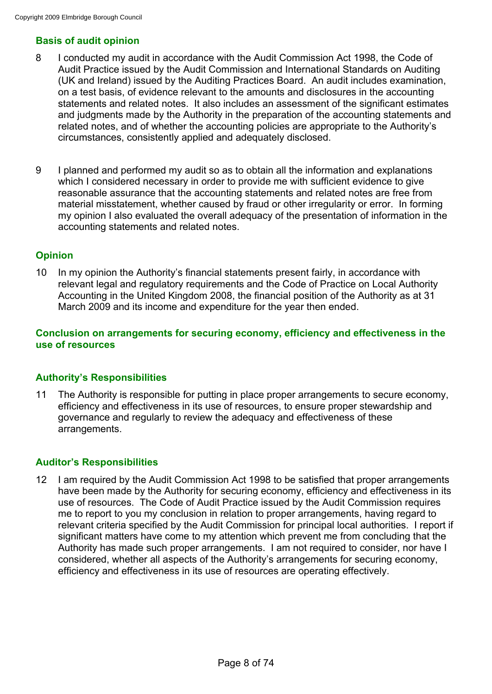# **Basis of audit opinion**

- 8 I conducted my audit in accordance with the Audit Commission Act 1998, the Code of Audit Practice issued by the Audit Commission and International Standards on Auditing (UK and Ireland) issued by the Auditing Practices Board. An audit includes examination, on a test basis, of evidence relevant to the amounts and disclosures in the accounting statements and related notes. It also includes an assessment of the significant estimates and judgments made by the Authority in the preparation of the accounting statements and related notes, and of whether the accounting policies are appropriate to the Authority's circumstances, consistently applied and adequately disclosed.
- 9 I planned and performed my audit so as to obtain all the information and explanations which I considered necessary in order to provide me with sufficient evidence to give reasonable assurance that the accounting statements and related notes are free from material misstatement, whether caused by fraud or other irregularity or error. In forming my opinion I also evaluated the overall adequacy of the presentation of information in the accounting statements and related notes.

# **Opinion**

10 In my opinion the Authority's financial statements present fairly, in accordance with relevant legal and regulatory requirements and the Code of Practice on Local Authority Accounting in the United Kingdom 2008, the financial position of the Authority as at 31 March 2009 and its income and expenditure for the year then ended.

# **Conclusion on arrangements for securing economy, efficiency and effectiveness in the use of resources**

# **Authority's Responsibilities**

11 The Authority is responsible for putting in place proper arrangements to secure economy, efficiency and effectiveness in its use of resources, to ensure proper stewardship and governance and regularly to review the adequacy and effectiveness of these arrangements.

# **Auditor's Responsibilities**

12 I am required by the Audit Commission Act 1998 to be satisfied that proper arrangements have been made by the Authority for securing economy, efficiency and effectiveness in its use of resources. The Code of Audit Practice issued by the Audit Commission requires me to report to you my conclusion in relation to proper arrangements, having regard to relevant criteria specified by the Audit Commission for principal local authorities. I report if significant matters have come to my attention which prevent me from concluding that the Authority has made such proper arrangements. I am not required to consider, nor have I considered, whether all aspects of the Authority's arrangements for securing economy, efficiency and effectiveness in its use of resources are operating effectively.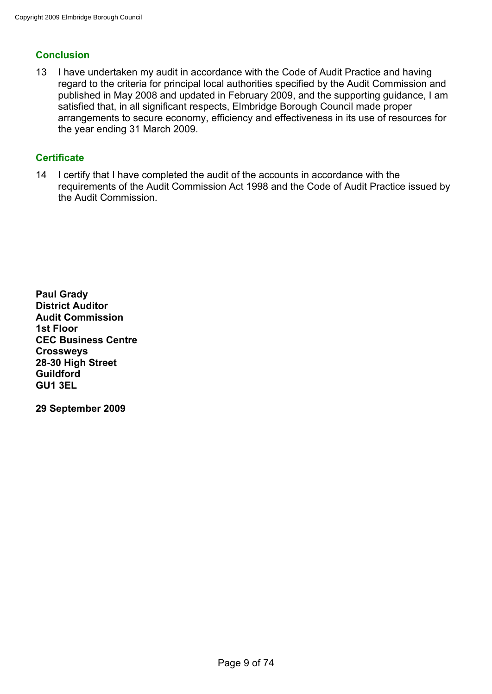# **Conclusion**

13 I have undertaken my audit in accordance with the Code of Audit Practice and having regard to the criteria for principal local authorities specified by the Audit Commission and published in May 2008 and updated in February 2009, and the supporting guidance, I am satisfied that, in all significant respects, Elmbridge Borough Council made proper arrangements to secure economy, efficiency and effectiveness in its use of resources for the year ending 31 March 2009.

# **Certificate**

14 I certify that I have completed the audit of the accounts in accordance with the requirements of the Audit Commission Act 1998 and the Code of Audit Practice issued by the Audit Commission.

**Paul Grady District Auditor Audit Commission 1st Floor CEC Business Centre Crossweys 28-30 High Street Guildford GU1 3EL**

**29 September 2009**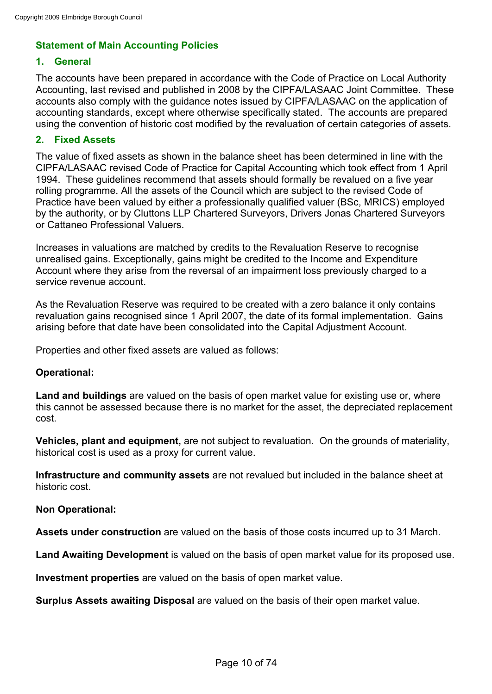# **Statement of Main Accounting Policies**

# **1. General**

The accounts have been prepared in accordance with the Code of Practice on Local Authority Accounting, last revised and published in 2008 by the CIPFA/LASAAC Joint Committee. These accounts also comply with the guidance notes issued by CIPFA/LASAAC on the application of accounting standards, except where otherwise specifically stated. The accounts are prepared using the convention of historic cost modified by the revaluation of certain categories of assets.

# **2. Fixed Assets**

The value of fixed assets as shown in the balance sheet has been determined in line with the CIPFA/LASAAC revised Code of Practice for Capital Accounting which took effect from 1 April 1994. These guidelines recommend that assets should formally be revalued on a five year rolling programme. All the assets of the Council which are subject to the revised Code of Practice have been valued by either a professionally qualified valuer (BSc, MRICS) employed by the authority, or by Cluttons LLP Chartered Surveyors, Drivers Jonas Chartered Surveyors or Cattaneo Professional Valuers.

Increases in valuations are matched by credits to the Revaluation Reserve to recognise unrealised gains. Exceptionally, gains might be credited to the Income and Expenditure Account where they arise from the reversal of an impairment loss previously charged to a service revenue account.

As the Revaluation Reserve was required to be created with a zero balance it only contains revaluation gains recognised since 1 April 2007, the date of its formal implementation. Gains arising before that date have been consolidated into the Capital Adjustment Account.

Properties and other fixed assets are valued as follows:

# **Operational:**

**Land and buildings** are valued on the basis of open market value for existing use or, where this cannot be assessed because there is no market for the asset, the depreciated replacement cost.

**Vehicles, plant and equipment,** are not subject to revaluation. On the grounds of materiality, historical cost is used as a proxy for current value.

**Infrastructure and community assets** are not revalued but included in the balance sheet at historic cost.

# **Non Operational:**

**Assets under construction** are valued on the basis of those costs incurred up to 31 March.

**Land Awaiting Development** is valued on the basis of open market value for its proposed use.

**Investment properties** are valued on the basis of open market value.

**Surplus Assets awaiting Disposal** are valued on the basis of their open market value.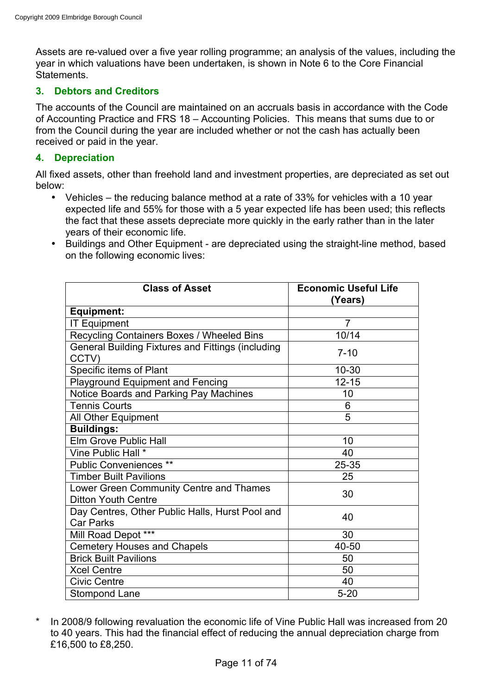Assets are re-valued over a five year rolling programme; an analysis of the values, including the year in which valuations have been undertaken, is shown in Note 6 to the Core Financial Statements.

# **3. Debtors and Creditors**

The accounts of the Council are maintained on an accruals basis in accordance with the Code of Accounting Practice and FRS 18 – Accounting Policies. This means that sums due to or from the Council during the year are included whether or not the cash has actually been received or paid in the year.

# **4. Depreciation**

All fixed assets, other than freehold land and investment properties, are depreciated as set out below:

- Vehicles the reducing balance method at a rate of 33% for vehicles with a 10 year expected life and 55% for those with a 5 year expected life has been used; this reflects the fact that these assets depreciate more quickly in the early rather than in the later years of their economic life.
- Buildings and Other Equipment are depreciated using the straight-line method, based on the following economic lives:

| <b>Class of Asset</b>                                                 | <b>Economic Useful Life</b><br>(Years) |
|-----------------------------------------------------------------------|----------------------------------------|
| <b>Equipment:</b>                                                     |                                        |
| <b>IT Equipment</b>                                                   | $\overline{7}$                         |
| Recycling Containers Boxes / Wheeled Bins                             | 10/14                                  |
| General Building Fixtures and Fittings (including<br>CCTV)            | $7 - 10$                               |
| Specific items of Plant                                               | $10 - 30$                              |
| <b>Playground Equipment and Fencing</b>                               | $12 - 15$                              |
| Notice Boards and Parking Pay Machines                                | 10                                     |
| <b>Tennis Courts</b>                                                  | 6                                      |
| All Other Equipment                                                   | 5                                      |
| <b>Buildings:</b>                                                     |                                        |
| Elm Grove Public Hall                                                 | 10                                     |
| Vine Public Hall *                                                    | 40                                     |
| <b>Public Conveniences **</b>                                         | 25-35                                  |
| <b>Timber Built Pavilions</b>                                         | 25                                     |
| Lower Green Community Centre and Thames<br><b>Ditton Youth Centre</b> | 30                                     |
| Day Centres, Other Public Halls, Hurst Pool and<br><b>Car Parks</b>   | 40                                     |
| Mill Road Depot ***                                                   | 30                                     |
| <b>Cemetery Houses and Chapels</b>                                    | 40-50                                  |
| <b>Brick Built Pavilions</b>                                          | 50                                     |
| <b>Xcel Centre</b>                                                    | 50                                     |
| <b>Civic Centre</b>                                                   | 40                                     |
| Stompond Lane                                                         | $5 - 20$                               |

\* In 2008/9 following revaluation the economic life of Vine Public Hall was increased from 20 to 40 years. This had the financial effect of reducing the annual depreciation charge from £16,500 to £8,250.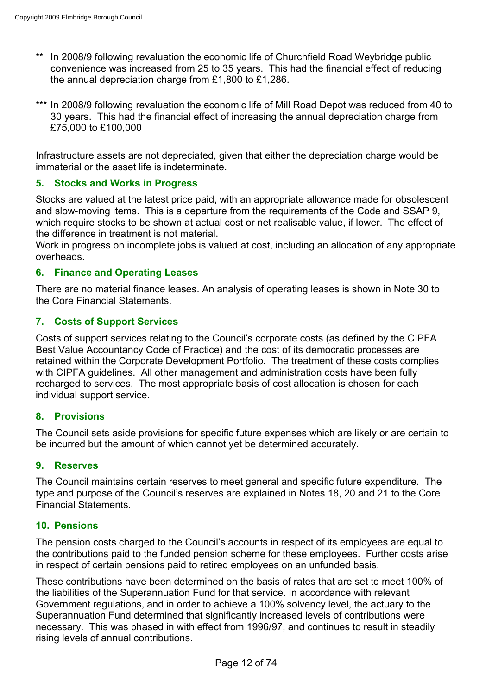- In 2008/9 following revaluation the economic life of Churchfield Road Weybridge public convenience was increased from 25 to 35 years. This had the financial effect of reducing the annual depreciation charge from £1,800 to £1,286.
- \*\*\* In 2008/9 following revaluation the economic life of Mill Road Depot was reduced from 40 to 30 years. This had the financial effect of increasing the annual depreciation charge from £75,000 to £100,000

Infrastructure assets are not depreciated, given that either the depreciation charge would be immaterial or the asset life is indeterminate.

# **5. Stocks and Works in Progress**

Stocks are valued at the latest price paid, with an appropriate allowance made for obsolescent and slow-moving items. This is a departure from the requirements of the Code and SSAP 9, which require stocks to be shown at actual cost or net realisable value, if lower. The effect of the difference in treatment is not material.

Work in progress on incomplete jobs is valued at cost, including an allocation of any appropriate overheads.

# **6. Finance and Operating Leases**

There are no material finance leases. An analysis of operating leases is shown in Note 30 to the Core Financial Statements.

# **7. Costs of Support Services**

Costs of support services relating to the Council's corporate costs (as defined by the CIPFA Best Value Accountancy Code of Practice) and the cost of its democratic processes are retained within the Corporate Development Portfolio. The treatment of these costs complies with CIPFA guidelines. All other management and administration costs have been fully recharged to services. The most appropriate basis of cost allocation is chosen for each individual support service.

# **8. Provisions**

The Council sets aside provisions for specific future expenses which are likely or are certain to be incurred but the amount of which cannot yet be determined accurately.

#### **9. Reserves**

The Council maintains certain reserves to meet general and specific future expenditure. The type and purpose of the Council's reserves are explained in Notes 18, 20 and 21 to the Core Financial Statements.

# **10. Pensions**

The pension costs charged to the Council's accounts in respect of its employees are equal to the contributions paid to the funded pension scheme for these employees. Further costs arise in respect of certain pensions paid to retired employees on an unfunded basis.

These contributions have been determined on the basis of rates that are set to meet 100% of the liabilities of the Superannuation Fund for that service. In accordance with relevant Government regulations, and in order to achieve a 100% solvency level, the actuary to the Superannuation Fund determined that significantly increased levels of contributions were necessary. This was phased in with effect from 1996/97, and continues to result in steadily rising levels of annual contributions.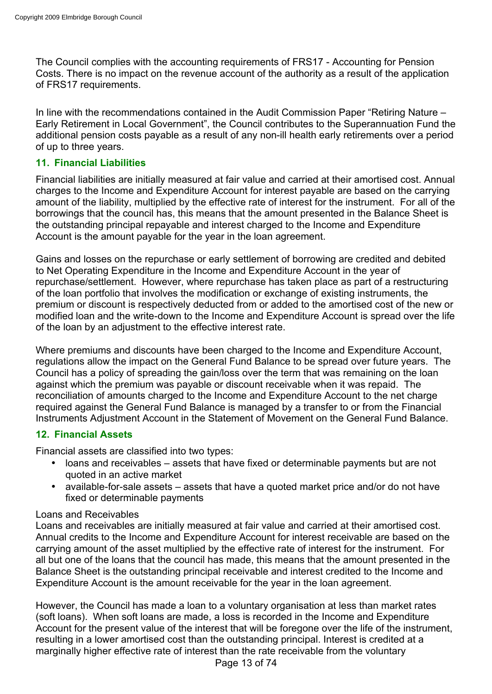The Council complies with the accounting requirements of FRS17 - Accounting for Pension Costs. There is no impact on the revenue account of the authority as a result of the application of FRS17 requirements.

In line with the recommendations contained in the Audit Commission Paper "Retiring Nature – Early Retirement in Local Government", the Council contributes to the Superannuation Fund the additional pension costs payable as a result of any non-ill health early retirements over a period of up to three years.

# **11. Financial Liabilities**

Financial liabilities are initially measured at fair value and carried at their amortised cost. Annual charges to the Income and Expenditure Account for interest payable are based on the carrying amount of the liability, multiplied by the effective rate of interest for the instrument. For all of the borrowings that the council has, this means that the amount presented in the Balance Sheet is the outstanding principal repayable and interest charged to the Income and Expenditure Account is the amount payable for the year in the loan agreement.

Gains and losses on the repurchase or early settlement of borrowing are credited and debited to Net Operating Expenditure in the Income and Expenditure Account in the year of repurchase/settlement. However, where repurchase has taken place as part of a restructuring of the loan portfolio that involves the modification or exchange of existing instruments, the premium or discount is respectively deducted from or added to the amortised cost of the new or modified loan and the write-down to the Income and Expenditure Account is spread over the life of the loan by an adjustment to the effective interest rate.

Where premiums and discounts have been charged to the Income and Expenditure Account, regulations allow the impact on the General Fund Balance to be spread over future years. The Council has a policy of spreading the gain/loss over the term that was remaining on the loan against which the premium was payable or discount receivable when it was repaid. The reconciliation of amounts charged to the Income and Expenditure Account to the net charge required against the General Fund Balance is managed by a transfer to or from the Financial Instruments Adjustment Account in the Statement of Movement on the General Fund Balance.

# **12. Financial Assets**

Financial assets are classified into two types:

- loans and receivables assets that have fixed or determinable payments but are not quoted in an active market
- available-for-sale assets assets that have a quoted market price and/or do not have fixed or determinable payments

# Loans and Receivables

Loans and receivables are initially measured at fair value and carried at their amortised cost. Annual credits to the Income and Expenditure Account for interest receivable are based on the carrying amount of the asset multiplied by the effective rate of interest for the instrument. For all but one of the loans that the council has made, this means that the amount presented in the Balance Sheet is the outstanding principal receivable and interest credited to the Income and Expenditure Account is the amount receivable for the year in the loan agreement.

However, the Council has made a loan to a voluntary organisation at less than market rates (soft loans). When soft loans are made, a loss is recorded in the Income and Expenditure Account for the present value of the interest that will be foregone over the life of the instrument, resulting in a lower amortised cost than the outstanding principal. Interest is credited at a marginally higher effective rate of interest than the rate receivable from the voluntary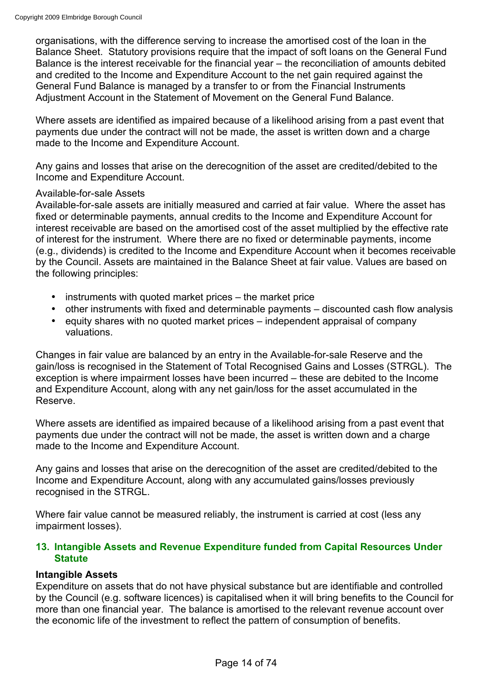organisations, with the difference serving to increase the amortised cost of the loan in the Balance Sheet. Statutory provisions require that the impact of soft loans on the General Fund Balance is the interest receivable for the financial year – the reconciliation of amounts debited and credited to the Income and Expenditure Account to the net gain required against the General Fund Balance is managed by a transfer to or from the Financial Instruments Adjustment Account in the Statement of Movement on the General Fund Balance.

Where assets are identified as impaired because of a likelihood arising from a past event that payments due under the contract will not be made, the asset is written down and a charge made to the Income and Expenditure Account.

Any gains and losses that arise on the derecognition of the asset are credited/debited to the Income and Expenditure Account.

#### Available-for-sale Assets

Available-for-sale assets are initially measured and carried at fair value. Where the asset has fixed or determinable payments, annual credits to the Income and Expenditure Account for interest receivable are based on the amortised cost of the asset multiplied by the effective rate of interest for the instrument. Where there are no fixed or determinable payments, income (e.g., dividends) is credited to the Income and Expenditure Account when it becomes receivable by the Council. Assets are maintained in the Balance Sheet at fair value. Values are based on the following principles:

- instruments with quoted market prices the market price
- other instruments with fixed and determinable payments discounted cash flow analysis
- equity shares with no quoted market prices independent appraisal of company valuations.

Changes in fair value are balanced by an entry in the Available-for-sale Reserve and the gain/loss is recognised in the Statement of Total Recognised Gains and Losses (STRGL). The exception is where impairment losses have been incurred – these are debited to the Income and Expenditure Account, along with any net gain/loss for the asset accumulated in the Reserve.

Where assets are identified as impaired because of a likelihood arising from a past event that payments due under the contract will not be made, the asset is written down and a charge made to the Income and Expenditure Account.

Any gains and losses that arise on the derecognition of the asset are credited/debited to the Income and Expenditure Account, along with any accumulated gains/losses previously recognised in the STRGL.

Where fair value cannot be measured reliably, the instrument is carried at cost (less any impairment losses).

# **13. Intangible Assets and Revenue Expenditure funded from Capital Resources Under Statute**

# **Intangible Assets**

Expenditure on assets that do not have physical substance but are identifiable and controlled by the Council (e.g. software licences) is capitalised when it will bring benefits to the Council for more than one financial year. The balance is amortised to the relevant revenue account over the economic life of the investment to reflect the pattern of consumption of benefits.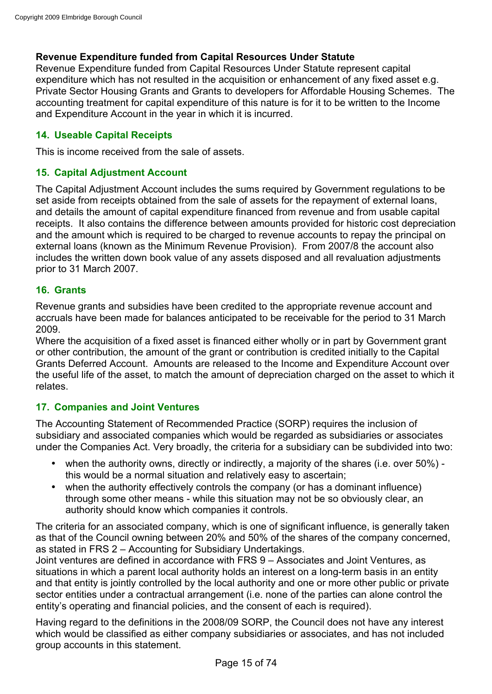# **Revenue Expenditure funded from Capital Resources Under Statute**

Revenue Expenditure funded from Capital Resources Under Statute represent capital expenditure which has not resulted in the acquisition or enhancement of any fixed asset e.g. Private Sector Housing Grants and Grants to developers for Affordable Housing Schemes. The accounting treatment for capital expenditure of this nature is for it to be written to the Income and Expenditure Account in the year in which it is incurred.

# **14. Useable Capital Receipts**

This is income received from the sale of assets.

# **15. Capital Adjustment Account**

The Capital Adjustment Account includes the sums required by Government regulations to be set aside from receipts obtained from the sale of assets for the repayment of external loans, and details the amount of capital expenditure financed from revenue and from usable capital receipts. It also contains the difference between amounts provided for historic cost depreciation and the amount which is required to be charged to revenue accounts to repay the principal on external loans (known as the Minimum Revenue Provision). From 2007/8 the account also includes the written down book value of any assets disposed and all revaluation adjustments prior to 31 March 2007.

# **16. Grants**

Revenue grants and subsidies have been credited to the appropriate revenue account and accruals have been made for balances anticipated to be receivable for the period to 31 March 2009.

Where the acquisition of a fixed asset is financed either wholly or in part by Government grant or other contribution, the amount of the grant or contribution is credited initially to the Capital Grants Deferred Account. Amounts are released to the Income and Expenditure Account over the useful life of the asset, to match the amount of depreciation charged on the asset to which it relates.

# **17. Companies and Joint Ventures**

The Accounting Statement of Recommended Practice (SORP) requires the inclusion of subsidiary and associated companies which would be regarded as subsidiaries or associates under the Companies Act. Very broadly, the criteria for a subsidiary can be subdivided into two:

- when the authority owns, directly or indirectly, a majority of the shares (i.e. over 50%) this would be a normal situation and relatively easy to ascertain;
- when the authority effectively controls the company (or has a dominant influence) through some other means - while this situation may not be so obviously clear, an authority should know which companies it controls.

The criteria for an associated company, which is one of significant influence, is generally taken as that of the Council owning between 20% and 50% of the shares of the company concerned, as stated in FRS 2 – Accounting for Subsidiary Undertakings.

Joint ventures are defined in accordance with FRS 9 – Associates and Joint Ventures, as situations in which a parent local authority holds an interest on a long-term basis in an entity and that entity is jointly controlled by the local authority and one or more other public or private sector entities under a contractual arrangement (i.e. none of the parties can alone control the entity's operating and financial policies, and the consent of each is required).

Having regard to the definitions in the 2008/09 SORP, the Council does not have any interest which would be classified as either company subsidiaries or associates, and has not included group accounts in this statement.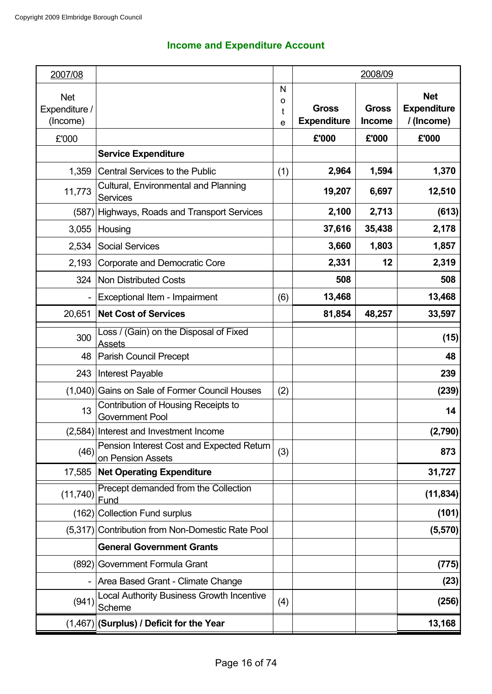# **Income and Expenditure Account**

| 2007/08                                 |                                                                |                  |                                    | 2008/09                       |                                                |
|-----------------------------------------|----------------------------------------------------------------|------------------|------------------------------------|-------------------------------|------------------------------------------------|
| <b>Net</b><br>Expenditure /<br>(Income) |                                                                | N<br>о<br>t<br>e | <b>Gross</b><br><b>Expenditure</b> | <b>Gross</b><br><b>Income</b> | <b>Net</b><br><b>Expenditure</b><br>/ (Income) |
| £'000                                   |                                                                |                  | £'000                              | £'000                         | £'000                                          |
|                                         | <b>Service Expenditure</b>                                     |                  |                                    |                               |                                                |
| 1,359                                   | <b>Central Services to the Public</b>                          | (1)              | 2,964                              | 1,594                         | 1,370                                          |
| 11,773                                  | Cultural, Environmental and Planning<br><b>Services</b>        |                  | 19,207                             | 6,697                         | 12,510                                         |
| (587)                                   | Highways, Roads and Transport Services                         |                  | 2,100                              | 2,713                         | (613)                                          |
| 3,055                                   | Housing                                                        |                  | 37,616                             | 35,438                        | 2,178                                          |
| 2,534                                   | <b>Social Services</b>                                         |                  | 3,660                              | 1,803                         | 1,857                                          |
| 2,193                                   | Corporate and Democratic Core                                  |                  | 2,331                              | 12                            | 2,319                                          |
| 324                                     | <b>Non Distributed Costs</b>                                   |                  | 508                                |                               | 508                                            |
|                                         | Exceptional Item - Impairment                                  | (6)              | 13,468                             |                               | 13,468                                         |
| 20,651                                  | <b>Net Cost of Services</b>                                    |                  | 81,854                             | 48,257                        | 33,597                                         |
| 300                                     | Loss / (Gain) on the Disposal of Fixed<br><b>Assets</b>        |                  |                                    |                               | (15)                                           |
| 48                                      | Parish Council Precept                                         |                  |                                    |                               | 48                                             |
| 243                                     | Interest Payable                                               |                  |                                    |                               | 239                                            |
|                                         | (1,040) Gains on Sale of Former Council Houses                 | (2)              |                                    |                               | (239)                                          |
| 13                                      | Contribution of Housing Receipts to<br><b>Government Pool</b>  |                  |                                    |                               | 14                                             |
|                                         | (2,584) Interest and Investment Income                         |                  |                                    |                               | (2,790)                                        |
| (46)                                    | Pension Interest Cost and Expected Return<br>on Pension Assets | (3)              |                                    |                               | 873                                            |
| 17,585                                  | <b>Net Operating Expenditure</b>                               |                  |                                    |                               | 31,727                                         |
| (11, 740)                               | Precept demanded from the Collection<br>Fund                   |                  |                                    |                               | (11, 834)                                      |
| (162)                                   | <b>Collection Fund surplus</b>                                 |                  |                                    |                               | (101)                                          |
| (5,317)                                 | <b>Contribution from Non-Domestic Rate Pool</b>                |                  |                                    |                               | (5,570)                                        |
|                                         | <b>General Government Grants</b>                               |                  |                                    |                               |                                                |
|                                         | (892) Government Formula Grant                                 |                  |                                    |                               | (775)                                          |
|                                         | Area Based Grant - Climate Change                              |                  |                                    |                               | (23)                                           |
| (941)                                   | <b>Local Authority Business Growth Incentive</b><br>Scheme     | (4)              |                                    |                               | (256)                                          |
|                                         | $(1,467)$ (Surplus) / Deficit for the Year                     |                  |                                    |                               | 13,168                                         |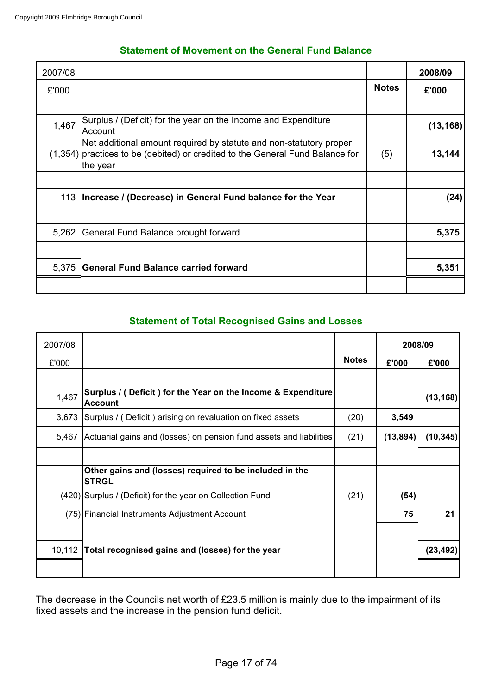| 2007/08 |                                                                                                                                                                   |              | 2008/09   |
|---------|-------------------------------------------------------------------------------------------------------------------------------------------------------------------|--------------|-----------|
| £'000   |                                                                                                                                                                   | <b>Notes</b> | £'000     |
|         |                                                                                                                                                                   |              |           |
| 1,467   | Surplus / (Deficit) for the year on the Income and Expenditure<br>Account                                                                                         |              | (13, 168) |
|         | Net additional amount required by statute and non-statutory proper<br>$(1,354)$ practices to be (debited) or credited to the General Fund Balance for<br>the year | (5)          | 13,144    |
| 113     | Increase / (Decrease) in General Fund balance for the Year                                                                                                        |              | (24)      |
| 5,262   | General Fund Balance brought forward                                                                                                                              |              | 5,375     |
| 5,375   | <b>General Fund Balance carried forward</b>                                                                                                                       |              | 5,351     |

# **Statement of Total Recognised Gains and Losses**

| 2007/08 |                                                                                |              | 2008/09   |           |
|---------|--------------------------------------------------------------------------------|--------------|-----------|-----------|
| £'000   |                                                                                | <b>Notes</b> | £'000     | £'000     |
| 1,467   | Surplus / (Deficit) for the Year on the Income & Expenditure<br><b>Account</b> |              |           | (13, 168) |
| 3,673   | Surplus / (Deficit) arising on revaluation on fixed assets                     | (20)         | 3,549     |           |
| 5,467   | Actuarial gains and (losses) on pension fund assets and liabilities            | (21)         | (13, 894) | (10, 345) |
|         | Other gains and (losses) required to be included in the<br><b>STRGL</b>        |              |           |           |
|         | (420) Surplus / (Deficit) for the year on Collection Fund                      | (21)         | (54)      |           |
|         | (75) Financial Instruments Adjustment Account                                  |              | 75        | 21        |
| 10,112  | Total recognised gains and (losses) for the year                               |              |           | (23, 492) |
|         |                                                                                |              |           |           |

The decrease in the Councils net worth of £23.5 million is mainly due to the impairment of its fixed assets and the increase in the pension fund deficit.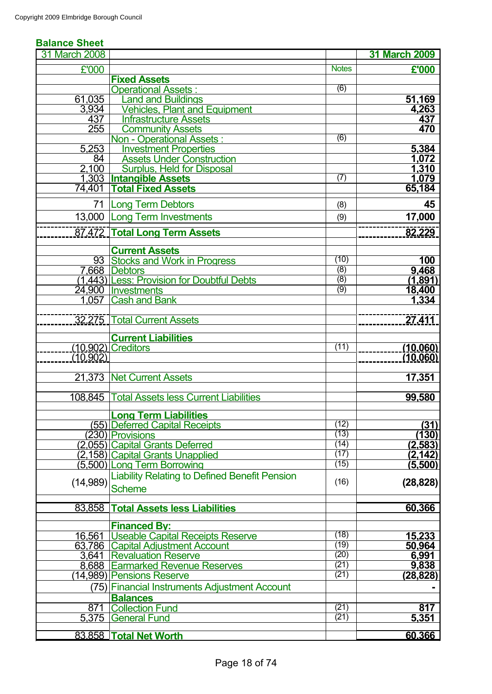#### **Balance Sheet**

| 31 March 2008 |                                                      |                  | <b>31 March 2009</b> |
|---------------|------------------------------------------------------|------------------|----------------------|
| £'000         |                                                      | <b>Notes</b>     | £'000                |
|               | <b>Fixed Assets</b>                                  |                  |                      |
|               | <b>Operational Assets:</b>                           | $\overline{(6)}$ |                      |
| 61,035        | <b>Land and Buildings</b>                            |                  | 51,169               |
| 3,934         | <b>Vehicles, Plant and Equipment</b>                 |                  | 4,263                |
| 437           | <b>Infrastructure Assets</b>                         |                  | 437                  |
| 255           | <b>Community Assets</b>                              |                  | 470                  |
|               | <b>Non - Operational Assets:</b>                     | (6)              |                      |
| 5,253         | <b>Investment Properties</b>                         |                  | 5,384                |
| 84            | <b>Assets Under Construction</b>                     |                  | 1,072                |
| 2,100         | <b>Surplus, Held for Disposal</b>                    |                  | 1,310                |
|               | 1,303 Intangible Assets                              | (7)              | 1,079                |
| 74,401        | <b>Total Fixed Assets</b>                            |                  | 65,184               |
| 71            | <b>Long Term Debtors</b>                             | (8)              | 45                   |
| 13,000        | <b>Long Term Investments</b>                         | (9)              | 17,000               |
|               | 87.472 Total Long Term Assets                        |                  | 82,229               |
|               |                                                      |                  |                      |
|               | <b>Current Assets</b>                                |                  |                      |
| 93            | <b>Stocks and Work in Progress</b>                   | (10)             | 100                  |
|               | 7,668 Debtors                                        | $\overline{(8)}$ | 9,468                |
|               | (1,443) Less: Provision for Doubtful Debts           | $\overline{(8)}$ | (1,891)              |
|               | 24,900   Investments                                 | (9)              | 18,400               |
| 1.057         | <b>Cash and Bank</b>                                 |                  | 1,334                |
|               | 32.275 Total Current Assets                          |                  | 27,411               |
|               | <b>Current Liabilities</b>                           |                  |                      |
|               | (10.902) Creditors                                   | (11)             | (10, 060)            |
| (10.902)      |                                                      |                  | (10.060)             |
|               |                                                      |                  |                      |
| 21,373        | <b>Net Current Assets</b>                            |                  | 17,351               |
|               |                                                      |                  |                      |
| 108.845       | <b>Total Assets less Current Liabilities</b>         |                  | 99,580               |
|               | <b>Long Term Liabilities</b>                         |                  |                      |
|               | (55) Deferred Capital Receipts                       | (12)             | (31)                 |
|               | $(230)$ Provisions                                   | (13)             | (130)                |
|               | (2,055) Capital Grants Deferred                      | (14)             | (2,583)              |
|               | (2,158) Capital Grants Unapplied                     | (17)             | <u>(2,142)</u>       |
|               | (5,500) Long Term Borrowing                          | (15)             | (5,500)              |
|               | <b>Liability Relating to Defined Benefit Pension</b> |                  |                      |
| (14,989)      | <b>Scheme</b>                                        | (16)             | (28, 828)            |
|               |                                                      |                  |                      |
| 83,858        | <b>Total Assets less Liabilities</b>                 |                  | 60,366               |
|               | <b>Financed By:</b>                                  |                  |                      |
| 16,561        | Useable Capital Receipts Reserve                     | (18)             | 15,233               |
|               | 63,786 Capital Adjustment Account                    | (19)             | 50,964               |
|               | 3,641 Revaluation Reserve                            | (20)             | 6,991                |
|               | 8,688 Earmarked Revenue Reserves                     | (21)             | 9,838                |
|               | (14,989) Pensions Reserve                            | (21)             | (28, 828)            |
|               | (75) Financial Instruments Adjustment Account        |                  |                      |
|               | <b>Balances</b>                                      |                  |                      |
| 871           | <b>Collection Fund</b>                               | (21)             | 817                  |
| 5.375         | <b>General Fund</b>                                  | (21)             | 5,351                |
|               |                                                      |                  |                      |
|               | 83.858 Total Net Worth                               |                  | 60.366               |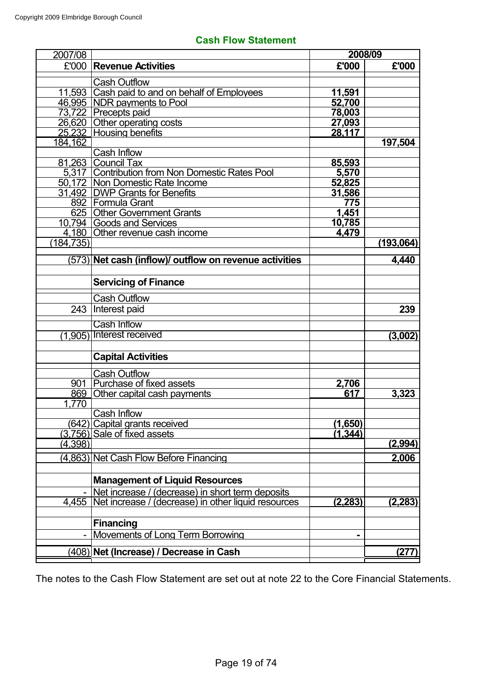|  | <b>Cash Flow Statement</b> |
|--|----------------------------|
|--|----------------------------|

| 2007/08    |                                                        | 2008/09        |                |
|------------|--------------------------------------------------------|----------------|----------------|
|            | £'000 Revenue Activities                               | £'000          | £'000          |
|            | <b>Cash Outflow</b>                                    |                |                |
|            | 11,593 Cash paid to and on behalf of Employees         | <u>11,591</u>  |                |
|            | 46,995   NDR payments to Pool                          | 52,700         |                |
|            | 73,722 Precepts paid                                   | 78,003         |                |
|            | 26,620 Other operating costs                           | 27,093         |                |
|            | 25,232 Housing benefits                                | 28,117         |                |
| 184,162    |                                                        |                | 197,504        |
|            | Cash Inflow                                            |                |                |
|            | 81,263 Council Tax                                     | 85,593         |                |
|            | 5,317 Contribution from Non Domestic Rates Pool        | 5,570          |                |
|            | 50,172   Non Domestic Rate Income                      | 52,825         |                |
|            | 31,492   DWP Grants for Benefits                       | 31,586         |                |
|            | 892   Formula Grant                                    | 775            |                |
|            | 625 Other Government Grants                            | 1,451          |                |
|            | 10,794 Goods and Services                              | 10,785         |                |
|            | 4,180 Other revenue cash income                        | 4,479          |                |
| (184, 735) |                                                        |                | (193,064)      |
|            | (573) Net cash (inflow)/ outflow on revenue activities |                | 4,440          |
|            |                                                        |                |                |
|            | <b>Servicing of Finance</b>                            |                |                |
|            | <b>Cash Outflow</b>                                    |                |                |
| 243        | Interest paid                                          |                | 239            |
|            | <b>Cash Inflow</b>                                     |                |                |
| (1,905)    | Interest received                                      |                | (3,002)        |
|            |                                                        |                |                |
|            | <b>Capital Activities</b>                              |                |                |
|            | <b>Cash Outflow</b>                                    |                |                |
| 901        | Purchase of fixed assets                               | 2,706          |                |
|            | 869 Other capital cash payments                        | 617            | 3,323          |
| 1,770      |                                                        |                |                |
|            | Cash Inflow                                            |                |                |
|            | (642) Capital grants received                          | (1,650)        |                |
|            | $(3,756)$ Sale of fixed assets                         | (1, 344)       |                |
| (4,398)    |                                                        |                | <u>(2,994)</u> |
|            | (4,863) Net Cash Flow Before Financing                 |                | 2,006          |
|            |                                                        |                |                |
|            | <b>Management of Liquid Resources</b>                  |                |                |
|            | Net increase / (decrease) in short term deposits       |                |                |
| 4,455      | Net increase / (decrease) in other liquid resources    | <u>(2,283)</u> | (2, 283)       |
|            | <b>Financing</b>                                       |                |                |
|            | Movements of Long Term Borrowing                       |                |                |
|            |                                                        |                |                |
|            | (408) Net (Increase) / Decrease in Cash                |                | (277)          |

The notes to the Cash Flow Statement are set out at note 22 to the Core Financial Statements.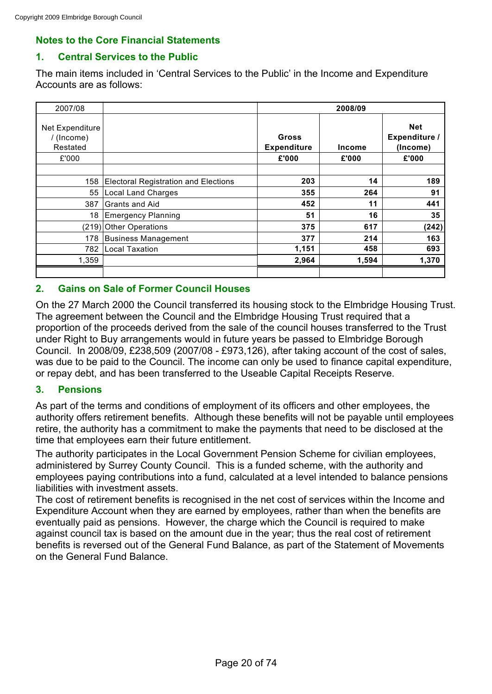# **Notes to the Core Financial Statements**

# **1. Central Services to the Public**

The main items included in 'Central Services to the Public' in the Income and Expenditure Accounts are as follows:

| 2007/08                                   |                                             | 2008/09                     |               |                                         |  |
|-------------------------------------------|---------------------------------------------|-----------------------------|---------------|-----------------------------------------|--|
| Net Expenditure<br>/ (Income)<br>Restated |                                             | Gross<br><b>Expenditure</b> | <b>Income</b> | <b>Net</b><br>Expenditure /<br>(Income) |  |
| £'000                                     |                                             | £'000                       | £'000         | £'000                                   |  |
|                                           |                                             |                             |               |                                         |  |
| 158                                       | <b>Electoral Registration and Elections</b> | 203                         | 14            | 189                                     |  |
| 55                                        | <b>Local Land Charges</b>                   | 355                         | 264           | 91                                      |  |
| 387                                       | Grants and Aid                              | 452                         | 11            | 441                                     |  |
| 18                                        | Emergency Planning                          | 51                          | 16            | 35                                      |  |
|                                           | (219) Other Operations                      | 375                         | 617           | (242)                                   |  |
| 178                                       | <b>Business Management</b>                  | 377                         | 214           | 163                                     |  |
| 782                                       | <b>Local Taxation</b>                       | 1,151                       | 458           | 693                                     |  |
| 1,359                                     |                                             | 2,964                       | 1,594         | 1,370                                   |  |
|                                           |                                             |                             |               |                                         |  |

# **2. Gains on Sale of Former Council Houses**

On the 27 March 2000 the Council transferred its housing stock to the Elmbridge Housing Trust. The agreement between the Council and the Elmbridge Housing Trust required that a proportion of the proceeds derived from the sale of the council houses transferred to the Trust under Right to Buy arrangements would in future years be passed to Elmbridge Borough Council. In 2008/09, £238,509 (2007/08 - £973,126), after taking account of the cost of sales, was due to be paid to the Council. The income can only be used to finance capital expenditure, or repay debt, and has been transferred to the Useable Capital Receipts Reserve.

# **3. Pensions**

As part of the terms and conditions of employment of its officers and other employees, the authority offers retirement benefits. Although these benefits will not be payable until employees retire, the authority has a commitment to make the payments that need to be disclosed at the time that employees earn their future entitlement.

The authority participates in the Local Government Pension Scheme for civilian employees, administered by Surrey County Council. This is a funded scheme, with the authority and employees paying contributions into a fund, calculated at a level intended to balance pensions liabilities with investment assets.

The cost of retirement benefits is recognised in the net cost of services within the Income and Expenditure Account when they are earned by employees, rather than when the benefits are eventually paid as pensions. However, the charge which the Council is required to make against council tax is based on the amount due in the year; thus the real cost of retirement benefits is reversed out of the General Fund Balance, as part of the Statement of Movements on the General Fund Balance.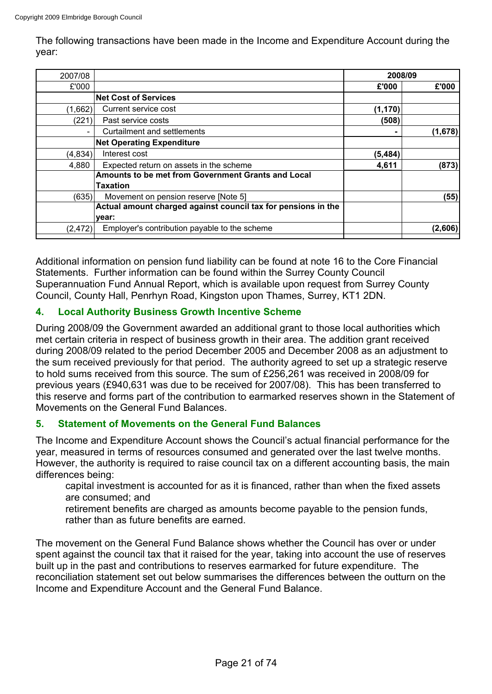The following transactions have been made in the Income and Expenditure Account during the year:

| 2007/08                  |                                                               | 2008/09  |         |
|--------------------------|---------------------------------------------------------------|----------|---------|
| £'000                    |                                                               | £'000    | £'000   |
|                          | <b>Net Cost of Services</b>                                   |          |         |
| (1,662)                  | Current service cost                                          | (1, 170) |         |
| (221)                    | Past service costs                                            | (508)    |         |
| $\overline{\phantom{0}}$ | Curtailment and settlements                                   |          | (1,678) |
|                          | <b>Net Operating Expenditure</b>                              |          |         |
| (4, 834)                 | Interest cost                                                 | (5, 484) |         |
| 4,880                    | Expected return on assets in the scheme                       | 4,611    | (873)   |
|                          | Amounts to be met from Government Grants and Local            |          |         |
|                          | Taxation                                                      |          |         |
| (635)                    | Movement on pension reserve [Note 5]                          |          | (55)    |
|                          | Actual amount charged against council tax for pensions in the |          |         |
|                          | year:                                                         |          |         |
| (2, 472)                 | Employer's contribution payable to the scheme                 |          | (2,606) |
|                          |                                                               |          |         |

Additional information on pension fund liability can be found at note 16 to the Core Financial Statements. Further information can be found within the Surrey County Council Superannuation Fund Annual Report, which is available upon request from Surrey County Council, County Hall, Penrhyn Road, Kingston upon Thames, Surrey, KT1 2DN.

# **4. Local Authority Business Growth Incentive Scheme**

During 2008/09 the Government awarded an additional grant to those local authorities which met certain criteria in respect of business growth in their area. The addition grant received during 2008/09 related to the period December 2005 and December 2008 as an adjustment to the sum received previously for that period. The authority agreed to set up a strategic reserve to hold sums received from this source. The sum of £256,261 was received in 2008/09 for previous years (£940,631 was due to be received for 2007/08). This has been transferred to this reserve and forms part of the contribution to earmarked reserves shown in the Statement of Movements on the General Fund Balances.

# **5. Statement of Movements on the General Fund Balances**

The Income and Expenditure Account shows the Council's actual financial performance for the year, measured in terms of resources consumed and generated over the last twelve months. However, the authority is required to raise council tax on a different accounting basis, the main differences being:

capital investment is accounted for as it is financed, rather than when the fixed assets are consumed; and

retirement benefits are charged as amounts become payable to the pension funds, rather than as future benefits are earned.

The movement on the General Fund Balance shows whether the Council has over or under spent against the council tax that it raised for the year, taking into account the use of reserves built up in the past and contributions to reserves earmarked for future expenditure. The reconciliation statement set out below summarises the differences between the outturn on the Income and Expenditure Account and the General Fund Balance.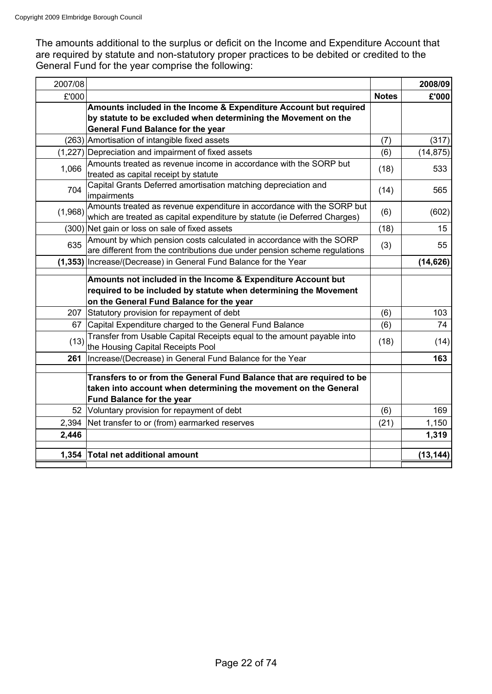The amounts additional to the surplus or deficit on the Income and Expenditure Account that are required by statute and non-statutory proper practices to be debited or credited to the General Fund for the year comprise the following:

| 2007/08 |                                                                                                                                                                              |              | 2008/09   |
|---------|------------------------------------------------------------------------------------------------------------------------------------------------------------------------------|--------------|-----------|
| £'000   |                                                                                                                                                                              | <b>Notes</b> | £'000     |
|         | Amounts included in the Income & Expenditure Account but required                                                                                                            |              |           |
|         | by statute to be excluded when determining the Movement on the                                                                                                               |              |           |
|         | <b>General Fund Balance for the year</b>                                                                                                                                     |              |           |
|         | (263) Amortisation of intangible fixed assets                                                                                                                                | (7)          | (317)     |
|         | (1,227) Depreciation and impairment of fixed assets                                                                                                                          | (6)          | (14, 875) |
| 1,066   | Amounts treated as revenue income in accordance with the SORP but<br>treated as capital receipt by statute                                                                   | (18)         | 533       |
| 704     | Capital Grants Deferred amortisation matching depreciation and<br>impairments                                                                                                | (14)         | 565       |
| (1,968) | Amounts treated as revenue expenditure in accordance with the SORP but<br>which are treated as capital expenditure by statute (ie Deferred Charges)                          | (6)          | (602)     |
|         | (300) Net gain or loss on sale of fixed assets                                                                                                                               | (18)         | 15        |
| 635     | Amount by which pension costs calculated in accordance with the SORP<br>are different from the contributions due under pension scheme regulations                            | (3)          | 55        |
|         | (1,353) Increase/(Decrease) in General Fund Balance for the Year                                                                                                             |              | (14, 626) |
|         | Amounts not included in the Income & Expenditure Account but<br>required to be included by statute when determining the Movement<br>on the General Fund Balance for the year |              |           |
|         | 207 Statutory provision for repayment of debt                                                                                                                                | (6)          | 103       |
|         | 67 Capital Expenditure charged to the General Fund Balance                                                                                                                   | (6)          | 74        |
| (13)    | Transfer from Usable Capital Receipts equal to the amount payable into<br>the Housing Capital Receipts Pool                                                                  | (18)         | (14)      |
| 261     | Increase/(Decrease) in General Fund Balance for the Year                                                                                                                     |              | 163       |
|         | Transfers to or from the General Fund Balance that are required to be<br>taken into account when determining the movement on the General<br><b>Fund Balance for the year</b> |              |           |
|         | 52 Voluntary provision for repayment of debt                                                                                                                                 | (6)          | 169       |
| 2,394   | Net transfer to or (from) earmarked reserves                                                                                                                                 | (21)         | 1,150     |
| 2,446   |                                                                                                                                                                              |              | 1,319     |
| 1,354   | <b>Total net additional amount</b>                                                                                                                                           |              | (13, 144) |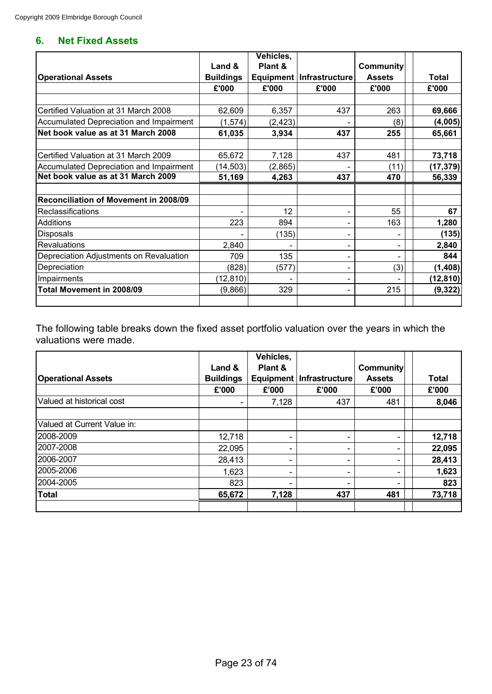# **6. Net Fixed Assets**

|                                         |                  | Vehicles, |                            |                  |              |
|-----------------------------------------|------------------|-----------|----------------------------|------------------|--------------|
|                                         | Land &           | Plant &   |                            | <b>Community</b> |              |
| <b>Operational Assets</b>               | <b>Buildings</b> |           | Equipment   Infrastructure | <b>Assets</b>    | <b>Total</b> |
|                                         | £'000            | £'000     | £'000                      | £'000            | £'000        |
|                                         |                  |           |                            |                  |              |
| Certified Valuation at 31 March 2008    | 62,609           | 6,357     | 437                        | 263              | 69,666       |
| Accumulated Depreciation and Impairment | (1, 574)         | (2, 423)  |                            | (8)              | (4,005)      |
| Net book value as at 31 March 2008      | 61,035           | 3,934     | 437                        | 255              | 65,661       |
| Certified Valuation at 31 March 2009    | 65,672           | 7,128     | 437                        | 481              | 73,718       |
| Accumulated Depreciation and Impairment | (14, 503)        | (2,865)   |                            | (11)             | (17, 379)    |
| Net book value as at 31 March 2009      | 51,169           | 4,263     | 437                        | 470              | 56,339       |
|                                         |                  |           |                            |                  |              |
| Reconciliation of Movement in 2008/09   |                  |           |                            |                  |              |
| Reclassifications                       |                  | 12        |                            | 55               | 67           |
| Additions                               | 223              | 894       |                            | 163              | 1,280        |
| <b>Disposals</b>                        |                  | (135)     |                            |                  | (135)        |
| Revaluations                            | 2,840            |           |                            |                  | 2,840        |
| Depreciation Adjustments on Revaluation | 709              | 135       |                            |                  | 844          |
| Depreciation                            | (828)            | (577)     |                            | (3)              | (1, 408)     |
| Impairments                             | (12, 810)        |           |                            |                  | (12, 810)    |
| Total Movement in 2008/09               | (9,866)          | 329       |                            | 215              | (9, 322)     |
|                                         |                  |           |                            |                  |              |

The following table breaks down the fixed asset portfolio valuation over the years in which the valuations were made.

|                             | Land &                   | Vehicles,<br>Plant & |                            | <b>Community</b> |              |
|-----------------------------|--------------------------|----------------------|----------------------------|------------------|--------------|
| <b>Operational Assets</b>   | <b>Buildings</b>         |                      | Equipment   Infrastructure | <b>Assets</b>    | <b>Total</b> |
|                             | £'000                    | £'000                | £'000                      | £'000            | £'000        |
| Valued at historical cost   | $\overline{\phantom{0}}$ | 7,128                | 437                        | 481              | 8,046        |
| Valued at Current Value in: |                          |                      |                            |                  |              |
| 2008-2009                   | 12,718                   |                      |                            |                  | 12,718       |
| 2007-2008                   | 22,095                   |                      |                            |                  | 22,095       |
| 2006-2007                   | 28,413                   |                      |                            |                  | 28,413       |
| 2005-2006                   | 1,623                    |                      |                            |                  | 1,623        |
| 2004-2005                   | 823                      |                      |                            |                  | 823          |
| <b>Total</b>                | 65,672                   | 7,128                | 437                        | 481              | 73,718       |
|                             |                          |                      |                            |                  |              |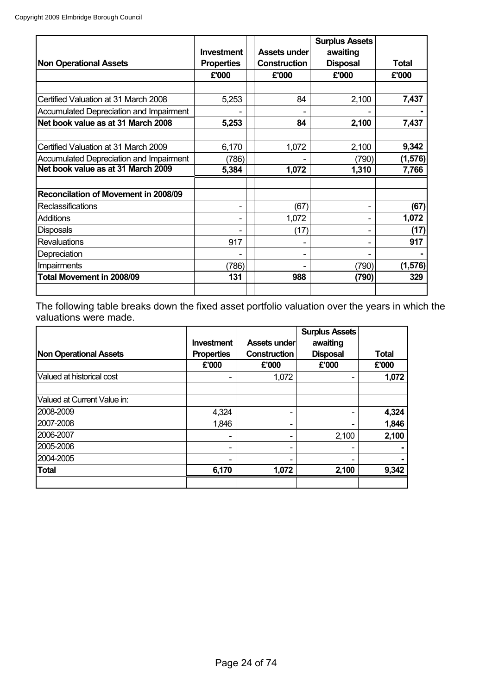|                                                |                   |                     | <b>Surplus Assets</b> |          |
|------------------------------------------------|-------------------|---------------------|-----------------------|----------|
|                                                | <b>Investment</b> | Assets under        | awaiting              |          |
| <b>Non Operational Assets</b>                  | <b>Properties</b> | <b>Construction</b> | <b>Disposal</b>       | Total    |
|                                                | £'000             | £'000               | £'000                 | £'000    |
|                                                |                   |                     |                       |          |
| Certified Valuation at 31 March 2008           | 5,253             | 84                  | 2,100                 | 7,437    |
| <b>Accumulated Depreciation and Impairment</b> |                   |                     |                       |          |
| Net book value as at 31 March 2008             | 5,253             | 84                  | 2,100                 | 7,437    |
|                                                |                   |                     |                       |          |
| Certified Valuation at 31 March 2009           | 6,170             | 1,072               | 2,100                 | 9,342    |
| Accumulated Depreciation and Impairment        | (786)             |                     | (790)                 | (1, 576) |
| Net book value as at 31 March 2009             | 5,384             | 1,072               | 1,310                 | 7,766    |
|                                                |                   |                     |                       |          |
| Reconcilation of Movement in 2008/09           |                   |                     |                       |          |
| <b>Reclassifications</b>                       |                   | (67)                |                       | (67)     |
| <b>Additions</b>                               |                   | 1,072               |                       | 1,072    |
| <b>Disposals</b>                               |                   | (17)                | ۰                     | (17)     |
| <b>Revaluations</b>                            | 917               |                     |                       | 917      |
| Depreciation                                   |                   |                     |                       |          |
| Impairments                                    | (786)             |                     | (790)                 | (1, 576) |
| Total Movement in 2008/09                      | 131               | 988                 | (790)                 | 329      |
|                                                |                   |                     |                       |          |

The following table breaks down the fixed asset portfolio valuation over the years in which the valuations were made.  $\overline{1}$ 

|                               |                   |                          | <b>Surplus Assets</b> |              |
|-------------------------------|-------------------|--------------------------|-----------------------|--------------|
|                               | <b>Investment</b> | Assets under             | awaiting              |              |
| <b>Non Operational Assets</b> | <b>Properties</b> | Construction             | <b>Disposal</b>       | <b>Total</b> |
|                               | £'000             | £'000                    | £'000                 | £'000        |
| Valued at historical cost     |                   | 1,072                    |                       | 1,072        |
| Valued at Current Value in:   |                   |                          |                       |              |
| 2008-2009                     | 4,324             | $\overline{\phantom{0}}$ |                       | 4,324        |
| 2007-2008                     | 1,846             | $\overline{\phantom{0}}$ |                       | 1,846        |
| 2006-2007                     |                   |                          | 2,100                 | 2,100        |
| 2005-2006                     |                   | $\overline{\phantom{0}}$ |                       |              |
| 2004-2005                     |                   |                          |                       |              |
| <b>Total</b>                  | 6,170             | 1,072                    | 2,100                 | 9,342        |
|                               |                   |                          |                       |              |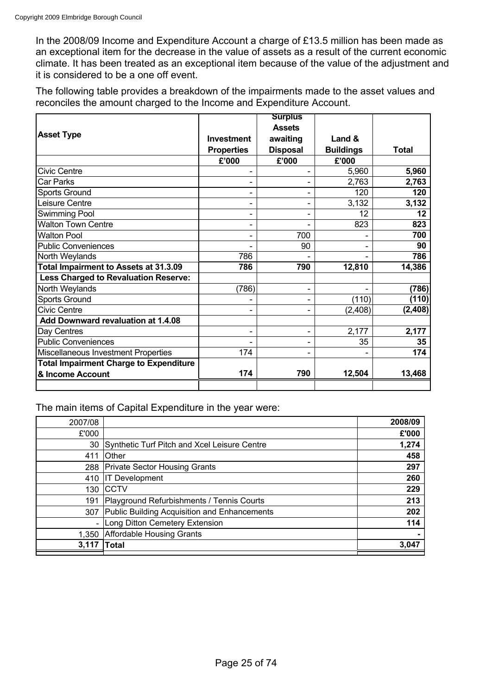In the 2008/09 Income and Expenditure Account a charge of £13.5 million has been made as an exceptional item for the decrease in the value of assets as a result of the current economic climate. It has been treated as an exceptional item because of the value of the adjustment and it is considered to be a one off event.

The following table provides a breakdown of the impairments made to the asset values and reconciles the amount charged to the Income and Expenditure Account.

|                                               |                   | <b>Surplus</b>           |                  |         |
|-----------------------------------------------|-------------------|--------------------------|------------------|---------|
|                                               |                   | <b>Assets</b>            |                  |         |
| <b>Asset Type</b>                             | <b>Investment</b> | awaiting                 | Land &           |         |
|                                               | <b>Properties</b> | <b>Disposal</b>          | <b>Buildings</b> | Total   |
|                                               | £'000             | £'000                    | £'000            |         |
| Civic Centre                                  |                   |                          | 5,960            | 5,960   |
| Car Parks                                     |                   |                          | 2,763            | 2,763   |
| Sports Ground                                 |                   |                          | 120              | 120     |
| Leisure Centre                                |                   |                          | 3,132            | 3,132   |
| Swimming Pool                                 |                   |                          | 12               | 12      |
| <b>Walton Town Centre</b>                     |                   |                          | 823              | 823     |
| <b>Walton Pool</b>                            | ۰                 | 700                      |                  | 700     |
| <b>Public Conveniences</b>                    |                   | 90                       |                  | 90      |
| North Weylands                                | 786               |                          |                  | 786     |
| Total Impairment to Assets at 31.3.09         | 786               | 790                      | 12,810           | 14,386  |
| <b>Less Charged to Revaluation Reserve:</b>   |                   |                          |                  |         |
| North Weylands                                | (786)             |                          |                  | (786)   |
| <b>Sports Ground</b>                          |                   |                          | (110)            | (110)   |
| Civic Centre                                  |                   |                          | (2, 408)         | (2,408) |
| Add Downward revaluation at 1.4.08            |                   |                          |                  |         |
| Day Centres                                   |                   | $\overline{\phantom{a}}$ | 2,177            | 2,177   |
| <b>Public Conveniences</b>                    |                   |                          | 35               | 35      |
| Miscellaneous Investment Properties           | 174               |                          |                  | 174     |
| <b>Total Impairment Charge to Expenditure</b> |                   |                          |                  |         |
| & Income Account                              | 174               | 790                      | 12,504           | 13,468  |
|                                               |                   |                          |                  |         |

The main items of Capital Expenditure in the year were:

| 2007/08 |                                              | 2008/09 |
|---------|----------------------------------------------|---------|
| £'000   |                                              | £'000   |
| 30      | Synthetic Turf Pitch and Xcel Leisure Centre | 1,274   |
| 411     | Other                                        | 458     |
| 288     | <b>Private Sector Housing Grants</b>         | 297     |
| 410     | <b>IT Development</b>                        | 260     |
| 130     | CCTV                                         | 229     |
| 191     | Playground Refurbishments / Tennis Courts    | 213     |
| 307     | Public Building Acquisition and Enhancements | 202     |
|         | Long Ditton Cemetery Extension               | 114     |
| 1,350   | <b>Affordable Housing Grants</b>             |         |
| 3,117   | <b>Total</b>                                 | 3,047   |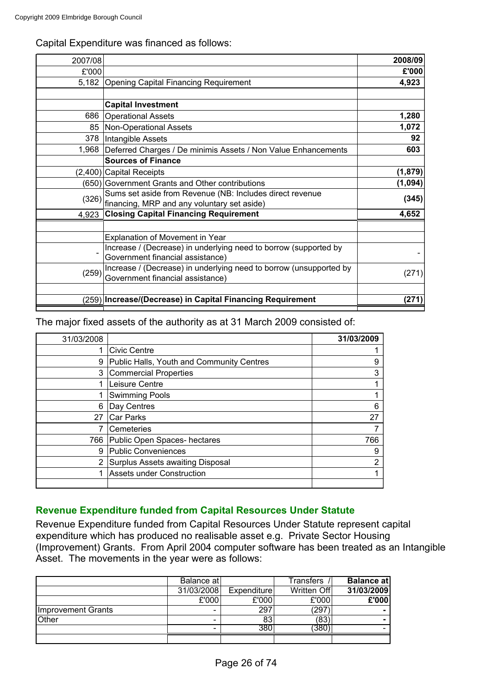|  |  | Capital Expenditure was financed as follows: |  |
|--|--|----------------------------------------------|--|
|  |  |                                              |  |

| 2007/08 |                                                                    | 2008/09  |
|---------|--------------------------------------------------------------------|----------|
| £'000   |                                                                    | £'000    |
| 5,182   | <b>Opening Capital Financing Requirement</b>                       | 4,923    |
|         |                                                                    |          |
|         | <b>Capital Investment</b>                                          |          |
| 686     | <b>Operational Assets</b>                                          | 1,280    |
| 85      | <b>Non-Operational Assets</b>                                      | 1,072    |
|         | 378   Intangible Assets                                            | 92       |
| 1,968   | Deferred Charges / De minimis Assets / Non Value Enhancements      | 603      |
|         | <b>Sources of Finance</b>                                          |          |
|         | (2,400) Capital Receipts                                           | (1, 879) |
|         | (650) Government Grants and Other contributions                    | (1,094)  |
| (326)   | Sums set aside from Revenue (NB: Includes direct revenue           | (345)    |
|         | financing, MRP and any voluntary set aside)                        |          |
| 4,923   | <b>Closing Capital Financing Requirement</b>                       | 4,652    |
|         |                                                                    |          |
|         | Explanation of Movement in Year                                    |          |
|         | Increase / (Decrease) in underlying need to borrow (supported by   |          |
|         | Government financial assistance)                                   |          |
| (259)   | Increase / (Decrease) in underlying need to borrow (unsupported by | (271)    |
|         | Government financial assistance)                                   |          |
|         |                                                                    |          |
| (259)   | Increase/(Decrease) in Capital Financing Requirement               | (271)    |

The major fixed assets of the authority as at 31 March 2009 consisted of:

| 31/03/2008 |                                           | 31/03/2009 |
|------------|-------------------------------------------|------------|
|            | <b>Civic Centre</b>                       |            |
| 9          | Public Halls, Youth and Community Centres | 9          |
| 3          | <b>Commercial Properties</b>              | 3          |
|            | Leisure Centre                            |            |
|            | <b>Swimming Pools</b>                     |            |
| 6          | Day Centres                               | 6          |
| 27         | Car Parks                                 | 27         |
|            | Cemeteries                                |            |
| 766        | Public Open Spaces- hectares              | 766        |
| 9          | Public Conveniences                       | 9          |
| 2          | Surplus Assets awaiting Disposal          | 2          |
|            | <b>Assets under Construction</b>          |            |
|            |                                           |            |

# **Revenue Expenditure funded from Capital Resources Under Statute**

Revenue Expenditure funded from Capital Resources Under Statute represent capital expenditure which has produced no realisable asset e.g. Private Sector Housing (Improvement) Grants. From April 2004 computer software has been treated as an Intangible Asset. The movements in the year were as follows:

|                    | Balance at |             | Transfers   | Balance at |
|--------------------|------------|-------------|-------------|------------|
|                    | 31/03/2008 | Expenditure | Written Off | 31/03/2009 |
|                    | £'000      | £'000       | £'000       | £'000      |
| Improvement Grants | -          | 297         | '297        |            |
| Other              |            | 83          | (83)        |            |
|                    | -          | 380         | 380         |            |
|                    |            |             |             |            |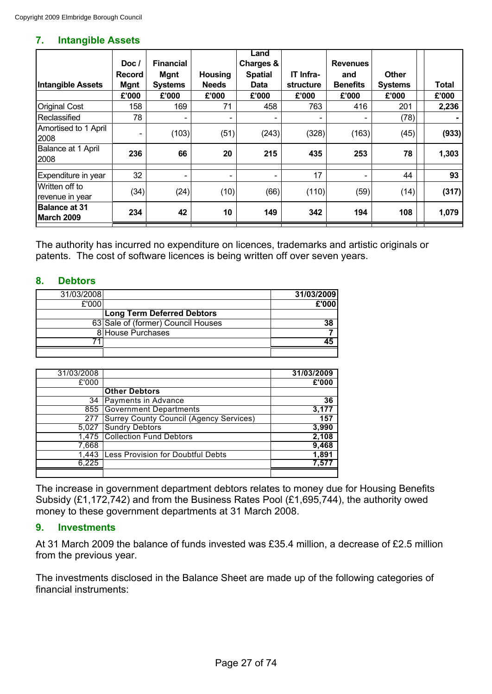#### **7. Intangible Assets**

|                                    | Doc /                        | <b>Financial</b>              |                                | Land<br>Charges &      |                               | <b>Revenues</b>        |                                |       |
|------------------------------------|------------------------------|-------------------------------|--------------------------------|------------------------|-------------------------------|------------------------|--------------------------------|-------|
| <b>Intangible Assets</b>           | <b>Record</b><br><b>Mgnt</b> | <b>Mgnt</b><br><b>Systems</b> | <b>Housing</b><br><b>Needs</b> | <b>Spatial</b><br>Data | IT Infra-<br><b>structure</b> | and<br><b>Benefits</b> | <b>Other</b><br><b>Systems</b> | Total |
|                                    | £'000                        | £'000                         | £'000                          | £'000                  | £'000                         | £'000                  | £'000                          | £'000 |
| <b>Original Cost</b>               | 158                          | 169                           | 71                             | 458                    | 763                           | 416                    | 201                            | 2,236 |
| Reclassified                       | 78                           | $\overline{\phantom{0}}$      |                                |                        |                               |                        | (78)                           |       |
| Amortised to 1 April<br>2008       | -                            | (103)                         | (51)                           | (243)                  | (328)                         | (163)                  | (45)                           | (933) |
| Balance at 1 April<br>2008         | 236                          | 66                            | 20                             | 215                    | 435                           | 253                    | 78                             | 1,303 |
| Expenditure in year                | 32                           | $\overline{\phantom{0}}$      | $\overline{\phantom{a}}$       | -                      | 17                            |                        | 44                             | 93    |
| Written off to<br>revenue in year  | (34)                         | (24)                          | (10)                           | (66)                   | (110)                         | (59)                   | (14)                           | (317) |
| <b>Balance at 31</b><br>March 2009 | 234                          | 42                            | 10                             | 149                    | 342                           | 194                    | 108                            | 1,079 |

The authority has incurred no expenditure on licences, trademarks and artistic originals or patents. The cost of software licences is being written off over seven years.

# **8. Debtors**

| 31/03/2008 |                                    | 31/03/2009 |
|------------|------------------------------------|------------|
| £'000      |                                    | £'000      |
|            | <b>Long Term Deferred Debtors</b>  |            |
|            | 63 Sale of (former) Council Houses | 38         |
|            | 8 House Purchases                  |            |
|            |                                    |            |
|            |                                    |            |

| 31/03/2008 |                                                | 31/03/2009 |
|------------|------------------------------------------------|------------|
| £'000      |                                                | £'000      |
|            | <b>Other Debtors</b>                           |            |
| 34         | Payments in Advance                            | 36         |
| 855        | <b>Government Departments</b>                  | 3,177      |
| 277        | <b>Surrey County Council (Agency Services)</b> | 157        |
| 5.027      | <b>Sundry Debtors</b>                          | 3,990      |
| 1,475      | <b>Collection Fund Debtors</b>                 | 2,108      |
| 7,668      |                                                | 9,468      |
| 1,443      | Less Provision for Doubtful Debts              | 1,891      |
| 6,225      |                                                | 7.571      |
|            |                                                |            |

The increase in government department debtors relates to money due for Housing Benefits Subsidy (£1,172,742) and from the Business Rates Pool (£1,695,744), the authority owed money to these government departments at 31 March 2008.

#### **9. Investments**

At 31 March 2009 the balance of funds invested was £35.4 million, a decrease of £2.5 million from the previous year.

The investments disclosed in the Balance Sheet are made up of the following categories of financial instruments: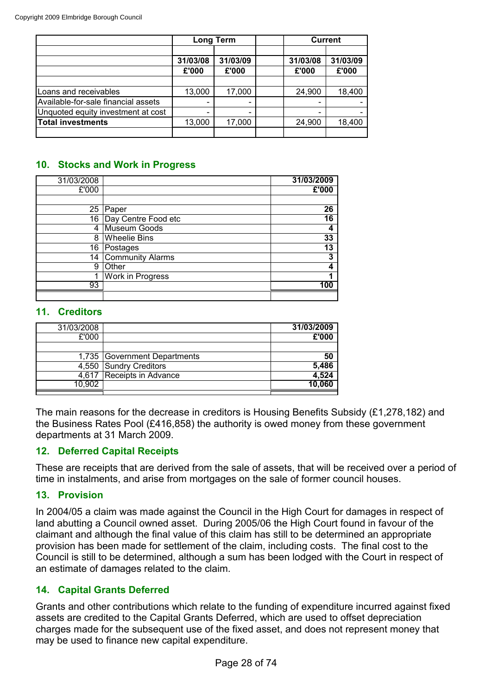|                                     | <b>Long Term</b>         |                              |  | <b>Current</b>    |                   |  |
|-------------------------------------|--------------------------|------------------------------|--|-------------------|-------------------|--|
|                                     | 31/03/08<br>£'000        | 31/03/09<br>£'000            |  | 31/03/08<br>£'000 | 31/03/09<br>£'000 |  |
|                                     |                          |                              |  |                   |                   |  |
| Loans and receivables               | 13,000                   | 17,000                       |  | 24,900            | 18,400            |  |
| Available-for-sale financial assets | -                        | $\qquad \qquad \blacksquare$ |  |                   |                   |  |
| Unquoted equity investment at cost  | $\overline{\phantom{0}}$ | $\overline{\phantom{0}}$     |  |                   |                   |  |
| <b>Total investments</b>            | 13,000                   | 17,000                       |  | 24,900            | 18,400            |  |
|                                     |                          |                              |  |                   |                   |  |

# **10. Stocks and Work in Progress**

| 31/03/2008     |                        | 31/03/2009 |
|----------------|------------------------|------------|
| £'000          |                        | £'000      |
|                |                        |            |
| 25             | Paper                  | 26         |
|                | 16 Day Centre Food etc | 16         |
| $\overline{4}$ | Museum Goods           | 4          |
| 8              | <b>Wheelie Bins</b>    | 33         |
| 16             | Postages               | 13         |
| 14             | Community Alarms       | 3          |
| 9              | Other                  |            |
| 1              | Work in Progress       |            |
| 93             |                        | 100        |
|                |                        |            |

#### **11. Creditors**

| 31/03/2008 |                              | 31/03/2009 |
|------------|------------------------------|------------|
| £'000      |                              | £'000      |
|            |                              |            |
|            | 1,735 Government Departments | 50         |
|            | 4,550 Sundry Creditors       | 5,486      |
|            | 4,617 Receipts in Advance    | 4,524      |
| 10.902     |                              | 10.060     |
|            |                              |            |

The main reasons for the decrease in creditors is Housing Benefits Subsidy (£1,278,182) and the Business Rates Pool (£416,858) the authority is owed money from these government departments at 31 March 2009.

# **12. Deferred Capital Receipts**

These are receipts that are derived from the sale of assets, that will be received over a period of time in instalments, and arise from mortgages on the sale of former council houses.

# **13. Provision**

In 2004/05 a claim was made against the Council in the High Court for damages in respect of land abutting a Council owned asset. During 2005/06 the High Court found in favour of the claimant and although the final value of this claim has still to be determined an appropriate provision has been made for settlement of the claim, including costs. The final cost to the Council is still to be determined, although a sum has been lodged with the Court in respect of an estimate of damages related to the claim.

# **14. Capital Grants Deferred**

Grants and other contributions which relate to the funding of expenditure incurred against fixed assets are credited to the Capital Grants Deferred, which are used to offset depreciation charges made for the subsequent use of the fixed asset, and does not represent money that may be used to finance new capital expenditure.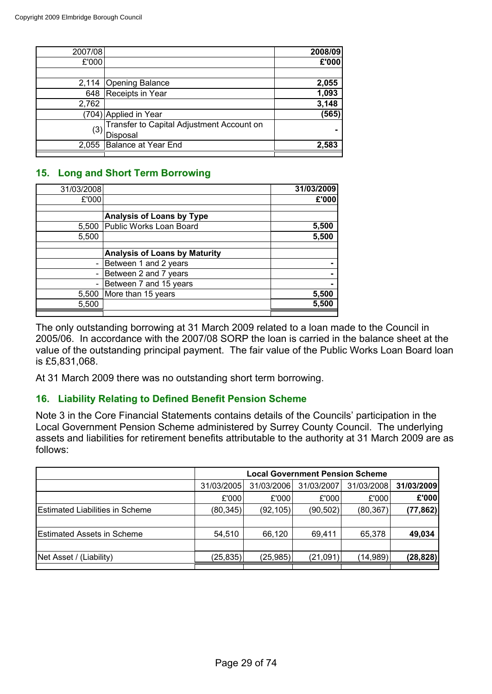| 2007/08 |                                           | 2008/09 |
|---------|-------------------------------------------|---------|
| £'000   |                                           | £'000   |
|         |                                           |         |
| 2,114   | Opening Balance                           | 2,055   |
| 648     | Receipts in Year                          | 1,093   |
| 2,762   |                                           | 3,148   |
|         | (704) Applied in Year                     | (565)   |
|         | Transfer to Capital Adjustment Account on |         |
| (3)     | Disposal                                  |         |
| 2,055   | Balance at Year End                       | 2,583   |
|         |                                           |         |

# **15. Long and Short Term Borrowing**

| 31/03/2008 |                                      | 31/03/2009 |
|------------|--------------------------------------|------------|
| £'000      |                                      | £'000      |
|            |                                      |            |
|            | <b>Analysis of Loans by Type</b>     |            |
| 5,500      | Public Works Loan Board              | 5,500      |
| 5,500      |                                      | 5,500      |
|            |                                      |            |
|            | <b>Analysis of Loans by Maturity</b> |            |
|            | Between 1 and 2 years                |            |
|            | Between 2 and 7 years                |            |
|            | Between 7 and 15 years               |            |
| 5,500      | More than 15 years                   | 5,500      |
| 5,500      |                                      | 5.500      |
|            |                                      |            |

The only outstanding borrowing at 31 March 2009 related to a loan made to the Council in 2005/06. In accordance with the 2007/08 SORP the loan is carried in the balance sheet at the value of the outstanding principal payment. The fair value of the Public Works Loan Board loan is £5,831,068.

At 31 March 2009 there was no outstanding short term borrowing.

# **16. Liability Relating to Defined Benefit Pension Scheme**

Note 3 in the Core Financial Statements contains details of the Councils' participation in the Local Government Pension Scheme administered by Surrey County Council. The underlying assets and liabilities for retirement benefits attributable to the authority at 31 March 2009 are as follows:

|                                        | <b>Local Government Pension Scheme</b> |            |            |            |            |  |
|----------------------------------------|----------------------------------------|------------|------------|------------|------------|--|
|                                        | 31/03/2005                             | 31/03/2006 | 31/03/2007 | 31/03/2008 | 31/03/2009 |  |
|                                        | £'000                                  | £'000      | £'000      | £'000      | £'000      |  |
| <b>Estimated Liabilities in Scheme</b> | (80, 345)                              | (92, 105)  | (90, 502)  | (80, 367)  | (77, 862)  |  |
|                                        |                                        |            |            |            |            |  |
| <b>Estimated Assets in Scheme</b>      | 54,510                                 | 66,120     | 69,411     | 65,378     | 49,034     |  |
|                                        |                                        |            |            |            |            |  |
| Net Asset / (Liability)                | (25, 835)                              | (25,985)   | (21,091)   | (14,989)   | (28, 828)  |  |
|                                        |                                        |            |            |            |            |  |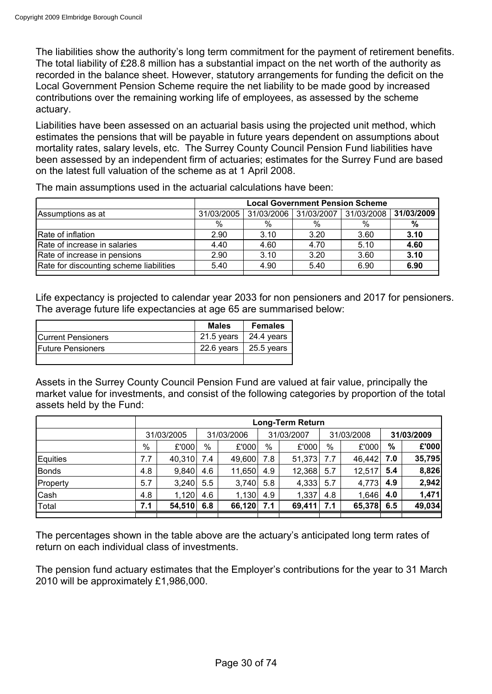The liabilities show the authority's long term commitment for the payment of retirement benefits. The total liability of £28.8 million has a substantial impact on the net worth of the authority as recorded in the balance sheet. However, statutory arrangements for funding the deficit on the Local Government Pension Scheme require the net liability to be made good by increased contributions over the remaining working life of employees, as assessed by the scheme actuary.

Liabilities have been assessed on an actuarial basis using the projected unit method, which estimates the pensions that will be payable in future years dependent on assumptions about mortality rates, salary levels, etc. The Surrey County Council Pension Fund liabilities have been assessed by an independent firm of actuaries; estimates for the Surrey Fund are based on the latest full valuation of the scheme as at 1 April 2008.

|                                         | <b>Local Government Pension Scheme</b> |               |            |            |            |
|-----------------------------------------|----------------------------------------|---------------|------------|------------|------------|
| Assumptions as at                       | 31/03/2005                             | 31/03/2006    | 31/03/2007 | 31/03/2008 | 31/03/2009 |
|                                         | %                                      | $\frac{0}{0}$ | $\%$       | $\%$       | %          |
| Rate of inflation                       | 2.90                                   | 3.10          | 3.20       | 3.60       | 3.10       |
| Rate of increase in salaries            | 4.40                                   | 4.60          | 4.70       | 5.10       | 4.60       |
| Rate of increase in pensions            | 2.90                                   | 3.10          | 3.20       | 3.60       | 3.10       |
| Rate for discounting scheme liabilities | 5.40                                   | 4.90          | 5.40       | 6.90       | 6.90       |
|                                         |                                        |               |            |            |            |

The main assumptions used in the actuarial calculations have been:

Life expectancy is projected to calendar year 2033 for non pensioners and 2017 for pensioners. The average future life expectancies at age 65 are summarised below:

|                           | <b>Males</b> | <b>Females</b>     |
|---------------------------|--------------|--------------------|
| <b>Current Pensioners</b> | 21.5 years   | $\vert$ 24.4 years |
| <b>IFuture Pensioners</b> | 22.6 years   | $\vert$ 25.5 years |
|                           |              |                    |

Assets in the Surrey County Council Pension Fund are valued at fair value, principally the market value for investments, and consist of the following categories by proportion of the total assets held by the Fund:

|              |     | Long-Term Return |     |            |     |            |     |            |     |            |  |
|--------------|-----|------------------|-----|------------|-----|------------|-----|------------|-----|------------|--|
|              |     | 31/03/2005       |     | 31/03/2006 |     | 31/03/2007 |     | 31/03/2008 |     | 31/03/2009 |  |
|              | %   | £'000            | %   | £'000      | %   | £'000      | %   | £'000      | %   | £'000      |  |
| Equities     | 7.7 | 40,310           | 7.4 | 49,600     | 7.8 | 51,373     | 7.7 | 46,442     | 7.0 | 35,795     |  |
| <b>Bonds</b> | 4.8 | 9,840            | 4.6 | 11,650     | 4.9 | 12,368     | 5.7 | 12,517     | 5.4 | 8,826      |  |
| Property     | 5.7 | 3,240            | 5.5 | 3,740      | 5.8 | 4,333      | 5.7 | 4,773      | 4.9 | 2,942      |  |
| Cash         | 4.8 | 1,120            | 4.6 | 1,130      | 4.9 | 1,337      | 4.8 | 1,646      | 4.0 | 1,471      |  |
| Total        | 7.1 | 54,510           | 6.8 | 66,120     | 7.1 | 69,411     | 7.1 | 65,378     | 6.5 | 49,034     |  |
|              |     |                  |     |            |     |            |     |            |     |            |  |

The percentages shown in the table above are the actuary's anticipated long term rates of return on each individual class of investments.

The pension fund actuary estimates that the Employer's contributions for the year to 31 March 2010 will be approximately £1,986,000.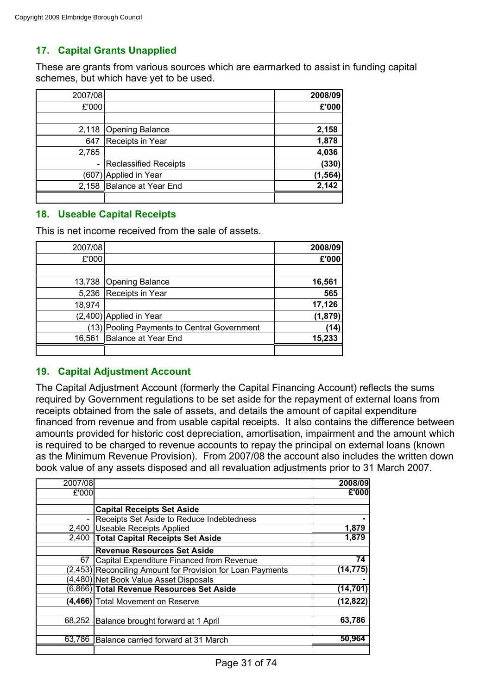# **17. Capital Grants Unapplied**

These are grants from various sources which are earmarked to assist in funding capital schemes, but which have yet to be used.

| 2007/08 |                              | 2008/09  |
|---------|------------------------------|----------|
| £'000   |                              | £'000    |
|         |                              |          |
| 2,118   | Opening Balance              | 2,158    |
| 647     | Receipts in Year             | 1,878    |
| 2,765   |                              | 4,036    |
|         | <b>Reclassified Receipts</b> | (330)    |
| (607)   | Applied in Year              | (1, 564) |
| 2,158   | Balance at Year End          | 2,142    |
|         |                              |          |

# **18. Useable Capital Receipts**

This is net income received from the sale of assets.

| 2007/08 |                                             | 2008/09 |
|---------|---------------------------------------------|---------|
| £'000   |                                             | £'000   |
|         |                                             |         |
| 13,738  | Opening Balance                             | 16,561  |
| 5,236   | Receipts in Year                            | 565     |
| 18,974  |                                             | 17,126  |
|         | $(2,400)$ Applied in Year                   | (1,879) |
|         | (13) Pooling Payments to Central Government | (14)    |
| 16,561  | Balance at Year End                         | 15,233  |
|         |                                             |         |

# **19. Capital Adjustment Account**

The Capital Adjustment Account (formerly the Capital Financing Account) reflects the sums required by Government regulations to be set aside for the repayment of external loans from receipts obtained from the sale of assets, and details the amount of capital expenditure financed from revenue and from usable capital receipts. It also contains the difference between amounts provided for historic cost depreciation, amortisation, impairment and the amount which is required to be charged to revenue accounts to repay the principal on external loans (known as the Minimum Revenue Provision). From 2007/08 the account also includes the written down book value of any assets disposed and all revaluation adjustments prior to 31 March 2007.

| 2007/08 |                                                            | 2008/09   |
|---------|------------------------------------------------------------|-----------|
| £'000   |                                                            | £'000     |
|         |                                                            |           |
|         | <b>Capital Receipts Set Aside</b>                          |           |
|         | Receipts Set Aside to Reduce Indebtedness                  |           |
| 2,400   | <b>Useable Receipts Applied</b>                            | 1,879     |
| 2,400   | <b>Total Capital Receipts Set Aside</b>                    | 1,879     |
|         | <b>Revenue Resources Set Aside</b>                         |           |
| 67      | Capital Expenditure Financed from Revenue                  | 74        |
|         | (2,453) Reconciling Amount for Provision for Loan Payments | (14,775)  |
|         | (4,480) Net Book Value Asset Disposals                     |           |
|         | (6,866) Total Revenue Resources Set Aside                  | (14,701)  |
|         | (4,466) Total Movement on Reserve                          | (12, 822) |
| 68,252  | Balance brought forward at 1 April                         | 63,786    |
|         |                                                            |           |
| 63,786  | Balance carried forward at 31 March                        | 50,964    |
|         |                                                            |           |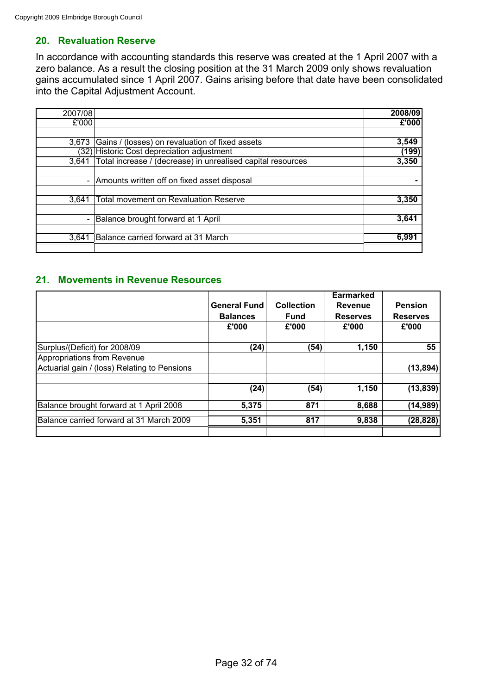# **20. Revaluation Reserve**

In accordance with accounting standards this reserve was created at the 1 April 2007 with a zero balance. As a result the closing position at the 31 March 2009 only shows revaluation gains accumulated since 1 April 2007. Gains arising before that date have been consolidated into the Capital Adjustment Account.

| 2007/08 |                                                             | 2008/09  |
|---------|-------------------------------------------------------------|----------|
| £'000   |                                                             | $E$ '000 |
|         |                                                             |          |
| 3.673   | Gains / (losses) on revaluation of fixed assets             | 3,549    |
|         | (32) Historic Cost depreciation adjustment                  | (199)    |
| 3.641   | Total increase / (decrease) in unrealised capital resources | 3,350    |
|         |                                                             |          |
|         | Amounts written off on fixed asset disposal                 |          |
|         |                                                             |          |
| 3,641   | <b>Total movement on Revaluation Reserve</b>                | 3,350    |
|         |                                                             |          |
|         | Balance brought forward at 1 April                          | 3,641    |
|         |                                                             |          |
| 3,641   | Balance carried forward at 31 March                         | 6,991    |
|         |                                                             |          |

# **21. Movements in Revenue Resources**

|                                              |                     |                   | <b>Earmarked</b> |                 |
|----------------------------------------------|---------------------|-------------------|------------------|-----------------|
|                                              | <b>General Fund</b> | <b>Collection</b> | <b>Revenue</b>   | <b>Pension</b>  |
|                                              | <b>Balances</b>     | <b>Fund</b>       | <b>Reserves</b>  | <b>Reserves</b> |
|                                              | £'000               | £'000             | £'000            | £'000           |
|                                              |                     |                   |                  |                 |
| Surplus/(Deficit) for 2008/09                | (24)                | (54)              | 1.150            | 55              |
| Appropriations from Revenue                  |                     |                   |                  |                 |
| Actuarial gain / (loss) Relating to Pensions |                     |                   |                  | (13, 894)       |
|                                              |                     |                   |                  |                 |
|                                              | (24)                | (54)              | 1,150            | (13, 839)       |
| Balance brought forward at 1 April 2008      | 5,375               | 871               | 8,688            | (14, 989)       |
| Balance carried forward at 31 March 2009     | 5,351               | 817               | 9,838            | (28, 828)       |
|                                              |                     |                   |                  |                 |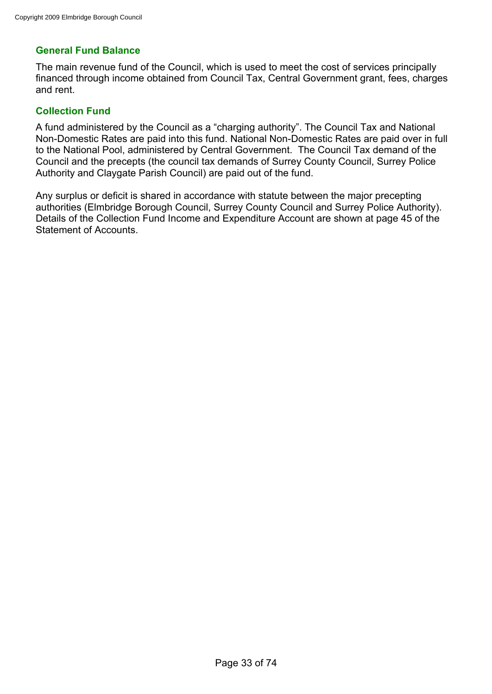# **General Fund Balance**

The main revenue fund of the Council, which is used to meet the cost of services principally financed through income obtained from Council Tax, Central Government grant, fees, charges and rent.

# **Collection Fund**

A fund administered by the Council as a "charging authority". The Council Tax and National Non-Domestic Rates are paid into this fund. National Non-Domestic Rates are paid over in full to the National Pool, administered by Central Government. The Council Tax demand of the Council and the precepts (the council tax demands of Surrey County Council, Surrey Police Authority and Claygate Parish Council) are paid out of the fund.

Any surplus or deficit is shared in accordance with statute between the major precepting authorities (Elmbridge Borough Council, Surrey County Council and Surrey Police Authority). Details of the Collection Fund Income and Expenditure Account are shown at page 45 of the Statement of Accounts.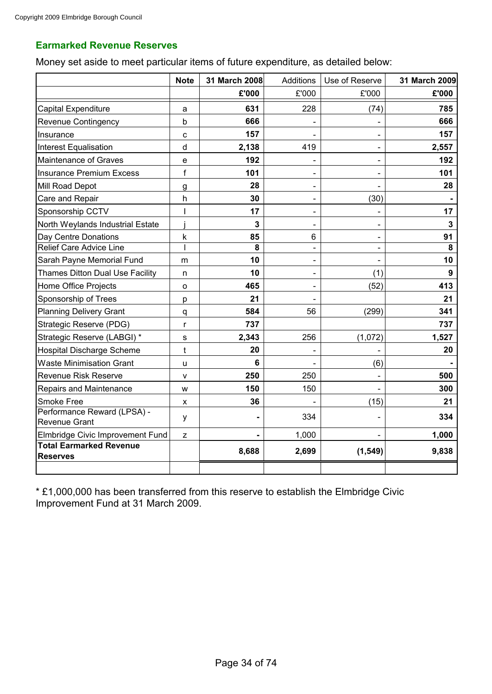# **Earmarked Revenue Reserves**

Money set aside to meet particular items of future expenditure, as detailed below:

|                                                     | <b>Note</b>  | 31 March 2008 | Additions                | Use of Reserve | 31 March 2009  |
|-----------------------------------------------------|--------------|---------------|--------------------------|----------------|----------------|
|                                                     |              | £'000         | £'000                    | £'000          | £'000          |
| <b>Capital Expenditure</b>                          | a            | 631           | 228                      | (74)           | 785            |
| Revenue Contingency                                 | b            | 666           |                          |                | 666            |
| Insurance                                           | C            | 157           |                          |                | 157            |
| <b>Interest Equalisation</b>                        | d            | 2,138         | 419                      |                | 2,557          |
| Maintenance of Graves                               | e            | 192           |                          |                | 192            |
| <b>Insurance Premium Excess</b>                     | $\mathsf f$  | 101           |                          |                | 101            |
| Mill Road Depot                                     | g            | 28            |                          |                | 28             |
| Care and Repair                                     | h            | 30            |                          | (30)           |                |
| Sponsorship CCTV                                    | ı            | 17            |                          |                | 17             |
| North Weylands Industrial Estate                    |              | 3             |                          |                | $\overline{3}$ |
| Day Centre Donations                                | k            | 85            | 6                        |                | 91             |
| <b>Relief Care Advice Line</b>                      | I            | 8             | $\overline{a}$           |                | 8              |
| Sarah Payne Memorial Fund                           | m            | 10            |                          |                | 10             |
| <b>Thames Ditton Dual Use Facility</b>              | n            | 10            | $\overline{\phantom{0}}$ | (1)            | 9              |
| Home Office Projects                                | о            | 465           |                          | (52)           | 413            |
| Sponsorship of Trees                                | p            | 21            |                          |                | 21             |
| <b>Planning Delivery Grant</b>                      | q            | 584           | 56                       | (299)          | 341            |
| Strategic Reserve (PDG)                             | $\mathsf{r}$ | 737           |                          |                | 737            |
| Strategic Reserve (LABGI) *                         | s            | 2,343         | 256                      | (1,072)        | 1,527          |
| <b>Hospital Discharge Scheme</b>                    | t            | 20            |                          |                | 20             |
| <b>Waste Minimisation Grant</b>                     | u            | 6             |                          | (6)            |                |
| <b>Revenue Risk Reserve</b>                         | v            | 250           | 250                      |                | 500            |
| Repairs and Maintenance                             | W            | 150           | 150                      |                | 300            |
| Smoke Free                                          | X            | 36            |                          | (15)           | 21             |
| Performance Reward (LPSA) -<br><b>Revenue Grant</b> | у            |               | 334                      |                | 334            |
| Elmbridge Civic Improvement Fund                    | Z            |               | 1,000                    |                | 1,000          |
| <b>Total Earmarked Revenue</b><br><b>Reserves</b>   |              | 8,688         | 2,699                    | (1, 549)       | 9,838          |
|                                                     |              |               |                          |                |                |

\* £1,000,000 has been transferred from this reserve to establish the Elmbridge Civic Improvement Fund at 31 March 2009.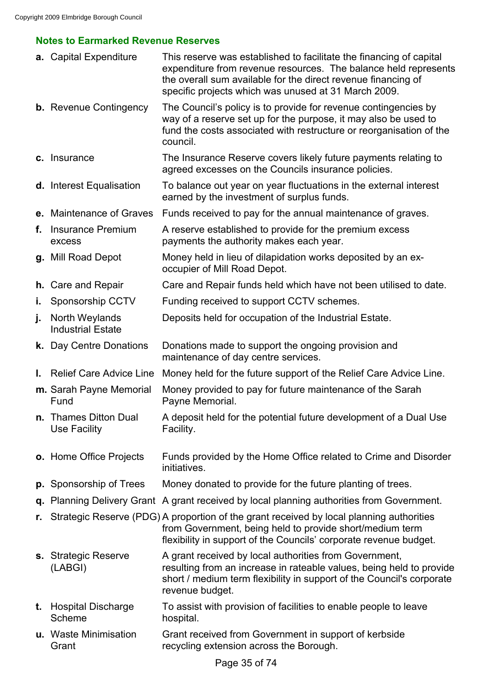# **Notes to Earmarked Revenue Reserves**

|    | a. Capital Expenditure                     | This reserve was established to facilitate the financing of capital<br>expenditure from revenue resources. The balance held represents<br>the overall sum available for the direct revenue financing of<br>specific projects which was unused at 31 March 2009. |
|----|--------------------------------------------|-----------------------------------------------------------------------------------------------------------------------------------------------------------------------------------------------------------------------------------------------------------------|
|    | <b>b.</b> Revenue Contingency              | The Council's policy is to provide for revenue contingencies by<br>way of a reserve set up for the purpose, it may also be used to<br>fund the costs associated with restructure or reorganisation of the<br>council.                                           |
|    | c. Insurance                               | The Insurance Reserve covers likely future payments relating to<br>agreed excesses on the Councils insurance policies.                                                                                                                                          |
|    | d. Interest Equalisation                   | To balance out year on year fluctuations in the external interest<br>earned by the investment of surplus funds.                                                                                                                                                 |
|    | e. Maintenance of Graves                   | Funds received to pay for the annual maintenance of graves.                                                                                                                                                                                                     |
| f. | <b>Insurance Premium</b><br>excess         | A reserve established to provide for the premium excess<br>payments the authority makes each year.                                                                                                                                                              |
|    | g. Mill Road Depot                         | Money held in lieu of dilapidation works deposited by an ex-<br>occupier of Mill Road Depot.                                                                                                                                                                    |
|    | <b>h.</b> Care and Repair                  | Care and Repair funds held which have not been utilised to date.                                                                                                                                                                                                |
| ъ. | Sponsorship CCTV                           | Funding received to support CCTV schemes.                                                                                                                                                                                                                       |
| j. | North Weylands<br><b>Industrial Estate</b> | Deposits held for occupation of the Industrial Estate.                                                                                                                                                                                                          |
|    | k. Day Centre Donations                    | Donations made to support the ongoing provision and<br>maintenance of day centre services.                                                                                                                                                                      |
|    | I. Relief Care Advice Line                 | Money held for the future support of the Relief Care Advice Line.                                                                                                                                                                                               |
|    | m. Sarah Payne Memorial<br>Fund            | Money provided to pay for future maintenance of the Sarah<br>Payne Memorial.                                                                                                                                                                                    |
|    | n. Thames Ditton Dual<br>Use Facility      | A deposit held for the potential future development of a Dual Use<br>Facility.                                                                                                                                                                                  |
|    | o. Home Office Projects                    | Funds provided by the Home Office related to Crime and Disorder<br>initiatives.                                                                                                                                                                                 |
|    | <b>p.</b> Sponsorship of Trees             | Money donated to provide for the future planting of trees.                                                                                                                                                                                                      |
|    |                                            | q. Planning Delivery Grant A grant received by local planning authorities from Government.                                                                                                                                                                      |
| r. |                                            | Strategic Reserve (PDG) A proportion of the grant received by local planning authorities<br>from Government, being held to provide short/medium term<br>flexibility in support of the Councils' corporate revenue budget.                                       |
|    | s. Strategic Reserve<br>(LABGI)            | A grant received by local authorities from Government,<br>resulting from an increase in rateable values, being held to provide<br>short / medium term flexibility in support of the Council's corporate<br>revenue budget.                                      |
|    | t. Hospital Discharge<br>Scheme            | To assist with provision of facilities to enable people to leave<br>hospital.                                                                                                                                                                                   |
|    | u. Waste Minimisation<br>Grant             | Grant received from Government in support of kerbside<br>recycling extension across the Borough.                                                                                                                                                                |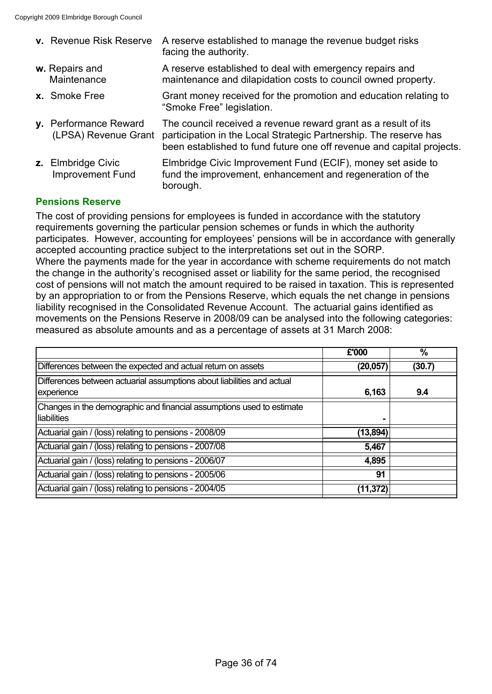| v. Revenue Risk Reserve                       | A reserve established to manage the revenue budget risks<br>facing the authority.                                                                                                                            |
|-----------------------------------------------|--------------------------------------------------------------------------------------------------------------------------------------------------------------------------------------------------------------|
| w. Repairs and<br>Maintenance                 | A reserve established to deal with emergency repairs and<br>maintenance and dilapidation costs to council owned property.                                                                                    |
| x. Smoke Free                                 | Grant money received for the promotion and education relating to<br>"Smoke Free" legislation.                                                                                                                |
| y. Performance Reward<br>(LPSA) Revenue Grant | The council received a revenue reward grant as a result of its<br>participation in the Local Strategic Partnership. The reserve has<br>been established to fund future one off revenue and capital projects. |
| z. Elmbridge Civic<br><b>Improvement Fund</b> | Elmbridge Civic Improvement Fund (ECIF), money set aside to<br>fund the improvement, enhancement and regeneration of the<br>borough.                                                                         |
|                                               |                                                                                                                                                                                                              |

## **Pensions Reserve**

The cost of providing pensions for employees is funded in accordance with the statutory requirements governing the particular pension schemes or funds in which the authority participates. However, accounting for employees' pensions will be in accordance with generally accepted accounting practice subject to the interpretations set out in the SORP. Where the payments made for the year in accordance with scheme requirements do not match the change in the authority's recognised asset or liability for the same period, the recognised cost of pensions will not match the amount required to be raised in taxation. This is represented by an appropriation to or from the Pensions Reserve, which equals the net change in pensions liability recognised in the Consolidated Revenue Account. The actuarial gains identified as movements on the Pensions Reserve in 2008/09 can be analysed into the following categories: measured as absolute amounts and as a percentage of assets at 31 March 2008:

|                                                                                              | £'000     | $\overline{\%}$ |
|----------------------------------------------------------------------------------------------|-----------|-----------------|
| Differences between the expected and actual return on assets                                 | (20, 057) | (30.7)          |
| Differences between actuarial assumptions about liabilities and actual<br>experience         | 6,163     | 9.4             |
| Changes in the demographic and financial assumptions used to estimate<br><b>Iliabilities</b> |           |                 |
| Actuarial gain / (loss) relating to pensions - 2008/09                                       | (13,894)  |                 |
| Actuarial gain / (loss) relating to pensions - 2007/08                                       | 5,467     |                 |
| Actuarial gain / (loss) relating to pensions - 2006/07                                       | 4,895     |                 |
| Actuarial gain / (loss) relating to pensions - 2005/06                                       | 91        |                 |
| Actuarial gain / (loss) relating to pensions - 2004/05                                       | (11,372)  |                 |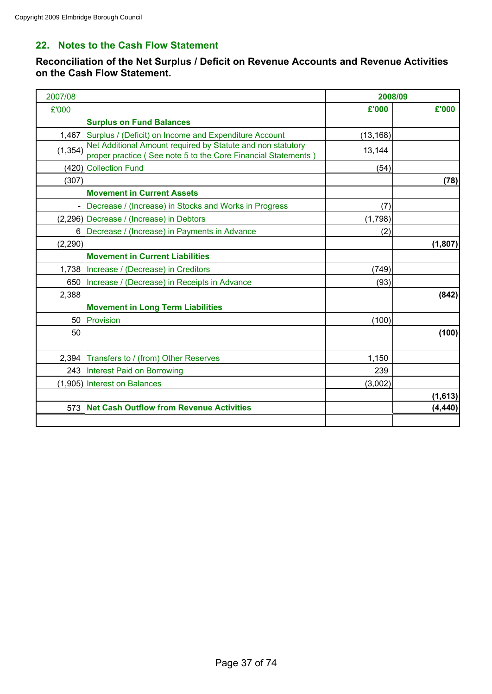# **22. Notes to the Cash Flow Statement**

**Reconciliation of the Net Surplus / Deficit on Revenue Accounts and Revenue Activities on the Cash Flow Statement.**

| 2007/08  |                                                                                                                              | 2008/09   |          |
|----------|------------------------------------------------------------------------------------------------------------------------------|-----------|----------|
| £'000    |                                                                                                                              | £'000     | £'000    |
|          | <b>Surplus on Fund Balances</b>                                                                                              |           |          |
| 1,467    | Surplus / (Deficit) on Income and Expenditure Account                                                                        | (13, 168) |          |
| (1, 354) | Net Additional Amount required by Statute and non statutory<br>proper practice (See note 5 to the Core Financial Statements) | 13,144    |          |
|          | (420) Collection Fund                                                                                                        | (54)      |          |
| (307)    |                                                                                                                              |           | (78)     |
|          | <b>Movement in Current Assets</b>                                                                                            |           |          |
|          | Decrease / (Increase) in Stocks and Works in Progress                                                                        | (7)       |          |
|          | (2,296) Decrease / (Increase) in Debtors                                                                                     | (1,798)   |          |
| 6        | Decrease / (Increase) in Payments in Advance                                                                                 | (2)       |          |
| (2, 290) |                                                                                                                              |           | (1,807)  |
|          | <b>Movement in Current Liabilities</b>                                                                                       |           |          |
| 1,738    | Increase / (Decrease) in Creditors                                                                                           | (749)     |          |
| 650      | Increase / (Decrease) in Receipts in Advance                                                                                 | (93)      |          |
| 2,388    |                                                                                                                              |           | (842)    |
|          | <b>Movement in Long Term Liabilities</b>                                                                                     |           |          |
| 50       | Provision                                                                                                                    | (100)     |          |
| 50       |                                                                                                                              |           | (100)    |
| 2,394    | Transfers to / (from) Other Reserves                                                                                         | 1,150     |          |
|          | 243   Interest Paid on Borrowing                                                                                             | 239       |          |
|          | (1,905) Interest on Balances                                                                                                 | (3,002)   |          |
|          |                                                                                                                              |           | (1,613)  |
| 573      | <b>Net Cash Outflow from Revenue Activities</b>                                                                              |           | (4, 440) |
|          |                                                                                                                              |           |          |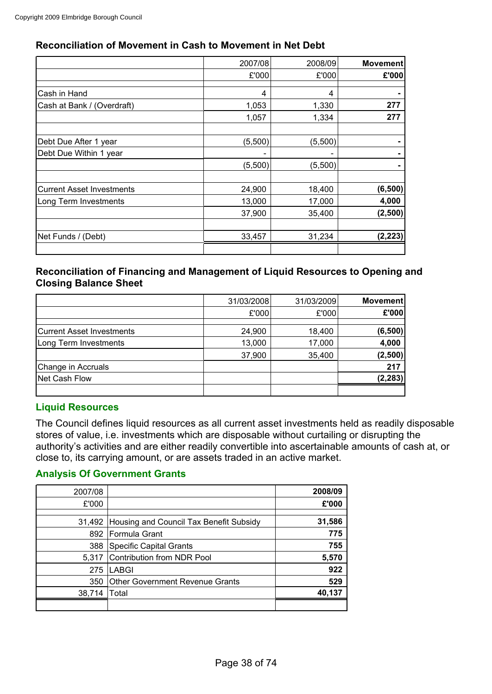## **Reconciliation of Movement in Cash to Movement in Net Debt**

|                                  | 2007/08 | 2008/09 | Movement |
|----------------------------------|---------|---------|----------|
|                                  | £'000   | £'000   | E'000    |
|                                  |         |         |          |
| Cash in Hand                     | 4       | 4       |          |
| Cash at Bank / (Overdraft)       | 1,053   | 1,330   | 277      |
|                                  | 1,057   | 1,334   | 277      |
|                                  |         |         |          |
| Debt Due After 1 year            | (5,500) | (5,500) |          |
| Debt Due Within 1 year           |         |         |          |
|                                  | (5,500) | (5,500) |          |
|                                  |         |         |          |
| <b>Current Asset Investments</b> | 24,900  | 18,400  | (6,500)  |
| Long Term Investments            | 13,000  | 17,000  | 4,000    |
|                                  | 37,900  | 35,400  | (2,500)  |
|                                  |         |         |          |
| Net Funds / (Debt)               | 33,457  | 31,234  | (2, 223) |
|                                  |         |         |          |

## **Reconciliation of Financing and Management of Liquid Resources to Opening and Closing Balance Sheet**

|                                  | 31/03/2008 | 31/03/2009 | <b>Movement</b> |
|----------------------------------|------------|------------|-----------------|
|                                  | £'000      | £'000      | £'000           |
|                                  |            |            |                 |
| <b>Current Asset Investments</b> | 24,900     | 18,400     | (6,500)         |
| Long Term Investments            | 13,000     | 17,000     | 4,000           |
|                                  | 37,900     | 35,400     | (2,500)         |
| Change in Accruals               |            |            | 217             |
| <b>Net Cash Flow</b>             |            |            | (2, 283)        |
|                                  |            |            |                 |

## **Liquid Resources**

The Council defines liquid resources as all current asset investments held as readily disposable stores of value, i.e. investments which are disposable without curtailing or disrupting the authority's activities and are either readily convertible into ascertainable amounts of cash at, or close to, its carrying amount, or are assets traded in an active market.

## **Analysis Of Government Grants**

| 2007/08 |                                                | 2008/09 |
|---------|------------------------------------------------|---------|
| £'000   |                                                | £'000   |
|         | 31,492 Housing and Council Tax Benefit Subsidy | 31,586  |
| 892     | Formula Grant                                  | 775     |
| 388     | Specific Capital Grants                        | 755     |
| 5.317   | Contribution from NDR Pool                     | 5,570   |
| 275     | LABGI                                          | 922     |
| 350     | <b>Other Government Revenue Grants</b>         | 529     |
| 38,714  | Total                                          | 40,137  |
|         |                                                |         |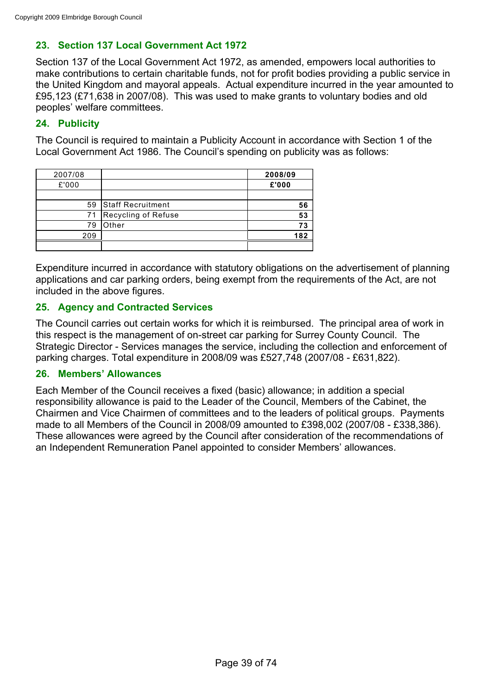# **23. Section 137 Local Government Act 1972**

Section 137 of the Local Government Act 1972, as amended, empowers local authorities to make contributions to certain charitable funds, not for profit bodies providing a public service in the United Kingdom and mayoral appeals. Actual expenditure incurred in the year amounted to £95,123 (£71,638 in 2007/08). This was used to make grants to voluntary bodies and old peoples' welfare committees.

## **24. Publicity**

The Council is required to maintain a Publicity Account in accordance with Section 1 of the Local Government Act 1986. The Council's spending on publicity was as follows:

| 2007/08 |                          | 2008/09 |
|---------|--------------------------|---------|
| £'000   |                          | £'000   |
|         |                          |         |
| 59      | <b>Staff Recruitment</b> | 56      |
| 71      | Recycling of Refuse      | 53      |
| 79      | Other                    | 73      |
| 209     |                          | 182     |
|         |                          |         |

Expenditure incurred in accordance with statutory obligations on the advertisement of planning applications and car parking orders, being exempt from the requirements of the Act, are not included in the above figures.

## **25. Agency and Contracted Services**

The Council carries out certain works for which it is reimbursed. The principal area of work in this respect is the management of on-street car parking for Surrey County Council. The Strategic Director - Services manages the service, including the collection and enforcement of parking charges. Total expenditure in 2008/09 was £527,748 (2007/08 - £631,822).

## **26. Members' Allowances**

Each Member of the Council receives a fixed (basic) allowance; in addition a special responsibility allowance is paid to the Leader of the Council, Members of the Cabinet, the Chairmen and Vice Chairmen of committees and to the leaders of political groups. Payments made to all Members of the Council in 2008/09 amounted to £398,002 (2007/08 - £338,386). These allowances were agreed by the Council after consideration of the recommendations of an Independent Remuneration Panel appointed to consider Members' allowances.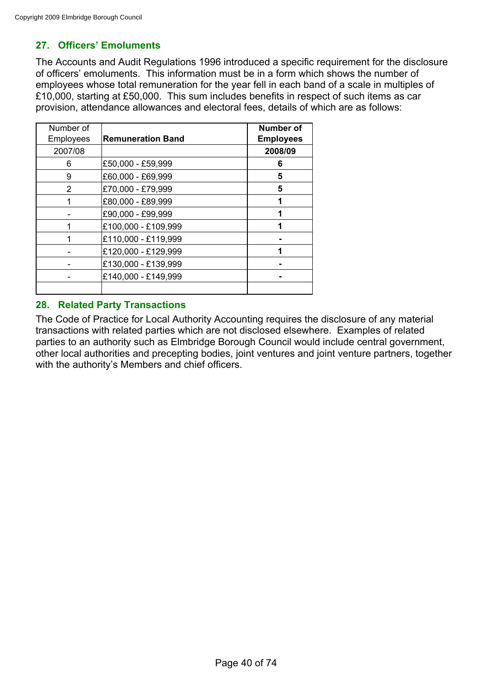# **27. Officers' Emoluments**

The Accounts and Audit Regulations 1996 introduced a specific requirement for the disclosure of officers' emoluments. This information must be in a form which shows the number of employees whose total remuneration for the year fell in each band of a scale in multiples of £10,000, starting at £50,000. This sum includes benefits in respect of such items as car provision, attendance allowances and electoral fees, details of which are as follows:

| Number of |                          | <b>Number of</b> |
|-----------|--------------------------|------------------|
| Employees | <b>Remuneration Band</b> | <b>Employees</b> |
| 2007/08   |                          | 2008/09          |
| 6         | £50,000 - £59,999        | 6                |
| 9         | £60,000 - £69,999        | 5                |
| 2         | £70,000 - £79,999        | 5                |
|           | £80,000 - £89,999        |                  |
|           | £90,000 - £99,999        |                  |
|           | £100,000 - £109,999      |                  |
|           | £110,000 - £119,999      |                  |
|           | £120,000 - £129,999      |                  |
|           | £130,000 - £139,999      |                  |
|           | £140,000 - £149,999      |                  |
|           |                          |                  |

## **28. Related Party Transactions**

The Code of Practice for Local Authority Accounting requires the disclosure of any material transactions with related parties which are not disclosed elsewhere. Examples of related parties to an authority such as Elmbridge Borough Council would include central government, other local authorities and precepting bodies, joint ventures and joint venture partners, together with the authority's Members and chief officers.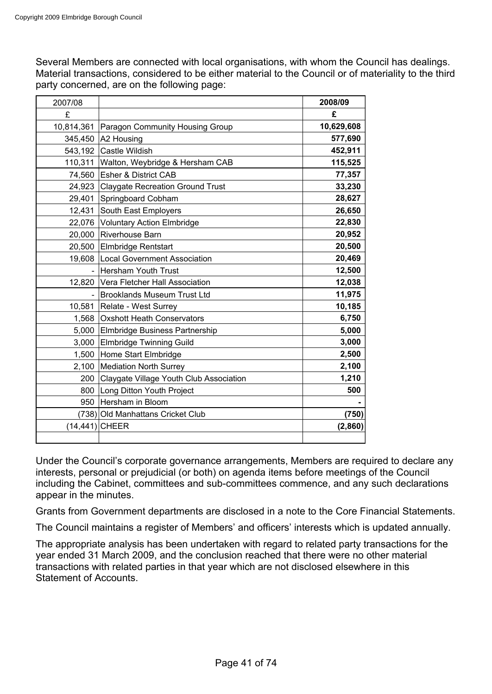Several Members are connected with local organisations, with whom the Council has dealings. Material transactions, considered to be either material to the Council or of materiality to the third party concerned, are on the following page:

| 2007/08        |                                         | 2008/09    |
|----------------|-----------------------------------------|------------|
| £              |                                         | £          |
| 10,814,361     | Paragon Community Housing Group         | 10,629,608 |
| 345,450        | A2 Housing                              | 577,690    |
|                | 543,192 Castle Wildish                  | 452,911    |
|                | 110,311 Walton, Weybridge & Hersham CAB | 115,525    |
| 74,560         | <b>Esher &amp; District CAB</b>         | 77,357     |
| 24,923         | <b>Claygate Recreation Ground Trust</b> | 33,230     |
| 29,401         | Springboard Cobham                      | 28,627     |
| 12,431         | South East Employers                    | 26,650     |
|                | 22,076 Voluntary Action Elmbridge       | 22,830     |
|                | 20,000 Riverhouse Barn                  | 20,952     |
|                | 20,500 Elmbridge Rentstart              | 20,500     |
| 19,608         | <b>Local Government Association</b>     | 20,469     |
|                | <b>Hersham Youth Trust</b>              | 12,500     |
| 12,820         | Vera Fletcher Hall Association          | 12,038     |
|                | <b>Brooklands Museum Trust Ltd</b>      | 11,975     |
|                | 10,581 Relate - West Surrey             | 10,185     |
| 1,568          | <b>Oxshott Heath Conservators</b>       | 6,750      |
|                | 5,000 Elmbridge Business Partnership    | 5,000      |
| 3,000          | Elmbridge Twinning Guild                | 3,000      |
| 1,500          | Home Start Elmbridge                    | 2,500      |
| 2,100          | <b>Mediation North Surrey</b>           | 2,100      |
| 200            | Claygate Village Youth Club Association | 1,210      |
| 800            | Long Ditton Youth Project               | 500        |
| 950            | Hersham in Bloom                        |            |
|                | (738) Old Manhattans Cricket Club       | (750)      |
| (14,441) CHEER |                                         | (2,860)    |
|                |                                         |            |

Under the Council's corporate governance arrangements, Members are required to declare any interests, personal or prejudicial (or both) on agenda items before meetings of the Council including the Cabinet, committees and sub-committees commence, and any such declarations appear in the minutes.

Grants from Government departments are disclosed in a note to the Core Financial Statements.

The Council maintains a register of Members' and officers' interests which is updated annually.

The appropriate analysis has been undertaken with regard to related party transactions for the year ended 31 March 2009, and the conclusion reached that there were no other material transactions with related parties in that year which are not disclosed elsewhere in this Statement of Accounts.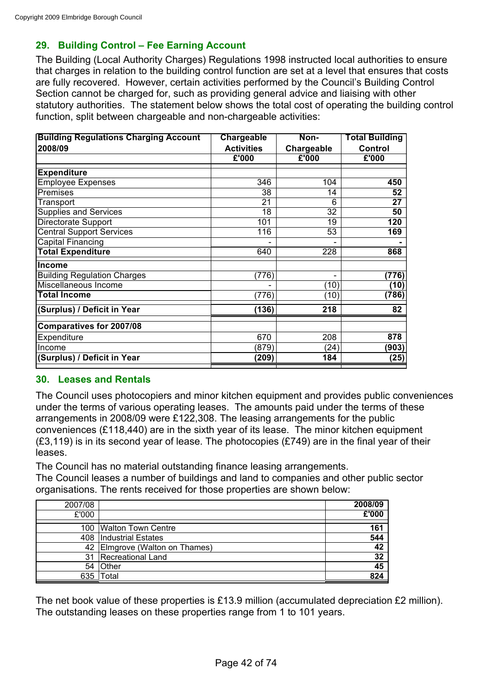# **29. Building Control – Fee Earning Account**

The Building (Local Authority Charges) Regulations 1998 instructed local authorities to ensure that charges in relation to the building control function are set at a level that ensures that costs are fully recovered. However, certain activities performed by the Council's Building Control Section cannot be charged for, such as providing general advice and liaising with other statutory authorities. The statement below shows the total cost of operating the building control function, split between chargeable and non-chargeable activities:

| <b>Building Regulations Charging Account</b> | <b>Chargeable</b> | Non-            | <b>Total Building</b> |
|----------------------------------------------|-------------------|-----------------|-----------------------|
| 2008/09                                      | <b>Activities</b> | Chargeable      | <b>Control</b>        |
|                                              | £'000             | £'000           | £'000                 |
| <b>Expenditure</b>                           |                   |                 |                       |
| <b>Employee Expenses</b>                     | 346               | 104             | 450                   |
| Premises                                     | 38                | 14              | 52                    |
| Transport                                    | 21                | 6               | 27                    |
| Supplies and Services                        | 18                | $\overline{32}$ | 50                    |
| Directorate Support                          | 101               | 19              | 120                   |
| <b>Central Support Services</b>              | 116               | 53              | 169                   |
| Capital Financing                            |                   |                 |                       |
| <b>Total Expenditure</b>                     | 640               | 228             | 868                   |
| <b>Income</b>                                |                   |                 |                       |
| <b>Building Regulation Charges</b>           | (776)             | -               | (776)                 |
| Miscellaneous Income                         |                   | (10)            | (10)                  |
| <b>Total Income</b>                          | (776)             | (10)            | (786)                 |
| (Surplus) / Deficit in Year                  | (136)             | 218             | 82                    |
| Comparatives for 2007/08                     |                   |                 |                       |
| Expenditure                                  | 670               | 208             | 878                   |
| Income                                       | (879)             | (24)            | (903)                 |
| (Surplus) / Deficit in Year                  | (209)             | 184             | (25)                  |

## **30. Leases and Rentals**

The Council uses photocopiers and minor kitchen equipment and provides public conveniences under the terms of various operating leases. The amounts paid under the terms of these arrangements in 2008/09 were £122,308. The leasing arrangements for the public conveniences (£118,440) are in the sixth year of its lease. The minor kitchen equipment (£3,119) is in its second year of lease. The photocopies (£749) are in the final year of their leases.

The Council has no material outstanding finance leasing arrangements. The Council leases a number of buildings and land to companies and other public sector organisations. The rents received for those properties are shown below:

| 2007/08 |                                  | 2008/09 |
|---------|----------------------------------|---------|
| £'000   |                                  | £'000   |
|         | 100 Walton Town Centre           | 161     |
|         | 408   Industrial Estates         | 544     |
|         | 42   Elmgrove (Walton on Thames) | 42      |
| 31      | Recreational Land                | 32      |
|         | 54 Other                         | 45      |
| 635     | Total                            | 824     |

The net book value of these properties is £13.9 million (accumulated depreciation £2 million). The outstanding leases on these properties range from 1 to 101 years.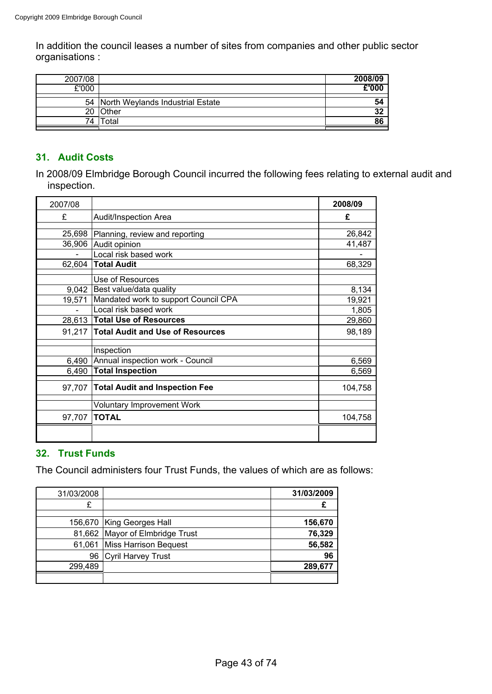In addition the council leases a number of sites from companies and other public sector organisations :

| 2007/08 |                                     | 2008/09 |
|---------|-------------------------------------|---------|
| £'000   |                                     | E'000   |
|         | 54 North Weylands Industrial Estate | 54      |
|         | 20 Other                            | 32      |
| 74      | Total                               | 86      |
|         |                                     |         |

# **31. Audit Costs**

In 2008/09 Elmbridge Borough Council incurred the following fees relating to external audit and inspection.

| 2007/08 |                                         | 2008/09 |
|---------|-----------------------------------------|---------|
| £       | Audit/Inspection Area                   | £       |
|         |                                         |         |
| 25,698  | Planning, review and reporting          | 26,842  |
|         | 36,906 Audit opinion                    | 41,487  |
|         | Local risk based work                   |         |
| 62,604  | <b>Total Audit</b>                      | 68,329  |
|         | Use of Resources                        |         |
| 9,042   | Best value/data quality                 | 8,134   |
| 19,571  | Mandated work to support Council CPA    | 19,921  |
|         | Local risk based work                   | 1,805   |
|         | 28,613 Total Use of Resources           | 29,860  |
| 91,217  | <b>Total Audit and Use of Resources</b> | 98,189  |
|         | Inspection                              |         |
| 6,490   | Annual inspection work - Council        | 6,569   |
| 6,490   | <b>Total Inspection</b>                 | 6,569   |
| 97,707  | <b>Total Audit and Inspection Fee</b>   | 104,758 |
|         | <b>Voluntary Improvement Work</b>       |         |
| 97,707  | <b>TOTAL</b>                            | 104,758 |
|         |                                         |         |

### **32. Trust Funds**

The Council administers four Trust Funds, the values of which are as follows:

| 31/03/2008 |                                 | 31/03/2009 |
|------------|---------------------------------|------------|
| £          |                                 |            |
|            |                                 |            |
|            | 156,670   King Georges Hall     | 156,670    |
|            | 81,662 Mayor of Elmbridge Trust | 76,329     |
|            | 61,061 Miss Harrison Bequest    | 56,582     |
| 96         | Cyril Harvey Trust              | 96         |
| 299,489    |                                 | 289,677    |
|            |                                 |            |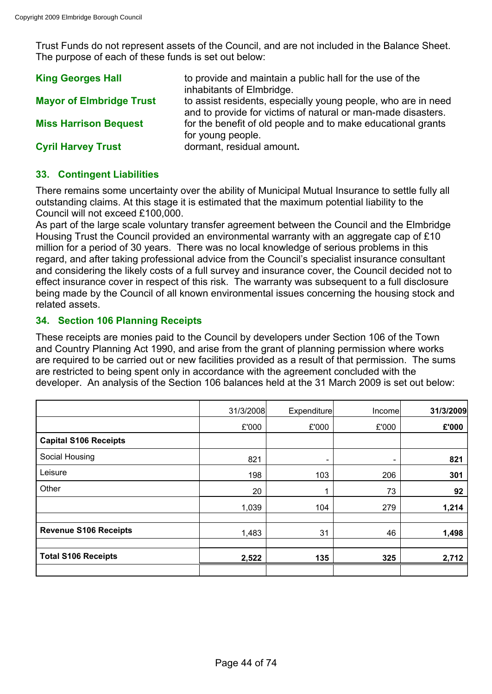Trust Funds do not represent assets of the Council, and are not included in the Balance Sheet. The purpose of each of these funds is set out below:

| <b>King Georges Hall</b>        | to provide and maintain a public hall for the use of the<br>inhabitants of Elmbridge.                                         |
|---------------------------------|-------------------------------------------------------------------------------------------------------------------------------|
| <b>Mayor of Elmbridge Trust</b> | to assist residents, especially young people, who are in need<br>and to provide for victims of natural or man-made disasters. |
| <b>Miss Harrison Bequest</b>    | for the benefit of old people and to make educational grants<br>for young people.                                             |
| <b>Cyril Harvey Trust</b>       | dormant, residual amount.                                                                                                     |

## **33. Contingent Liabilities**

There remains some uncertainty over the ability of Municipal Mutual Insurance to settle fully all outstanding claims. At this stage it is estimated that the maximum potential liability to the Council will not exceed £100,000.

As part of the large scale voluntary transfer agreement between the Council and the Elmbridge Housing Trust the Council provided an environmental warranty with an aggregate cap of £10 million for a period of 30 years. There was no local knowledge of serious problems in this regard, and after taking professional advice from the Council's specialist insurance consultant and considering the likely costs of a full survey and insurance cover, the Council decided not to effect insurance cover in respect of this risk. The warranty was subsequent to a full disclosure being made by the Council of all known environmental issues concerning the housing stock and related assets.

## **34. Section 106 Planning Receipts**

These receipts are monies paid to the Council by developers under Section 106 of the Town and Country Planning Act 1990, and arise from the grant of planning permission where works are required to be carried out or new facilities provided as a result of that permission. The sums are restricted to being spent only in accordance with the agreement concluded with the developer. An analysis of the Section 106 balances held at the 31 March 2009 is set out below:

|                              | 31/3/2008 | Expenditure              | Income                       | 31/3/2009 |
|------------------------------|-----------|--------------------------|------------------------------|-----------|
|                              | £'000     | £'000                    | £'000                        | £'000     |
| <b>Capital S106 Receipts</b> |           |                          |                              |           |
| Social Housing               | 821       | $\overline{\phantom{a}}$ | $\qquad \qquad \blacksquare$ | 821       |
| Leisure                      | 198       | 103                      | 206                          | 301       |
| Other                        | 20        | 1                        | 73                           | 92        |
|                              | 1,039     | 104                      | 279                          | 1,214     |
| <b>Revenue S106 Receipts</b> | 1,483     | 31                       | 46                           | 1,498     |
| <b>Total S106 Receipts</b>   | 2,522     | 135                      | 325                          | 2,712     |
|                              |           |                          |                              |           |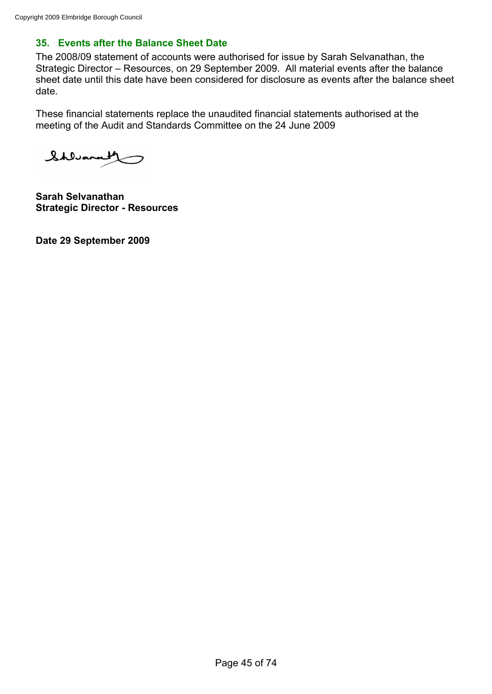# **35. Events after the Balance Sheet Date**

The 2008/09 statement of accounts were authorised for issue by Sarah Selvanathan, the Strategic Director – Resources, on 29 September 2009. All material events after the balance sheet date until this date have been considered for disclosure as events after the balance sheet date.

These financial statements replace the unaudited financial statements authorised at the meeting of the Audit and Standards Committee on the 24 June 2009

Shlvarath

**Sarah Selvanathan Strategic Director - Resources**

**Date 29 September 2009**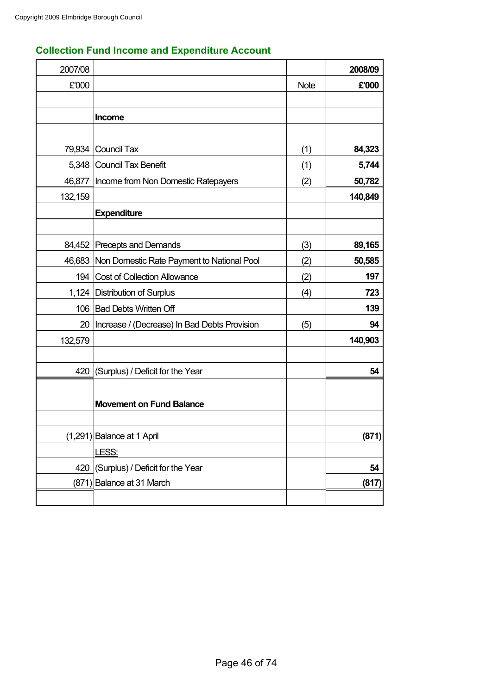| 2007/08 |                                                   |             | 2008/09 |
|---------|---------------------------------------------------|-------------|---------|
| £'000   |                                                   | <b>Note</b> | £'000   |
|         |                                                   |             |         |
|         | Income                                            |             |         |
|         |                                                   |             |         |
|         | 79,934 Council Tax                                | (1)         | 84,323  |
|         | 5,348 Council Tax Benefit                         | (1)         | 5,744   |
| 46,877  | Income from Non Domestic Ratepayers               | (2)         | 50,782  |
| 132,159 |                                                   |             | 140,849 |
|         | <b>Expenditure</b>                                |             |         |
|         |                                                   |             |         |
|         | 84,452 Precepts and Demands                       | (3)         | 89,165  |
|         | 46,683 Non Domestic Rate Payment to National Pool | (2)         | 50,585  |
| 194     | <b>Cost of Collection Allowance</b>               | (2)         | 197     |
|         | 1,124   Distribution of Surplus                   | (4)         | 723     |
|         | 106 Bad Debts Written Off                         |             | 139     |
| 20      | Increase / (Decrease) In Bad Debts Provision      | (5)         | 94      |
| 132,579 |                                                   |             | 140,903 |
|         |                                                   |             |         |
|         | 420 (Surplus) / Deficit for the Year              |             | 54      |
|         |                                                   |             |         |
|         | <b>Movement on Fund Balance</b>                   |             |         |
|         |                                                   |             |         |
|         | $(1,291)$ Balance at 1 April                      |             | (871)   |
|         | LESS:                                             |             |         |
| 420     | (Surplus) / Deficit for the Year                  |             | 54      |
|         | (871) Balance at 31 March                         |             | (817)   |
|         |                                                   |             |         |

# **Collection Fund Income and Expenditure Account**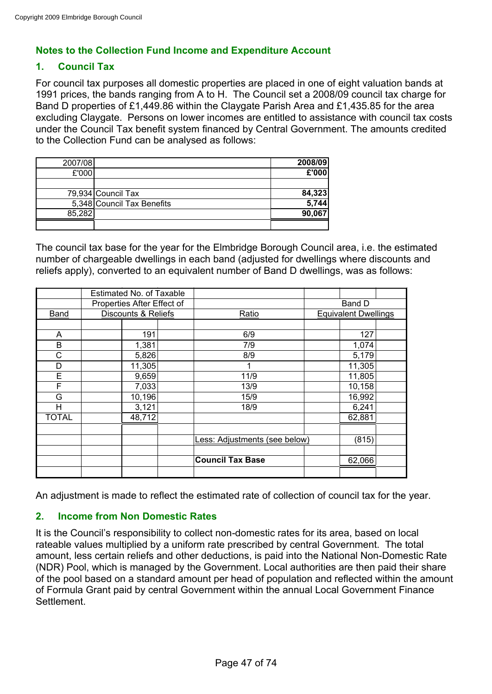# **Notes to the Collection Fund Income and Expenditure Account**

## **1. Council Tax**

For council tax purposes all domestic properties are placed in one of eight valuation bands at 1991 prices, the bands ranging from A to H. The Council set a 2008/09 council tax charge for Band D properties of £1,449.86 within the Claygate Parish Area and £1,435.85 for the area excluding Claygate. Persons on lower incomes are entitled to assistance with council tax costs under the Council Tax benefit system financed by Central Government. The amounts credited to the Collection Fund can be analysed as follows:

| 2007/08 |                            | 2008/09 |
|---------|----------------------------|---------|
| £'000   |                            | £'000   |
|         |                            |         |
|         | 79,934 Council Tax         | 84,323  |
|         | 5,348 Council Tax Benefits | 5,744   |
| 85,282  |                            | 90,067  |
|         |                            |         |

The council tax base for the year for the Elmbridge Borough Council area, i.e. the estimated number of chargeable dwellings in each band (adjusted for dwellings where discounts and reliefs apply), converted to an equivalent number of Band D dwellings, was as follows:

|              | Estimated No. of Taxable       |  |                               |                             |  |
|--------------|--------------------------------|--|-------------------------------|-----------------------------|--|
|              | Properties After Effect of     |  |                               | Band D                      |  |
| <b>Band</b>  | <b>Discounts &amp; Reliefs</b> |  | Ratio                         | <b>Equivalent Dwellings</b> |  |
|              |                                |  |                               |                             |  |
| Α            | 191                            |  | 6/9                           | 127                         |  |
| B            | 1,381                          |  | 7/9                           | 1,074                       |  |
| С            | 5,826                          |  | 8/9                           | 5,179                       |  |
| D            | 11,305                         |  | 1                             | 11,305                      |  |
| E            | 9,659                          |  | 11/9                          | 11,805                      |  |
| F            | 7,033                          |  | 13/9                          | 10,158                      |  |
| G            | 10,196                         |  | 15/9                          | 16,992                      |  |
| H            | 3,121                          |  | 18/9                          | 6,241                       |  |
| <b>TOTAL</b> | 48,712                         |  |                               | 62,881                      |  |
|              |                                |  |                               |                             |  |
|              |                                |  | Less: Adjustments (see below) | (815)                       |  |
|              |                                |  |                               |                             |  |
|              |                                |  | <b>Council Tax Base</b>       | 62,066                      |  |
|              |                                |  |                               |                             |  |

An adjustment is made to reflect the estimated rate of collection of council tax for the year.

## **2. Income from Non Domestic Rates**

It is the Council's responsibility to collect non-domestic rates for its area, based on local rateable values multiplied by a uniform rate prescribed by central Government. The total amount, less certain reliefs and other deductions, is paid into the National Non-Domestic Rate (NDR) Pool, which is managed by the Government. Local authorities are then paid their share of the pool based on a standard amount per head of population and reflected within the amount of Formula Grant paid by central Government within the annual Local Government Finance Settlement.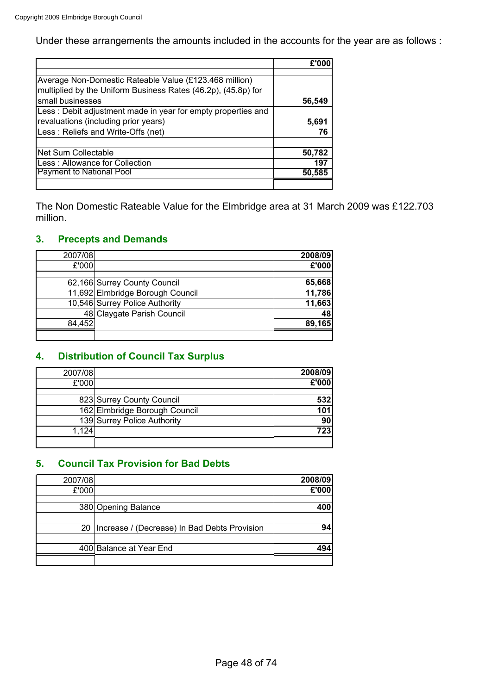Under these arrangements the amounts included in the accounts for the year are as follows :

| Average Non-Domestic Rateable Value (£123.468 million)        |        |
|---------------------------------------------------------------|--------|
| multiplied by the Uniform Business Rates (46.2p), (45.8p) for |        |
| small businesses                                              | 56,549 |
| Less: Debit adjustment made in year for empty properties and  |        |
| revaluations (including prior years)                          | 5,691  |
| Less: Reliefs and Write-Offs (net)                            | 76     |
|                                                               |        |
| <b>Net Sum Collectable</b>                                    | 50,782 |
| Less: Allowance for Collection                                | 197    |
| <b>Payment to National Pool</b>                               | 50,585 |
|                                                               |        |

The Non Domestic Rateable Value for the Elmbridge area at 31 March 2009 was £122.703 million.

# **3. Precepts and Demands**

| 2007/08 |                                  | 2008/09 |
|---------|----------------------------------|---------|
| £'000   |                                  | £'000   |
|         | 62,166 Surrey County Council     | 65,668  |
|         | 11,692 Elmbridge Borough Council | 11,786  |
|         | 10,546 Surrey Police Authority   | 11,663  |
|         | 48 Claygate Parish Council       | 48      |
| 84,452  |                                  | 89,165  |
|         |                                  |         |

# **4. Distribution of Council Tax Surplus**

| 2007/08 |                               | 2008/09 |
|---------|-------------------------------|---------|
| £'000   |                               | £'000   |
|         |                               |         |
|         | 823 Surrey County Council     | 532     |
|         | 162 Elmbridge Borough Council | 101     |
|         | 139 Surrey Police Authority   | 90      |
| 1,124   |                               | 723     |
|         |                               |         |

# **5. Council Tax Provision for Bad Debts**

| 2007/08 |                                              | 2008/09 |
|---------|----------------------------------------------|---------|
| £'000   |                                              | £'000   |
|         | 380 Opening Balance                          | 400     |
|         |                                              |         |
| 20      | Increase / (Decrease) In Bad Debts Provision | 94      |
|         |                                              |         |
|         | 400 Balance at Year End                      | 494     |
|         |                                              |         |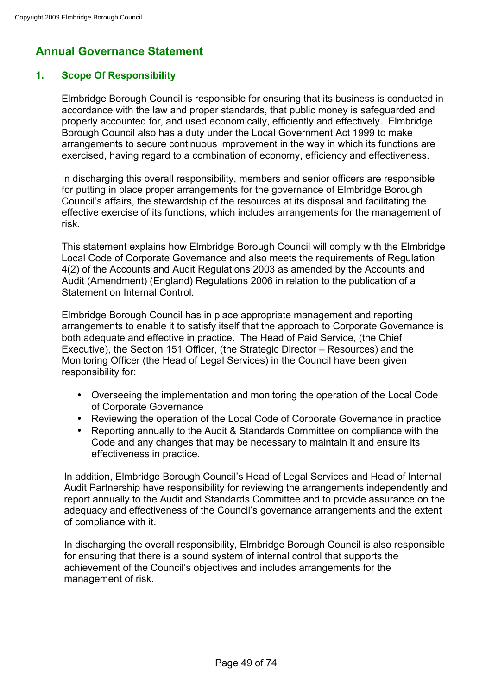# **Annual Governance Statement**

# **1. Scope Of Responsibility**

Elmbridge Borough Council is responsible for ensuring that its business is conducted in accordance with the law and proper standards, that public money is safeguarded and properly accounted for, and used economically, efficiently and effectively. Elmbridge Borough Council also has a duty under the Local Government Act 1999 to make arrangements to secure continuous improvement in the way in which its functions are exercised, having regard to a combination of economy, efficiency and effectiveness.

In discharging this overall responsibility, members and senior officers are responsible for putting in place proper arrangements for the governance of Elmbridge Borough Council's affairs, the stewardship of the resources at its disposal and facilitating the effective exercise of its functions, which includes arrangements for the management of risk.

This statement explains how Elmbridge Borough Council will comply with the Elmbridge Local Code of Corporate Governance and also meets the requirements of Regulation 4(2) of the Accounts and Audit Regulations 2003 as amended by the Accounts and Audit (Amendment) (England) Regulations 2006 in relation to the publication of a Statement on Internal Control.

Elmbridge Borough Council has in place appropriate management and reporting arrangements to enable it to satisfy itself that the approach to Corporate Governance is both adequate and effective in practice. The Head of Paid Service, (the Chief Executive), the Section 151 Officer, (the Strategic Director – Resources) and the Monitoring Officer (the Head of Legal Services) in the Council have been given responsibility for:

- Overseeing the implementation and monitoring the operation of the Local Code of Corporate Governance
- Reviewing the operation of the Local Code of Corporate Governance in practice
- Reporting annually to the Audit & Standards Committee on compliance with the Code and any changes that may be necessary to maintain it and ensure its effectiveness in practice.

In addition, Elmbridge Borough Council's Head of Legal Services and Head of Internal Audit Partnership have responsibility for reviewing the arrangements independently and report annually to the Audit and Standards Committee and to provide assurance on the adequacy and effectiveness of the Council's governance arrangements and the extent of compliance with it.

In discharging the overall responsibility, Elmbridge Borough Council is also responsible for ensuring that there is a sound system of internal control that supports the achievement of the Council's objectives and includes arrangements for the management of risk.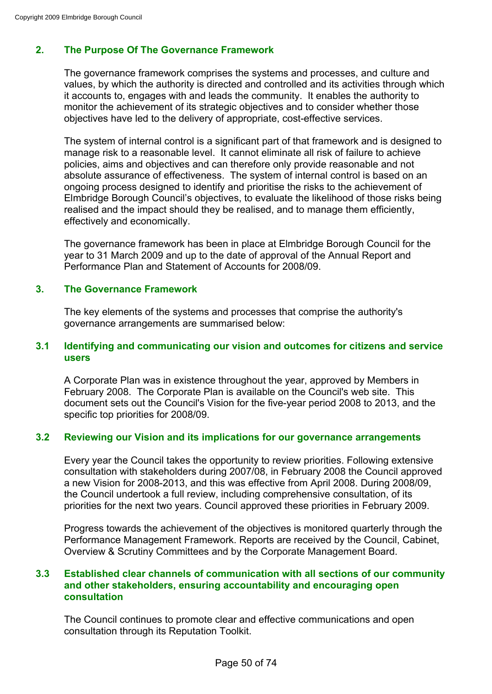# **2. The Purpose Of The Governance Framework**

The governance framework comprises the systems and processes, and culture and values, by which the authority is directed and controlled and its activities through which it accounts to, engages with and leads the community. It enables the authority to monitor the achievement of its strategic objectives and to consider whether those objectives have led to the delivery of appropriate, cost-effective services.

The system of internal control is a significant part of that framework and is designed to manage risk to a reasonable level. It cannot eliminate all risk of failure to achieve policies, aims and objectives and can therefore only provide reasonable and not absolute assurance of effectiveness. The system of internal control is based on an ongoing process designed to identify and prioritise the risks to the achievement of Elmbridge Borough Council's objectives, to evaluate the likelihood of those risks being realised and the impact should they be realised, and to manage them efficiently, effectively and economically.

The governance framework has been in place at Elmbridge Borough Council for the year to 31 March 2009 and up to the date of approval of the Annual Report and Performance Plan and Statement of Accounts for 2008/09.

## **3. The Governance Framework**

The key elements of the systems and processes that comprise the authority's governance arrangements are summarised below:

### **3.1 Identifying and communicating our vision and outcomes for citizens and service users**

A Corporate Plan was in existence throughout the year, approved by Members in February 2008. The Corporate Plan is available on the Council's web site. This document sets out the Council's Vision for the five-year period 2008 to 2013, and the specific top priorities for 2008/09.

## **3.2 Reviewing our Vision and its implications for our governance arrangements**

Every year the Council takes the opportunity to review priorities. Following extensive consultation with stakeholders during 2007/08, in February 2008 the Council approved a new Vision for 2008-2013, and this was effective from April 2008. During 2008/09, the Council undertook a full review, including comprehensive consultation, of its priorities for the next two years. Council approved these priorities in February 2009.

Progress towards the achievement of the objectives is monitored quarterly through the Performance Management Framework. Reports are received by the Council, Cabinet, Overview & Scrutiny Committees and by the Corporate Management Board.

## **3.3 Established clear channels of communication with all sections of our community and other stakeholders, ensuring accountability and encouraging open consultation**

The Council continues to promote clear and effective communications and open consultation through its Reputation Toolkit.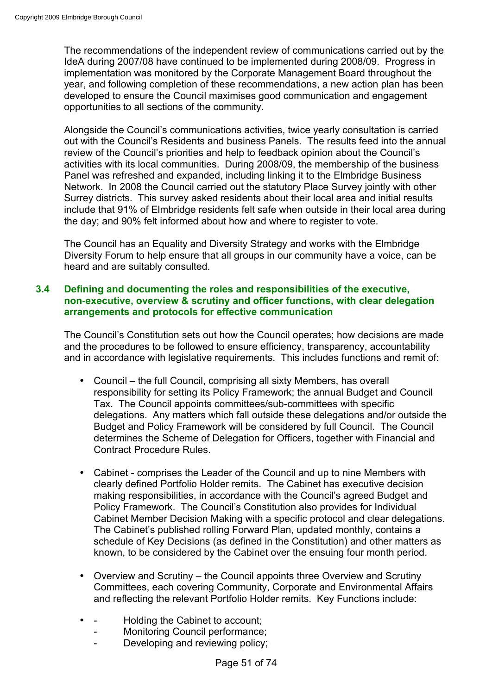The recommendations of the independent review of communications carried out by the IdeA during 2007/08 have continued to be implemented during 2008/09. Progress in implementation was monitored by the Corporate Management Board throughout the year, and following completion of these recommendations, a new action plan has been developed to ensure the Council maximises good communication and engagement opportunities to all sections of the community.

Alongside the Council's communications activities, twice yearly consultation is carried out with the Council's Residents and business Panels. The results feed into the annual review of the Council's priorities and help to feedback opinion about the Council's activities with its local communities. During 2008/09, the membership of the business Panel was refreshed and expanded, including linking it to the Elmbridge Business Network. In 2008 the Council carried out the statutory Place Survey jointly with other Surrey districts. This survey asked residents about their local area and initial results include that 91% of Elmbridge residents felt safe when outside in their local area during the day; and 90% felt informed about how and where to register to vote.

The Council has an Equality and Diversity Strategy and works with the Elmbridge Diversity Forum to help ensure that all groups in our community have a voice, can be heard and are suitably consulted.

## **3.4 Defining and documenting the roles and responsibilities of the executive, non-executive, overview & scrutiny and officer functions, with clear delegation arrangements and protocols for effective communication**

The Council's Constitution sets out how the Council operates; how decisions are made and the procedures to be followed to ensure efficiency, transparency, accountability and in accordance with legislative requirements. This includes functions and remit of:

- Council the full Council, comprising all sixty Members, has overall responsibility for setting its Policy Framework; the annual Budget and Council Tax. The Council appoints committees/sub-committees with specific delegations. Any matters which fall outside these delegations and/or outside the Budget and Policy Framework will be considered by full Council. The Council determines the Scheme of Delegation for Officers, together with Financial and Contract Procedure Rules.
- Cabinet comprises the Leader of the Council and up to nine Members with clearly defined Portfolio Holder remits. The Cabinet has executive decision making responsibilities, in accordance with the Council's agreed Budget and Policy Framework. The Council's Constitution also provides for Individual Cabinet Member Decision Making with a specific protocol and clear delegations. The Cabinet's published rolling Forward Plan, updated monthly, contains a schedule of Key Decisions (as defined in the Constitution) and other matters as known, to be considered by the Cabinet over the ensuing four month period.
- Overview and Scrutiny the Council appoints three Overview and Scrutiny Committees, each covering Community, Corporate and Environmental Affairs and reflecting the relevant Portfolio Holder remits. Key Functions include:
- Holding the Cabinet to account;
	- Monitoring Council performance;
	- Developing and reviewing policy;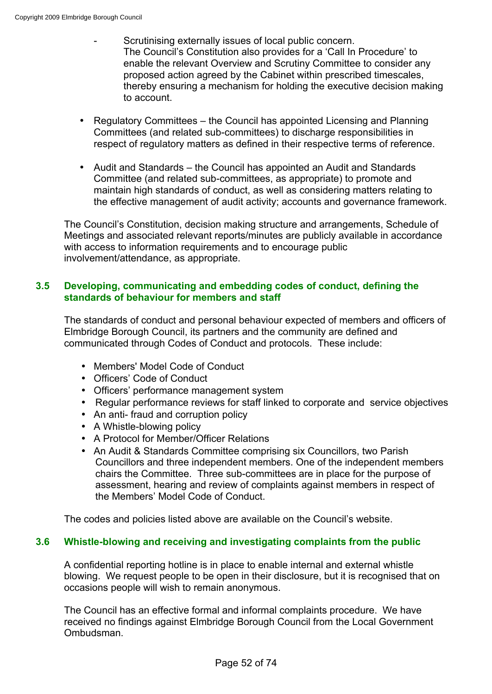- Scrutinising externally issues of local public concern. The Council's Constitution also provides for a 'Call In Procedure' to enable the relevant Overview and Scrutiny Committee to consider any proposed action agreed by the Cabinet within prescribed timescales, thereby ensuring a mechanism for holding the executive decision making to account.
- Regulatory Committees the Council has appointed Licensing and Planning Committees (and related sub-committees) to discharge responsibilities in respect of regulatory matters as defined in their respective terms of reference.
- Audit and Standards the Council has appointed an Audit and Standards Committee (and related sub-committees, as appropriate) to promote and maintain high standards of conduct, as well as considering matters relating to the effective management of audit activity; accounts and governance framework.

The Council's Constitution, decision making structure and arrangements, Schedule of Meetings and associated relevant reports/minutes are publicly available in accordance with access to information requirements and to encourage public involvement/attendance, as appropriate.

## **3.5 Developing, communicating and embedding codes of conduct, defining the standards of behaviour for members and staff**

The standards of conduct and personal behaviour expected of members and officers of Elmbridge Borough Council, its partners and the community are defined and communicated through Codes of Conduct and protocols. These include:

- Members' Model Code of Conduct
- Officers' Code of Conduct
- Officers' performance management system
- Regular performance reviews for staff linked to corporate and service objectives
- An anti- fraud and corruption policy
- A Whistle-blowing policy
- A Protocol for Member/Officer Relations
- An Audit & Standards Committee comprising six Councillors, two Parish Councillors and three independent members. One of the independent members chairs the Committee. Three sub-committees are in place for the purpose of assessment, hearing and review of complaints against members in respect of the Members' Model Code of Conduct.

The codes and policies listed above are available on the Council's website.

## **3.6 Whistle-blowing and receiving and investigating complaints from the public**

A confidential reporting hotline is in place to enable internal and external whistle blowing. We request people to be open in their disclosure, but it is recognised that on occasions people will wish to remain anonymous.

The Council has an effective formal and informal complaints procedure. We have received no findings against Elmbridge Borough Council from the Local Government Ombudsman.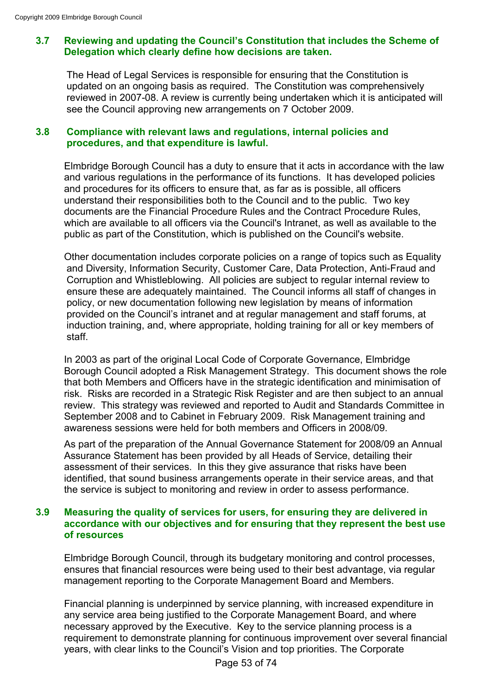## **3.7 Reviewing and updating the Council's Constitution that includes the Scheme of Delegation which clearly define how decisions are taken.**

The Head of Legal Services is responsible for ensuring that the Constitution is updated on an ongoing basis as required. The Constitution was comprehensively reviewed in 2007-08. A review is currently being undertaken which it is anticipated will see the Council approving new arrangements on 7 October 2009.

## **3.8 Compliance with relevant laws and regulations, internal policies and procedures, and that expenditure is lawful.**

Elmbridge Borough Council has a duty to ensure that it acts in accordance with the law and various regulations in the performance of its functions. It has developed policies and procedures for its officers to ensure that, as far as is possible, all officers understand their responsibilities both to the Council and to the public. Two key documents are the Financial Procedure Rules and the Contract Procedure Rules, which are available to all officers via the Council's Intranet, as well as available to the public as part of the Constitution, which is published on the Council's website.

Other documentation includes corporate policies on a range of topics such as Equality and Diversity, Information Security, Customer Care, Data Protection, Anti-Fraud and Corruption and Whistleblowing. All policies are subject to regular internal review to ensure these are adequately maintained. The Council informs all staff of changes in policy, or new documentation following new legislation by means of information provided on the Council's intranet and at regular management and staff forums, at induction training, and, where appropriate, holding training for all or key members of staff.

In 2003 as part of the original Local Code of Corporate Governance, Elmbridge Borough Council adopted a Risk Management Strategy. This document shows the role that both Members and Officers have in the strategic identification and minimisation of risk. Risks are recorded in a Strategic Risk Register and are then subject to an annual review. This strategy was reviewed and reported to Audit and Standards Committee in September 2008 and to Cabinet in February 2009. Risk Management training and awareness sessions were held for both members and Officers in 2008/09.

As part of the preparation of the Annual Governance Statement for 2008/09 an Annual Assurance Statement has been provided by all Heads of Service, detailing their assessment of their services. In this they give assurance that risks have been identified, that sound business arrangements operate in their service areas, and that the service is subject to monitoring and review in order to assess performance.

## **3.9 Measuring the quality of services for users, for ensuring they are delivered in accordance with our objectives and for ensuring that they represent the best use of resources**

Elmbridge Borough Council, through its budgetary monitoring and control processes, ensures that financial resources were being used to their best advantage, via regular management reporting to the Corporate Management Board and Members.

Financial planning is underpinned by service planning, with increased expenditure in any service area being justified to the Corporate Management Board, and where necessary approved by the Executive. Key to the service planning process is a requirement to demonstrate planning for continuous improvement over several financial years, with clear links to the Council's Vision and top priorities. The Corporate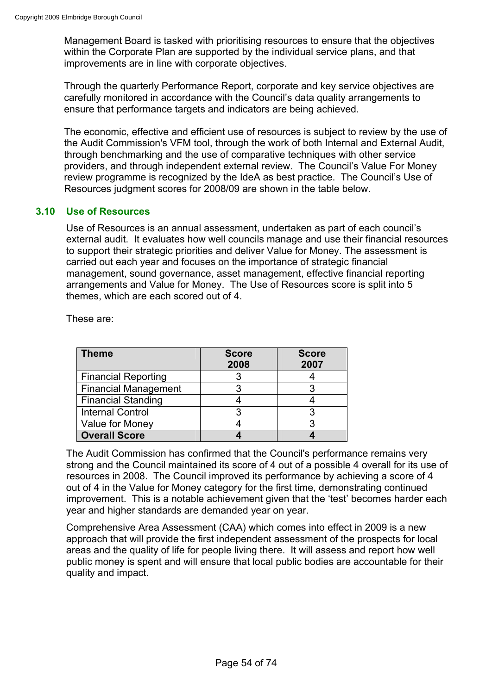Management Board is tasked with prioritising resources to ensure that the objectives within the Corporate Plan are supported by the individual service plans, and that improvements are in line with corporate objectives.

Through the quarterly Performance Report, corporate and key service objectives are carefully monitored in accordance with the Council's data quality arrangements to ensure that performance targets and indicators are being achieved.

The economic, effective and efficient use of resources is subject to review by the use of the Audit Commission's VFM tool, through the work of both Internal and External Audit, through benchmarking and the use of comparative techniques with other service providers, and through independent external review. The Council's Value For Money review programme is recognized by the IdeA as best practice. The Council's Use of Resources judgment scores for 2008/09 are shown in the table below.

## **3.10 Use of Resources**

Use of Resources is an annual assessment, undertaken as part of each council's external audit. It evaluates how well councils manage and use their financial resources to support their strategic priorities and deliver Value for Money. The assessment is carried out each year and focuses on the importance of strategic financial management, sound governance, asset management, effective financial reporting arrangements and Value for Money. The Use of Resources score is split into 5 themes, which are each scored out of 4.

| <b>Theme</b>                | <b>Score</b><br>2008 | <b>Score</b><br>2007 |
|-----------------------------|----------------------|----------------------|
| <b>Financial Reporting</b>  |                      |                      |
| <b>Financial Management</b> |                      |                      |
| <b>Financial Standing</b>   |                      |                      |
| <b>Internal Control</b>     |                      |                      |
| Value for Money             |                      |                      |
| <b>Overall Score</b>        |                      |                      |

These are:

The Audit Commission has confirmed that the Council's performance remains very strong and the Council maintained its score of 4 out of a possible 4 overall for its use of resources in 2008. The Council improved its performance by achieving a score of 4 out of 4 in the Value for Money category for the first time, demonstrating continued improvement. This is a notable achievement given that the 'test' becomes harder each year and higher standards are demanded year on year.

Comprehensive Area Assessment (CAA) which comes into effect in 2009 is a new approach that will provide the first independent assessment of the prospects for local areas and the quality of life for people living there. It will assess and report how well public money is spent and will ensure that local public bodies are accountable for their quality and impact.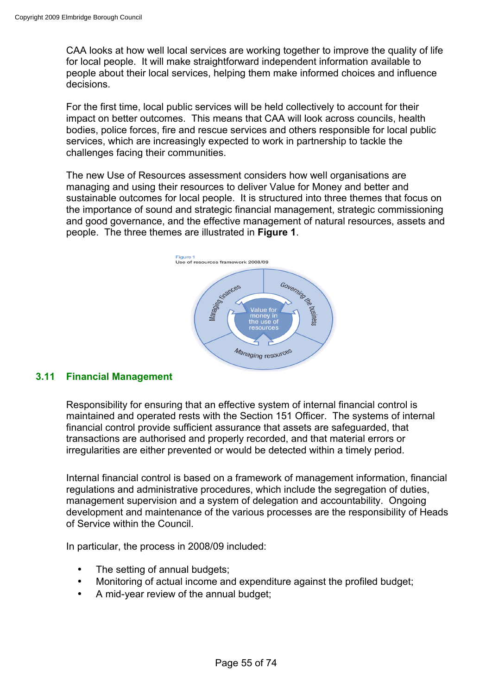CAA looks at how well local services are working together to improve the quality of life for local people. It will make straightforward independent information available to people about their local services, helping them make informed choices and influence decisions.

For the first time, local public services will be held collectively to account for their impact on better outcomes. This means that CAA will look across councils, health bodies, police forces, fire and rescue services and others responsible for local public services, which are increasingly expected to work in partnership to tackle the challenges facing their communities.

The new Use of Resources assessment considers how well organisations are managing and using their resources to deliver Value for Money and better and sustainable outcomes for local people. It is structured into three themes that focus on the importance of sound and strategic financial management, strategic commissioning and good governance, and the effective management of natural resources, assets and people. The three themes are illustrated in **Figure 1**.



## **3.11 Financial Management**

Responsibility for ensuring that an effective system of internal financial control is maintained and operated rests with the Section 151 Officer. The systems of internal financial control provide sufficient assurance that assets are safeguarded, that transactions are authorised and properly recorded, and that material errors or irregularities are either prevented or would be detected within a timely period.

Internal financial control is based on a framework of management information, financial regulations and administrative procedures, which include the segregation of duties, management supervision and a system of delegation and accountability. Ongoing development and maintenance of the various processes are the responsibility of Heads of Service within the Council.

In particular, the process in 2008/09 included:

- The setting of annual budgets;
- Monitoring of actual income and expenditure against the profiled budget;
- A mid-year review of the annual budget;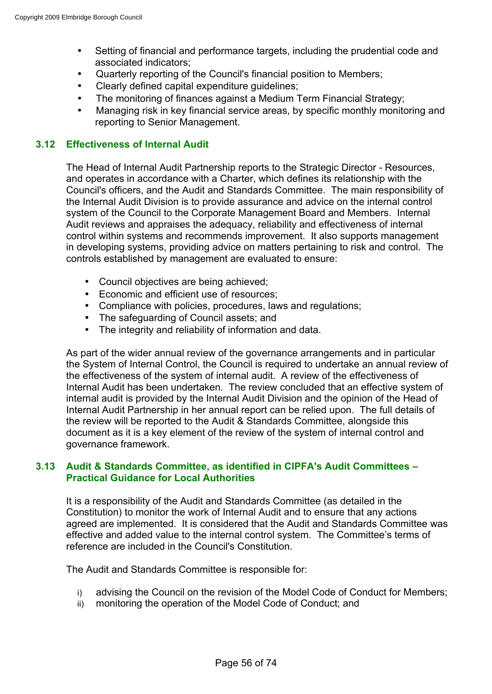- Setting of financial and performance targets, including the prudential code and associated indicators;
- Quarterly reporting of the Council's financial position to Members;
- Clearly defined capital expenditure guidelines;
- The monitoring of finances against a Medium Term Financial Strategy;
- Managing risk in key financial service areas, by specific monthly monitoring and reporting to Senior Management.

## **3.12 Effectiveness of Internal Audit**

The Head of Internal Audit Partnership reports to the Strategic Director - Resources, and operates in accordance with a Charter, which defines its relationship with the Council's officers, and the Audit and Standards Committee. The main responsibility of the Internal Audit Division is to provide assurance and advice on the internal control system of the Council to the Corporate Management Board and Members. Internal Audit reviews and appraises the adequacy, reliability and effectiveness of internal control within systems and recommends improvement. It also supports management in developing systems, providing advice on matters pertaining to risk and control. The controls established by management are evaluated to ensure:

- Council objectives are being achieved;
- Economic and efficient use of resources;
- Compliance with policies, procedures, laws and regulations;
- The safeguarding of Council assets; and
- The integrity and reliability of information and data.

As part of the wider annual review of the governance arrangements and in particular the System of Internal Control, the Council is required to undertake an annual review of the effectiveness of the system of internal audit. A review of the effectiveness of Internal Audit has been undertaken. The review concluded that an effective system of internal audit is provided by the Internal Audit Division and the opinion of the Head of Internal Audit Partnership in her annual report can be relied upon. The full details of the review will be reported to the Audit & Standards Committee, alongside this document as it is a key element of the review of the system of internal control and governance framework.

### **3.13 Audit & Standards Committee, as identified in CIPFA's Audit Committees – Practical Guidance for Local Authorities**

It is a responsibility of the Audit and Standards Committee (as detailed in the Constitution) to monitor the work of Internal Audit and to ensure that any actions agreed are implemented. It is considered that the Audit and Standards Committee was effective and added value to the internal control system. The Committee's terms of reference are included in the Council's Constitution.

The Audit and Standards Committee is responsible for:

- i) advising the Council on the revision of the Model Code of Conduct for Members;
- ii) monitoring the operation of the Model Code of Conduct; and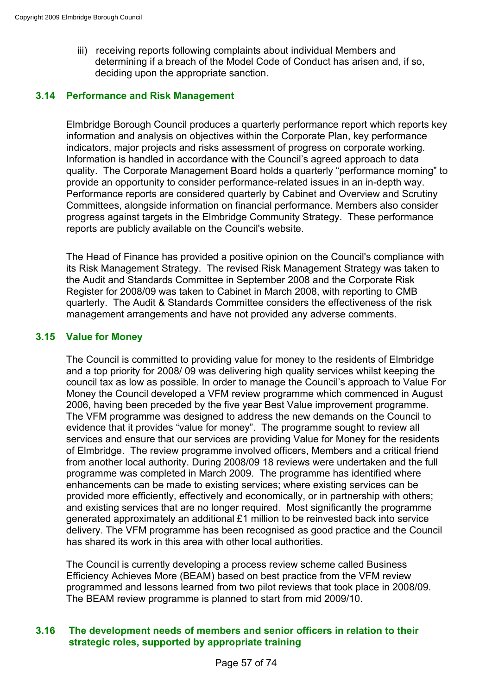iii) receiving reports following complaints about individual Members and determining if a breach of the Model Code of Conduct has arisen and, if so, deciding upon the appropriate sanction.

## **3.14 Performance and Risk Management**

Elmbridge Borough Council produces a quarterly performance report which reports key information and analysis on objectives within the Corporate Plan, key performance indicators, major projects and risks assessment of progress on corporate working. Information is handled in accordance with the Council's agreed approach to data quality. The Corporate Management Board holds a quarterly "performance morning" to provide an opportunity to consider performance-related issues in an in-depth way. Performance reports are considered quarterly by Cabinet and Overview and Scrutiny Committees, alongside information on financial performance. Members also consider progress against targets in the Elmbridge Community Strategy. These performance reports are publicly available on the Council's website.

The Head of Finance has provided a positive opinion on the Council's compliance with its Risk Management Strategy. The revised Risk Management Strategy was taken to the Audit and Standards Committee in September 2008 and the Corporate Risk Register for 2008/09 was taken to Cabinet in March 2008, with reporting to CMB quarterly. The Audit & Standards Committee considers the effectiveness of the risk management arrangements and have not provided any adverse comments.

## **3.15 Value for Money**

The Council is committed to providing value for money to the residents of Elmbridge and a top priority for 2008/ 09 was delivering high quality services whilst keeping the council tax as low as possible. In order to manage the Council's approach to Value For Money the Council developed a VFM review programme which commenced in August 2006, having been preceded by the five year Best Value improvement programme. The VFM programme was designed to address the new demands on the Council to evidence that it provides "value for money". The programme sought to review all services and ensure that our services are providing Value for Money for the residents of Elmbridge. The review programme involved officers, Members and a critical friend from another local authority. During 2008/09 18 reviews were undertaken and the full programme was completed in March 2009. The programme has identified where enhancements can be made to existing services; where existing services can be provided more efficiently, effectively and economically, or in partnership with others; and existing services that are no longer required. Most significantly the programme generated approximately an additional £1 million to be reinvested back into service delivery. The VFM programme has been recognised as good practice and the Council has shared its work in this area with other local authorities.

The Council is currently developing a process review scheme called Business Efficiency Achieves More (BEAM) based on best practice from the VFM review programmed and lessons learned from two pilot reviews that took place in 2008/09. The BEAM review programme is planned to start from mid 2009/10.

## **3.16 The development needs of members and senior officers in relation to their strategic roles, supported by appropriate training**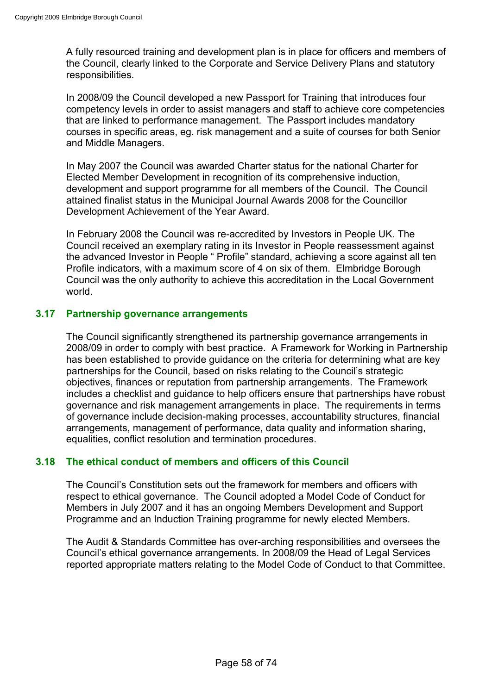A fully resourced training and development plan is in place for officers and members of the Council, clearly linked to the Corporate and Service Delivery Plans and statutory responsibilities.

In 2008/09 the Council developed a new Passport for Training that introduces four competency levels in order to assist managers and staff to achieve core competencies that are linked to performance management. The Passport includes mandatory courses in specific areas, eg. risk management and a suite of courses for both Senior and Middle Managers.

In May 2007 the Council was awarded Charter status for the national Charter for Elected Member Development in recognition of its comprehensive induction, development and support programme for all members of the Council. The Council attained finalist status in the Municipal Journal Awards 2008 for the Councillor Development Achievement of the Year Award.

In February 2008 the Council was re-accredited by Investors in People UK. The Council received an exemplary rating in its Investor in People reassessment against the advanced Investor in People " Profile" standard, achieving a score against all ten Profile indicators, with a maximum score of 4 on six of them. Elmbridge Borough Council was the only authority to achieve this accreditation in the Local Government world.

## **3.17 Partnership governance arrangements**

The Council significantly strengthened its partnership governance arrangements in 2008/09 in order to comply with best practice. A Framework for Working in Partnership has been established to provide guidance on the criteria for determining what are key partnerships for the Council, based on risks relating to the Council's strategic objectives, finances or reputation from partnership arrangements. The Framework includes a checklist and guidance to help officers ensure that partnerships have robust governance and risk management arrangements in place. The requirements in terms of governance include decision-making processes, accountability structures, financial arrangements, management of performance, data quality and information sharing, equalities, conflict resolution and termination procedures.

## **3.18 The ethical conduct of members and officers of this Council**

The Council's Constitution sets out the framework for members and officers with respect to ethical governance. The Council adopted a Model Code of Conduct for Members in July 2007 and it has an ongoing Members Development and Support Programme and an Induction Training programme for newly elected Members.

The Audit & Standards Committee has over-arching responsibilities and oversees the Council's ethical governance arrangements. In 2008/09 the Head of Legal Services reported appropriate matters relating to the Model Code of Conduct to that Committee.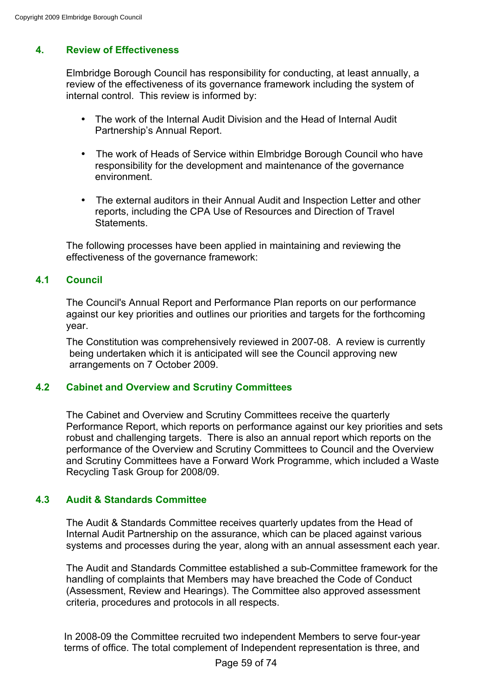# **4. Review of Effectiveness**

Elmbridge Borough Council has responsibility for conducting, at least annually, a review of the effectiveness of its governance framework including the system of internal control. This review is informed by:

- The work of the Internal Audit Division and the Head of Internal Audit Partnership's Annual Report.
- The work of Heads of Service within Elmbridge Borough Council who have responsibility for the development and maintenance of the governance environment.
- The external auditors in their Annual Audit and Inspection Letter and other reports, including the CPA Use of Resources and Direction of Travel **Statements**

The following processes have been applied in maintaining and reviewing the effectiveness of the governance framework:

## **4.1 Council**

The Council's Annual Report and Performance Plan reports on our performance against our key priorities and outlines our priorities and targets for the forthcoming year.

The Constitution was comprehensively reviewed in 2007-08. A review is currently being undertaken which it is anticipated will see the Council approving new arrangements on 7 October 2009.

## **4.2 Cabinet and Overview and Scrutiny Committees**

The Cabinet and Overview and Scrutiny Committees receive the quarterly Performance Report, which reports on performance against our key priorities and sets robust and challenging targets. There is also an annual report which reports on the performance of the Overview and Scrutiny Committees to Council and the Overview and Scrutiny Committees have a Forward Work Programme, which included a Waste Recycling Task Group for 2008/09.

## **4.3 Audit & Standards Committee**

The Audit & Standards Committee receives quarterly updates from the Head of Internal Audit Partnership on the assurance, which can be placed against various systems and processes during the year, along with an annual assessment each year.

The Audit and Standards Committee established a sub-Committee framework for the handling of complaints that Members may have breached the Code of Conduct (Assessment, Review and Hearings). The Committee also approved assessment criteria, procedures and protocols in all respects.

In 2008-09 the Committee recruited two independent Members to serve four-year terms of office. The total complement of Independent representation is three, and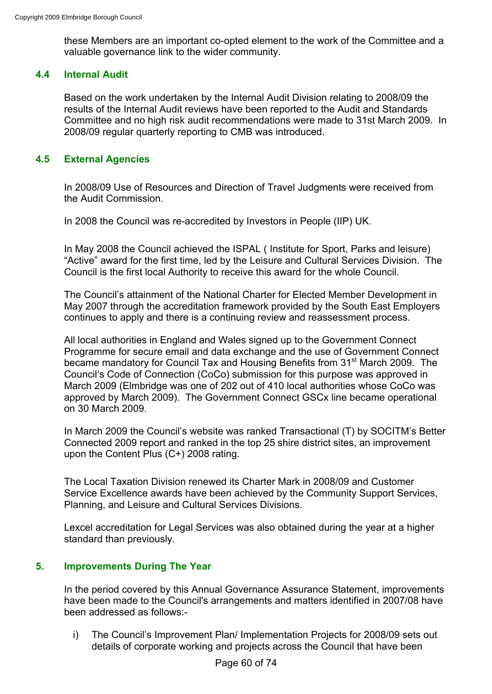these Members are an important co-opted element to the work of the Committee and a valuable governance link to the wider community.

## **4.4 Internal Audit**

Based on the work undertaken by the Internal Audit Division relating to 2008/09 the results of the Internal Audit reviews have been reported to the Audit and Standards Committee and no high risk audit recommendations were made to 31st March 2009. In 2008/09 regular quarterly reporting to CMB was introduced.

## **4.5 External Agencies**

In 2008/09 Use of Resources and Direction of Travel Judgments were received from the Audit Commission.

In 2008 the Council was re-accredited by Investors in People (IIP) UK.

In May 2008 the Council achieved the ISPAL ( Institute for Sport, Parks and leisure) "Active" award for the first time, led by the Leisure and Cultural Services Division. The Council is the first local Authority to receive this award for the whole Council.

The Council's attainment of the National Charter for Elected Member Development in May 2007 through the accreditation framework provided by the South East Employers continues to apply and there is a continuing review and reassessment process.

All local authorities in England and Wales signed up to the Government Connect Programme for secure email and data exchange and the use of Government Connect became mandatory for Council Tax and Housing Benefits from 31<sup>st</sup> March 2009. The Council's Code of Connection (CoCo) submission for this purpose was approved in March 2009 (Elmbridge was one of 202 out of 410 local authorities whose CoCo was approved by March 2009). The Government Connect GSCx line became operational on 30 March 2009.

In March 2009 the Council's website was ranked Transactional (T) by SOCITM's Better Connected 2009 report and ranked in the top 25 shire district sites, an improvement upon the Content Plus (C+) 2008 rating.

The Local Taxation Division renewed its Charter Mark in 2008/09 and Customer Service Excellence awards have been achieved by the Community Support Services, Planning, and Leisure and Cultural Services Divisions.

Lexcel accreditation for Legal Services was also obtained during the year at a higher standard than previously.

## **5. Improvements During The Year**

In the period covered by this Annual Governance Assurance Statement, improvements have been made to the Council's arrangements and matters identified in 2007/08 have been addressed as follows:-

i) The Council's Improvement Plan/ Implementation Projects for 2008/09 sets out details of corporate working and projects across the Council that have been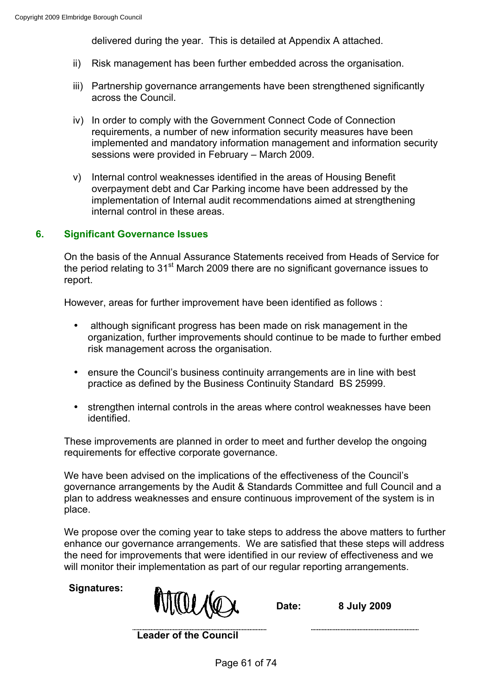delivered during the year. This is detailed at Appendix A attached.

- ii) Risk management has been further embedded across the organisation.
- iii) Partnership governance arrangements have been strengthened significantly across the Council.
- iv) In order to comply with the Government Connect Code of Connection requirements, a number of new information security measures have been implemented and mandatory information management and information security sessions were provided in February – March 2009.
- v) Internal control weaknesses identified in the areas of Housing Benefit overpayment debt and Car Parking income have been addressed by the implementation of Internal audit recommendations aimed at strengthening internal control in these areas.

## **6. Significant Governance Issues**

On the basis of the Annual Assurance Statements received from Heads of Service for the period relating to  $31<sup>st</sup>$  March 2009 there are no significant governance issues to report.

However, areas for further improvement have been identified as follows :

- although significant progress has been made on risk management in the organization, further improvements should continue to be made to further embed risk management across the organisation.
- ensure the Council's business continuity arrangements are in line with best practice as defined by the Business Continuity Standard BS 25999.
- strengthen internal controls in the areas where control weaknesses have been identified.

These improvements are planned in order to meet and further develop the ongoing requirements for effective corporate governance.

We have been advised on the implications of the effectiveness of the Council's governance arrangements by the Audit & Standards Committee and full Council and a plan to address weaknesses and ensure continuous improvement of the system is in place.

We propose over the coming year to take steps to address the above matters to further enhance our governance arrangements. We are satisfied that these steps will address the need for improvements that were identified in our review of effectiveness and we will monitor their implementation as part of our regular reporting arrangements.

**Signatures:**

**Date: 8 July 2009**

**Leader of the Council**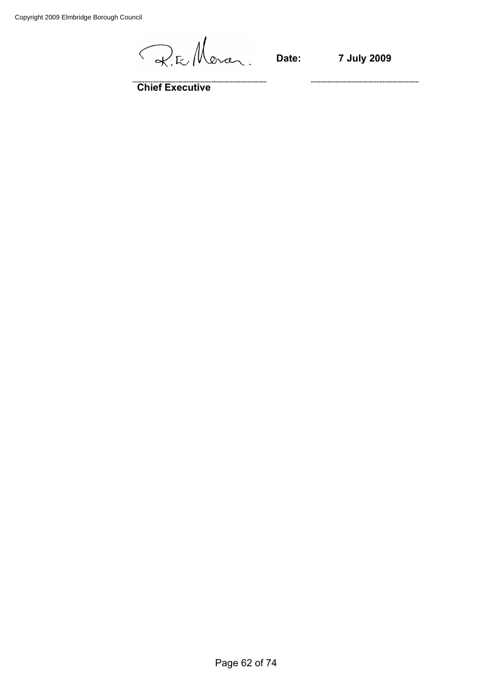Copyright 2009 Elmbridge Borough Council

R.E. Moran.

**Date: 7 July 2009**

**Chief Executive**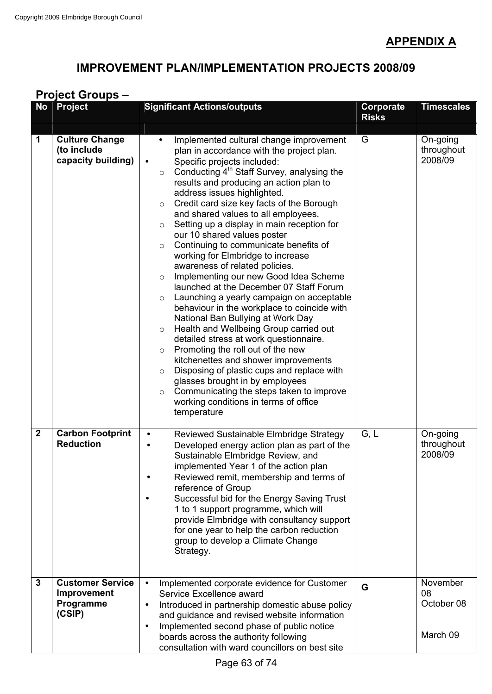# **APPENDIX A**

# **IMPROVEMENT PLAN/IMPLEMENTATION PROJECTS 2008/09**

# **Project Groups –**

| <b>No</b>        | <b>Project</b>                                                | <b>Significant Actions/outputs</b>                                                                                                                                                                                                                                                                                                                                                                                                                                                                                                                                                                                                                                                                                                                                                                                                                                                                                                                                                                                                                                                                                                                                                                                                                          | Corporate<br><b>Risks</b> | <b>Timescales</b>                        |
|------------------|---------------------------------------------------------------|-------------------------------------------------------------------------------------------------------------------------------------------------------------------------------------------------------------------------------------------------------------------------------------------------------------------------------------------------------------------------------------------------------------------------------------------------------------------------------------------------------------------------------------------------------------------------------------------------------------------------------------------------------------------------------------------------------------------------------------------------------------------------------------------------------------------------------------------------------------------------------------------------------------------------------------------------------------------------------------------------------------------------------------------------------------------------------------------------------------------------------------------------------------------------------------------------------------------------------------------------------------|---------------------------|------------------------------------------|
| 1                | <b>Culture Change</b><br>(to include<br>capacity building)    | Implemented cultural change improvement<br>$\bullet$<br>plan in accordance with the project plan.<br>Specific projects included:<br>$\bullet$<br>Conducting 4 <sup>th</sup> Staff Survey, analysing the<br>$\circ$<br>results and producing an action plan to<br>address issues highlighted.<br>Credit card size key facts of the Borough<br>$\circ$<br>and shared values to all employees.<br>Setting up a display in main reception for<br>$\circ$<br>our 10 shared values poster<br>Continuing to communicate benefits of<br>$\circ$<br>working for Elmbridge to increase<br>awareness of related policies.<br>Implementing our new Good Idea Scheme<br>$\circ$<br>launched at the December 07 Staff Forum<br>Launching a yearly campaign on acceptable<br>$\circ$<br>behaviour in the workplace to coincide with<br>National Ban Bullying at Work Day<br>Health and Wellbeing Group carried out<br>$\circ$<br>detailed stress at work questionnaire.<br>Promoting the roll out of the new<br>$\circ$<br>kitchenettes and shower improvements<br>Disposing of plastic cups and replace with<br>$\circ$<br>glasses brought in by employees<br>Communicating the steps taken to improve<br>$\circ$<br>working conditions in terms of office<br>temperature | G                         | On-going<br>throughout<br>2008/09        |
| $\boldsymbol{2}$ | <b>Carbon Footprint</b><br><b>Reduction</b>                   | Reviewed Sustainable Elmbridge Strategy<br>$\bullet$<br>Developed energy action plan as part of the<br>Sustainable Elmbridge Review, and<br>implemented Year 1 of the action plan<br>Reviewed remit, membership and terms of<br>$\bullet$<br>reference of Group<br>Successful bid for the Energy Saving Trust<br>1 to 1 support programme, which will<br>provide Elmbridge with consultancy support<br>for one year to help the carbon reduction<br>group to develop a Climate Change<br>Strategy.                                                                                                                                                                                                                                                                                                                                                                                                                                                                                                                                                                                                                                                                                                                                                          | G, L                      | On-going<br>throughout<br>2008/09        |
| $\mathbf{3}$     | <b>Customer Service</b><br>Improvement<br>Programme<br>(CSIP) | Implemented corporate evidence for Customer<br>$\bullet$<br>Service Excellence award<br>Introduced in partnership domestic abuse policy<br>$\bullet$<br>and guidance and revised website information<br>Implemented second phase of public notice<br>٠<br>boards across the authority following<br>consultation with ward councillors on best site                                                                                                                                                                                                                                                                                                                                                                                                                                                                                                                                                                                                                                                                                                                                                                                                                                                                                                          | G                         | November<br>08<br>October 08<br>March 09 |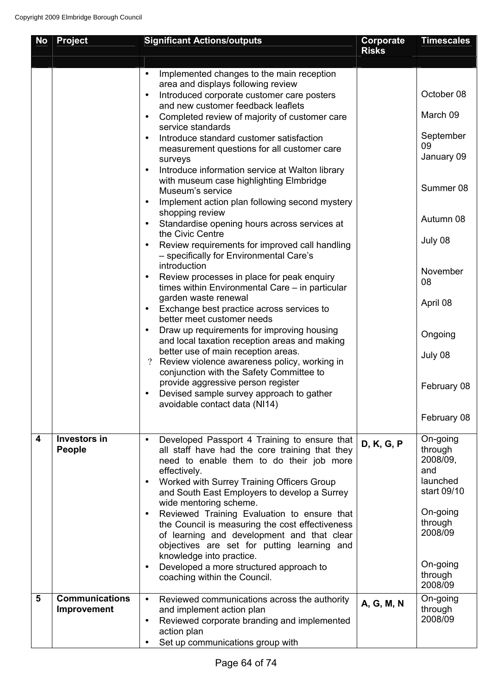| <b>No</b> | <b>Project</b>                       | <b>Significant Actions/outputs</b>                                                                                                                                                                                                                                                                           | Corporate<br><b>Risks</b> | <b>Timescales</b>                                                 |
|-----------|--------------------------------------|--------------------------------------------------------------------------------------------------------------------------------------------------------------------------------------------------------------------------------------------------------------------------------------------------------------|---------------------------|-------------------------------------------------------------------|
|           |                                      |                                                                                                                                                                                                                                                                                                              |                           |                                                                   |
|           |                                      | Implemented changes to the main reception<br>$\bullet$<br>area and displays following review                                                                                                                                                                                                                 |                           |                                                                   |
|           |                                      | Introduced corporate customer care posters<br>$\bullet$<br>and new customer feedback leaflets                                                                                                                                                                                                                |                           | October 08                                                        |
|           |                                      | Completed review of majority of customer care<br>$\bullet$<br>service standards                                                                                                                                                                                                                              |                           | March 09                                                          |
|           |                                      | Introduce standard customer satisfaction<br>$\bullet$<br>measurement questions for all customer care<br>surveys                                                                                                                                                                                              |                           | September<br>09<br>January 09                                     |
|           |                                      | Introduce information service at Walton library<br>$\bullet$<br>with museum case highlighting Elmbridge<br>Museum's service<br>Implement action plan following second mystery<br>$\bullet$                                                                                                                   |                           | Summer 08                                                         |
|           |                                      | shopping review<br>Standardise opening hours across services at<br>$\bullet$                                                                                                                                                                                                                                 |                           | Autumn 08                                                         |
|           |                                      | the Civic Centre<br>Review requirements for improved call handling<br>$\bullet$<br>- specifically for Environmental Care's                                                                                                                                                                                   |                           | July 08                                                           |
|           |                                      | introduction<br>Review processes in place for peak enquiry<br>$\bullet$<br>times within Environmental Care – in particular                                                                                                                                                                                   |                           | November<br>08                                                    |
|           |                                      | garden waste renewal<br>Exchange best practice across services to<br>$\bullet$<br>better meet customer needs                                                                                                                                                                                                 |                           | April 08                                                          |
|           |                                      | Draw up requirements for improving housing<br>$\bullet$<br>and local taxation reception areas and making                                                                                                                                                                                                     |                           | Ongoing                                                           |
|           |                                      | better use of main reception areas.<br>Review violence awareness policy, working in<br>$\overline{?}$<br>conjunction with the Safety Committee to                                                                                                                                                            |                           | July 08                                                           |
|           |                                      | provide aggressive person register<br>Devised sample survey approach to gather<br>avoidable contact data (NI14)                                                                                                                                                                                              |                           | February 08                                                       |
|           |                                      |                                                                                                                                                                                                                                                                                                              |                           | February 08                                                       |
| 4         | <b>Investors in</b><br>People        | Developed Passport 4 Training to ensure that<br>$\bullet$<br>all staff have had the core training that they<br>need to enable them to do their job more<br>effectively.<br>Worked with Surrey Training Officers Group<br>$\bullet$<br>and South East Employers to develop a Surrey<br>wide mentoring scheme. | D, K, G, P                | On-going<br>through<br>2008/09,<br>and<br>launched<br>start 09/10 |
|           |                                      | Reviewed Training Evaluation to ensure that<br>$\bullet$<br>the Council is measuring the cost effectiveness<br>of learning and development and that clear<br>objectives are set for putting learning and<br>knowledge into practice.                                                                         |                           | On-going<br>through<br>2008/09                                    |
|           |                                      | Developed a more structured approach to<br>$\bullet$<br>coaching within the Council.                                                                                                                                                                                                                         |                           | On-going<br>through<br>2008/09                                    |
| 5         | <b>Communications</b><br>Improvement | Reviewed communications across the authority<br>$\bullet$<br>and implement action plan<br>Reviewed corporate branding and implemented<br>$\bullet$<br>action plan                                                                                                                                            | A, G, M, N                | On-going<br>through<br>2008/09                                    |
|           |                                      | Set up communications group with<br>$\bullet$                                                                                                                                                                                                                                                                |                           |                                                                   |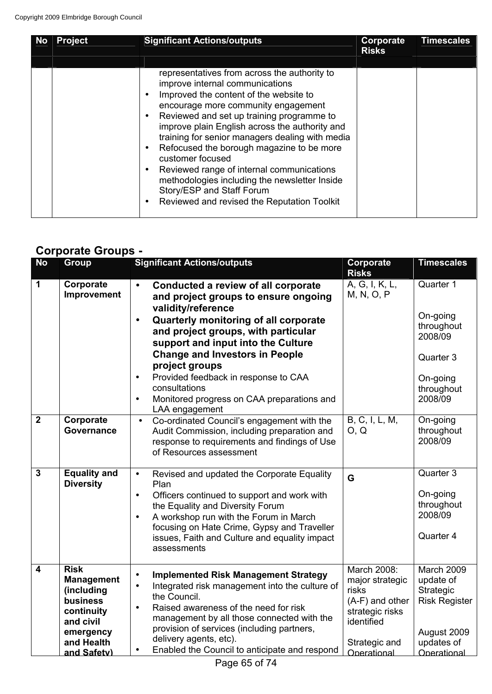| <b>No</b> | <b>Project</b> | <b>Significant Actions/outputs</b>                                                                                                                                                                                                                                                                                                                                                                                                                                                                                                                                                                                | <b>Corporate</b><br><b>Risks</b> | <b>Timescales</b> |
|-----------|----------------|-------------------------------------------------------------------------------------------------------------------------------------------------------------------------------------------------------------------------------------------------------------------------------------------------------------------------------------------------------------------------------------------------------------------------------------------------------------------------------------------------------------------------------------------------------------------------------------------------------------------|----------------------------------|-------------------|
|           |                |                                                                                                                                                                                                                                                                                                                                                                                                                                                                                                                                                                                                                   |                                  |                   |
|           |                | representatives from across the authority to<br>improve internal communications<br>Improved the content of the website to<br>$\bullet$<br>encourage more community engagement<br>Reviewed and set up training programme to<br>$\bullet$<br>improve plain English across the authority and<br>training for senior managers dealing with media<br>Refocused the borough magazine to be more<br>$\bullet$<br>customer focused<br>Reviewed range of internal communications<br>$\bullet$<br>methodologies including the newsletter Inside<br>Story/ESP and Staff Forum<br>Reviewed and revised the Reputation Toolkit |                                  |                   |

# **Corporate Groups -**

| <b>No</b>               | <b>Group</b>                                                                                                                    | <b>Significant Actions/outputs</b>                                                                                                                                                                                                                                                                                                                                                | Corporate                                                                                                                   | <b>Timescales</b>                                                                                        |
|-------------------------|---------------------------------------------------------------------------------------------------------------------------------|-----------------------------------------------------------------------------------------------------------------------------------------------------------------------------------------------------------------------------------------------------------------------------------------------------------------------------------------------------------------------------------|-----------------------------------------------------------------------------------------------------------------------------|----------------------------------------------------------------------------------------------------------|
|                         |                                                                                                                                 |                                                                                                                                                                                                                                                                                                                                                                                   | <b>Risks</b>                                                                                                                |                                                                                                          |
| $\mathbf 1$             | Corporate<br>Improvement                                                                                                        | Conducted a review of all corporate<br>$\bullet$<br>and project groups to ensure ongoing<br>validity/reference                                                                                                                                                                                                                                                                    | A, G, I, K, L,<br>M, N, O, P                                                                                                | Quarter 1                                                                                                |
|                         |                                                                                                                                 | Quarterly monitoring of all corporate<br>$\bullet$<br>and project groups, with particular<br>support and input into the Culture<br><b>Change and Investors in People</b><br>project groups<br>Provided feedback in response to CAA<br>$\bullet$<br>consultations<br>Monitored progress on CAA preparations and<br>$\bullet$<br>LAA engagement                                     |                                                                                                                             | On-going<br>throughout<br>2008/09<br>Quarter 3<br>On-going<br>throughout<br>2008/09                      |
| $\overline{2}$          | Corporate<br><b>Governance</b>                                                                                                  | Co-ordinated Council's engagement with the<br>$\bullet$<br>Audit Commission, including preparation and<br>response to requirements and findings of Use<br>of Resources assessment                                                                                                                                                                                                 | B, C, I, L, M,<br>O, Q                                                                                                      | On-going<br>throughout<br>2008/09                                                                        |
| $\overline{3}$          | <b>Equality and</b><br><b>Diversity</b>                                                                                         | Revised and updated the Corporate Equality<br>$\bullet$<br>Plan<br>Officers continued to support and work with<br>$\bullet$<br>the Equality and Diversity Forum<br>A workshop run with the Forum in March<br>$\bullet$<br>focusing on Hate Crime, Gypsy and Traveller<br>issues, Faith and Culture and equality impact<br>assessments                                             | G                                                                                                                           | Quarter 3<br>On-going<br>throughout<br>2008/09<br>Quarter 4                                              |
| $\overline{\mathbf{4}}$ | <b>Risk</b><br><b>Management</b><br>(including<br>business<br>continuity<br>and civil<br>emergency<br>and Health<br>and Safety) | <b>Implemented Risk Management Strategy</b><br>$\bullet$<br>Integrated risk management into the culture of<br>$\bullet$<br>the Council.<br>Raised awareness of the need for risk<br>$\bullet$<br>management by all those connected with the<br>provision of services (including partners,<br>delivery agents, etc).<br>Enabled the Council to anticipate and respond<br>$\bullet$ | March 2008:<br>major strategic<br>risks<br>(A-F) and other<br>strategic risks<br>identified<br>Strategic and<br>Operational | March 2009<br>update of<br>Strategic<br><b>Risk Register</b><br>August 2009<br>updates of<br>Onerational |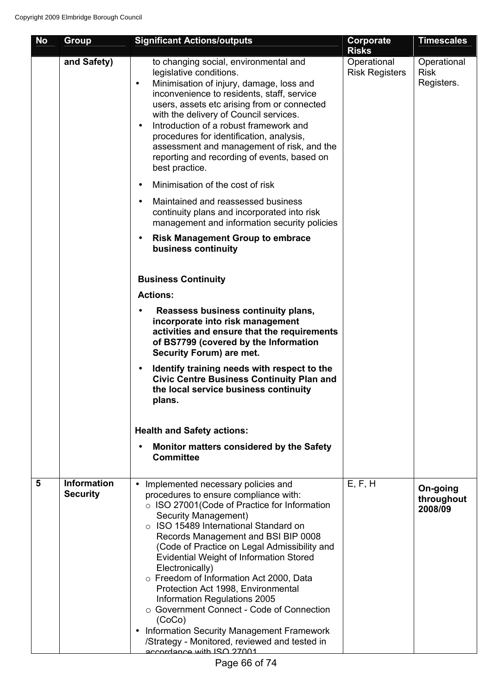| <b>No</b>      | Group                                 | <b>Significant Actions/outputs</b>                                                                                                                                                                                                                                                                                                                                                                                                                                                                                                                                                                                                                                               | Corporate<br><b>Risks</b>            | <b>Timescales</b>                        |
|----------------|---------------------------------------|----------------------------------------------------------------------------------------------------------------------------------------------------------------------------------------------------------------------------------------------------------------------------------------------------------------------------------------------------------------------------------------------------------------------------------------------------------------------------------------------------------------------------------------------------------------------------------------------------------------------------------------------------------------------------------|--------------------------------------|------------------------------------------|
|                | and Safety)                           | to changing social, environmental and<br>legislative conditions.<br>Minimisation of injury, damage, loss and<br>$\bullet$<br>inconvenience to residents, staff, service<br>users, assets etc arising from or connected<br>with the delivery of Council services.<br>Introduction of a robust framework and<br>$\bullet$<br>procedures for identification, analysis,<br>assessment and management of risk, and the<br>reporting and recording of events, based on<br>best practice.                                                                                                                                                                                               | Operational<br><b>Risk Registers</b> | Operational<br><b>Risk</b><br>Registers. |
|                |                                       | Minimisation of the cost of risk<br>$\bullet$<br>Maintained and reassessed business<br>$\bullet$                                                                                                                                                                                                                                                                                                                                                                                                                                                                                                                                                                                 |                                      |                                          |
|                |                                       | continuity plans and incorporated into risk<br>management and information security policies                                                                                                                                                                                                                                                                                                                                                                                                                                                                                                                                                                                      |                                      |                                          |
|                |                                       | <b>Risk Management Group to embrace</b><br>$\bullet$<br>business continuity                                                                                                                                                                                                                                                                                                                                                                                                                                                                                                                                                                                                      |                                      |                                          |
|                |                                       | <b>Business Continuity</b>                                                                                                                                                                                                                                                                                                                                                                                                                                                                                                                                                                                                                                                       |                                      |                                          |
|                |                                       | <b>Actions:</b>                                                                                                                                                                                                                                                                                                                                                                                                                                                                                                                                                                                                                                                                  |                                      |                                          |
|                |                                       | Reassess business continuity plans,<br>incorporate into risk management<br>activities and ensure that the requirements<br>of BS7799 (covered by the Information<br>Security Forum) are met.                                                                                                                                                                                                                                                                                                                                                                                                                                                                                      |                                      |                                          |
|                |                                       | Identify training needs with respect to the<br>$\bullet$<br><b>Civic Centre Business Continuity Plan and</b><br>the local service business continuity<br>plans.                                                                                                                                                                                                                                                                                                                                                                                                                                                                                                                  |                                      |                                          |
|                |                                       | <b>Health and Safety actions:</b>                                                                                                                                                                                                                                                                                                                                                                                                                                                                                                                                                                                                                                                |                                      |                                          |
|                |                                       | Monitor matters considered by the Safety<br><b>Committee</b>                                                                                                                                                                                                                                                                                                                                                                                                                                                                                                                                                                                                                     |                                      |                                          |
| $5\phantom{1}$ | <b>Information</b><br><b>Security</b> | Implemented necessary policies and<br>procedures to ensure compliance with:<br>o ISO 27001 (Code of Practice for Information<br>Security Management)<br>○ ISO 15489 International Standard on<br>Records Management and BSI BIP 0008<br>(Code of Practice on Legal Admissibility and<br><b>Evidential Weight of Information Stored</b><br>Electronically)<br>o Freedom of Information Act 2000, Data<br>Protection Act 1998, Environmental<br>Information Regulations 2005<br>○ Government Connect - Code of Connection<br>(CoCo)<br><b>Information Security Management Framework</b><br>$\bullet$<br>/Strategy - Monitored, reviewed and tested in<br>accordance with ISO 27001 | E, F, H                              | On-going<br>throughout<br>2008/09        |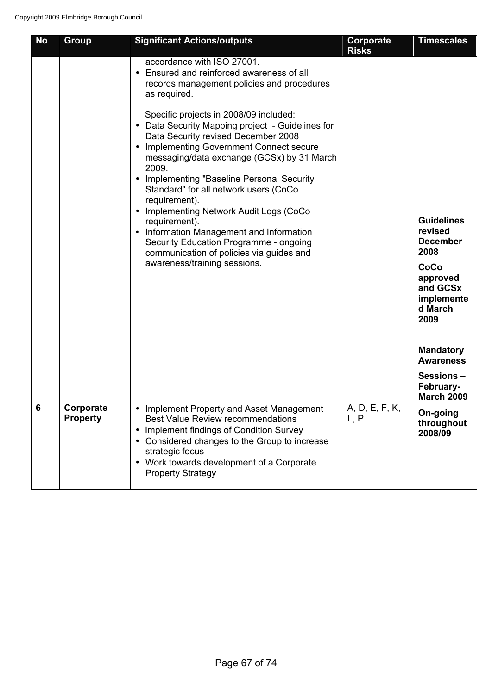| <b>No</b> | <b>Group</b>                 | <b>Significant Actions/outputs</b>                                                                                                                                                                                                                                                                                                                                                                                                                                                                                                                                         | <b>Corporate</b><br><b>Risks</b> | <b>Timescales</b>                                                                                     |
|-----------|------------------------------|----------------------------------------------------------------------------------------------------------------------------------------------------------------------------------------------------------------------------------------------------------------------------------------------------------------------------------------------------------------------------------------------------------------------------------------------------------------------------------------------------------------------------------------------------------------------------|----------------------------------|-------------------------------------------------------------------------------------------------------|
|           |                              | accordance with ISO 27001.<br>• Ensured and reinforced awareness of all<br>records management policies and procedures<br>as required.                                                                                                                                                                                                                                                                                                                                                                                                                                      |                                  |                                                                                                       |
|           |                              | Specific projects in 2008/09 included:<br>• Data Security Mapping project - Guidelines for<br>Data Security revised December 2008<br>• Implementing Government Connect secure<br>messaging/data exchange (GCSx) by 31 March<br>2009.<br>• Implementing "Baseline Personal Security<br>Standard" for all network users (CoCo<br>requirement).<br>• Implementing Network Audit Logs (CoCo<br>requirement).<br>• Information Management and Information<br>Security Education Programme - ongoing<br>communication of policies via guides and<br>awareness/training sessions. |                                  | <b>Guidelines</b><br>revised<br><b>December</b><br>2008<br>CoCo<br>approved<br>and GCSx<br>implemente |
|           |                              |                                                                                                                                                                                                                                                                                                                                                                                                                                                                                                                                                                            |                                  | d March<br>2009                                                                                       |
|           |                              |                                                                                                                                                                                                                                                                                                                                                                                                                                                                                                                                                                            |                                  | <b>Mandatory</b><br><b>Awareness</b>                                                                  |
|           |                              |                                                                                                                                                                                                                                                                                                                                                                                                                                                                                                                                                                            |                                  | Sessions-<br>February-<br><b>March 2009</b>                                                           |
| 6         | Corporate<br><b>Property</b> | Implement Property and Asset Management<br><b>Best Value Review recommendations</b><br>Implement findings of Condition Survey<br>• Considered changes to the Group to increase<br>strategic focus<br>• Work towards development of a Corporate<br><b>Property Strategy</b>                                                                                                                                                                                                                                                                                                 | A, D, E, F, K,<br>L, P           | On-going<br>throughout<br>2008/09                                                                     |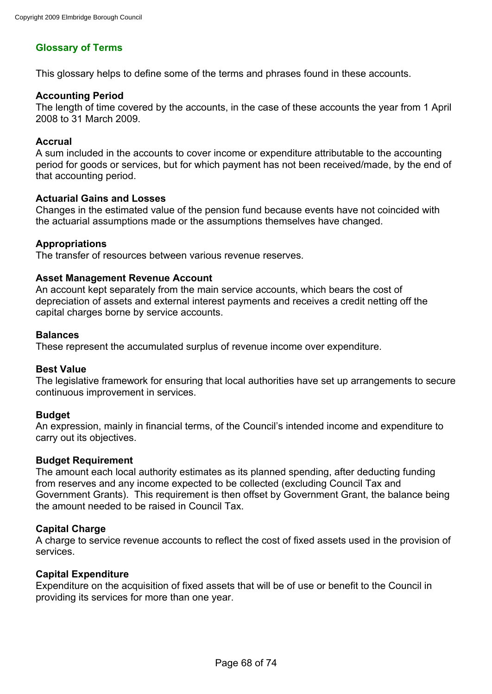## **Glossary of Terms**

This glossary helps to define some of the terms and phrases found in these accounts.

#### **Accounting Period**

The length of time covered by the accounts, in the case of these accounts the year from 1 April 2008 to 31 March 2009.

#### **Accrual**

A sum included in the accounts to cover income or expenditure attributable to the accounting period for goods or services, but for which payment has not been received/made, by the end of that accounting period.

#### **Actuarial Gains and Losses**

Changes in the estimated value of the pension fund because events have not coincided with the actuarial assumptions made or the assumptions themselves have changed.

### **Appropriations**

The transfer of resources between various revenue reserves.

### **Asset Management Revenue Account**

An account kept separately from the main service accounts, which bears the cost of depreciation of assets and external interest payments and receives a credit netting off the capital charges borne by service accounts.

#### **Balances**

These represent the accumulated surplus of revenue income over expenditure.

#### **Best Value**

The legislative framework for ensuring that local authorities have set up arrangements to secure continuous improvement in services.

#### **Budget**

An expression, mainly in financial terms, of the Council's intended income and expenditure to carry out its objectives.

#### **Budget Requirement**

The amount each local authority estimates as its planned spending, after deducting funding from reserves and any income expected to be collected (excluding Council Tax and Government Grants). This requirement is then offset by Government Grant, the balance being the amount needed to be raised in Council Tax.

#### **Capital Charge**

A charge to service revenue accounts to reflect the cost of fixed assets used in the provision of services.

#### **Capital Expenditure**

Expenditure on the acquisition of fixed assets that will be of use or benefit to the Council in providing its services for more than one year.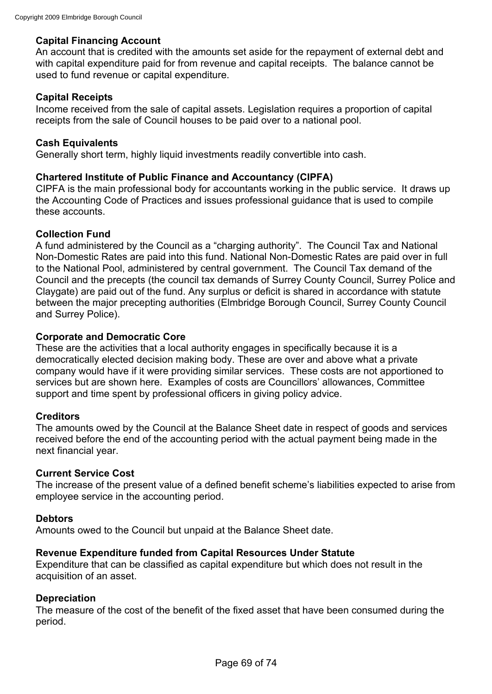### **Capital Financing Account**

An account that is credited with the amounts set aside for the repayment of external debt and with capital expenditure paid for from revenue and capital receipts. The balance cannot be used to fund revenue or capital expenditure.

### **Capital Receipts**

Income received from the sale of capital assets. Legislation requires a proportion of capital receipts from the sale of Council houses to be paid over to a national pool.

#### **Cash Equivalents**

Generally short term, highly liquid investments readily convertible into cash.

### **Chartered Institute of Public Finance and Accountancy (CIPFA)**

CIPFA is the main professional body for accountants working in the public service. It draws up the Accounting Code of Practices and issues professional guidance that is used to compile these accounts.

#### **Collection Fund**

A fund administered by the Council as a "charging authority". The Council Tax and National Non-Domestic Rates are paid into this fund. National Non-Domestic Rates are paid over in full to the National Pool, administered by central government. The Council Tax demand of the Council and the precepts (the council tax demands of Surrey County Council, Surrey Police and Claygate) are paid out of the fund. Any surplus or deficit is shared in accordance with statute between the major precepting authorities (Elmbridge Borough Council, Surrey County Council and Surrey Police).

#### **Corporate and Democratic Core**

These are the activities that a local authority engages in specifically because it is a democratically elected decision making body. These are over and above what a private company would have if it were providing similar services. These costs are not apportioned to services but are shown here. Examples of costs are Councillors' allowances, Committee support and time spent by professional officers in giving policy advice.

#### **Creditors**

The amounts owed by the Council at the Balance Sheet date in respect of goods and services received before the end of the accounting period with the actual payment being made in the next financial year.

#### **Current Service Cost**

The increase of the present value of a defined benefit scheme's liabilities expected to arise from employee service in the accounting period.

#### **Debtors**

Amounts owed to the Council but unpaid at the Balance Sheet date.

#### **Revenue Expenditure funded from Capital Resources Under Statute**

Expenditure that can be classified as capital expenditure but which does not result in the acquisition of an asset.

#### **Depreciation**

The measure of the cost of the benefit of the fixed asset that have been consumed during the period.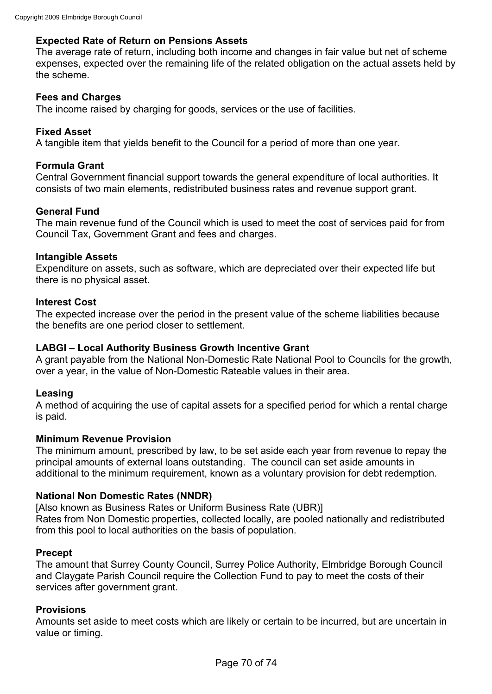### **Expected Rate of Return on Pensions Assets**

The average rate of return, including both income and changes in fair value but net of scheme expenses, expected over the remaining life of the related obligation on the actual assets held by the scheme.

#### **Fees and Charges**

The income raised by charging for goods, services or the use of facilities.

#### **Fixed Asset**

A tangible item that yields benefit to the Council for a period of more than one year.

### **Formula Grant**

Central Government financial support towards the general expenditure of local authorities. It consists of two main elements, redistributed business rates and revenue support grant.

### **General Fund**

The main revenue fund of the Council which is used to meet the cost of services paid for from Council Tax, Government Grant and fees and charges.

#### **Intangible Assets**

Expenditure on assets, such as software, which are depreciated over their expected life but there is no physical asset.

#### **Interest Cost**

The expected increase over the period in the present value of the scheme liabilities because the benefits are one period closer to settlement.

#### **LABGI – Local Authority Business Growth Incentive Grant**

A grant payable from the National Non-Domestic Rate National Pool to Councils for the growth, over a year, in the value of Non-Domestic Rateable values in their area.

#### **Leasing**

A method of acquiring the use of capital assets for a specified period for which a rental charge is paid.

#### **Minimum Revenue Provision**

The minimum amount, prescribed by law, to be set aside each year from revenue to repay the principal amounts of external loans outstanding. The council can set aside amounts in additional to the minimum requirement, known as a voluntary provision for debt redemption.

#### **National Non Domestic Rates (NNDR)**

[Also known as Business Rates or Uniform Business Rate (UBR)] Rates from Non Domestic properties, collected locally, are pooled nationally and redistributed from this pool to local authorities on the basis of population.

#### **Precept**

The amount that Surrey County Council, Surrey Police Authority, Elmbridge Borough Council and Claygate Parish Council require the Collection Fund to pay to meet the costs of their services after government grant.

#### **Provisions**

Amounts set aside to meet costs which are likely or certain to be incurred, but are uncertain in value or timing.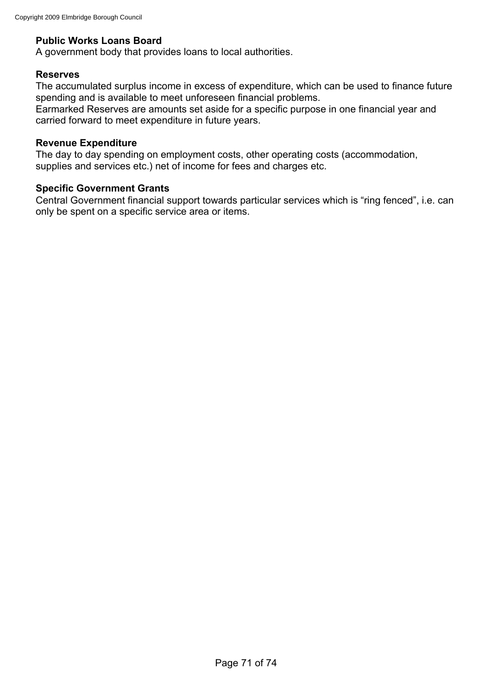## **Public Works Loans Board**

A government body that provides loans to local authorities.

#### **Reserves**

The accumulated surplus income in excess of expenditure, which can be used to finance future spending and is available to meet unforeseen financial problems.

Earmarked Reserves are amounts set aside for a specific purpose in one financial year and carried forward to meet expenditure in future years.

#### **Revenue Expenditure**

The day to day spending on employment costs, other operating costs (accommodation, supplies and services etc.) net of income for fees and charges etc.

#### **Specific Government Grants**

Central Government financial support towards particular services which is "ring fenced", i.e. can only be spent on a specific service area or items.